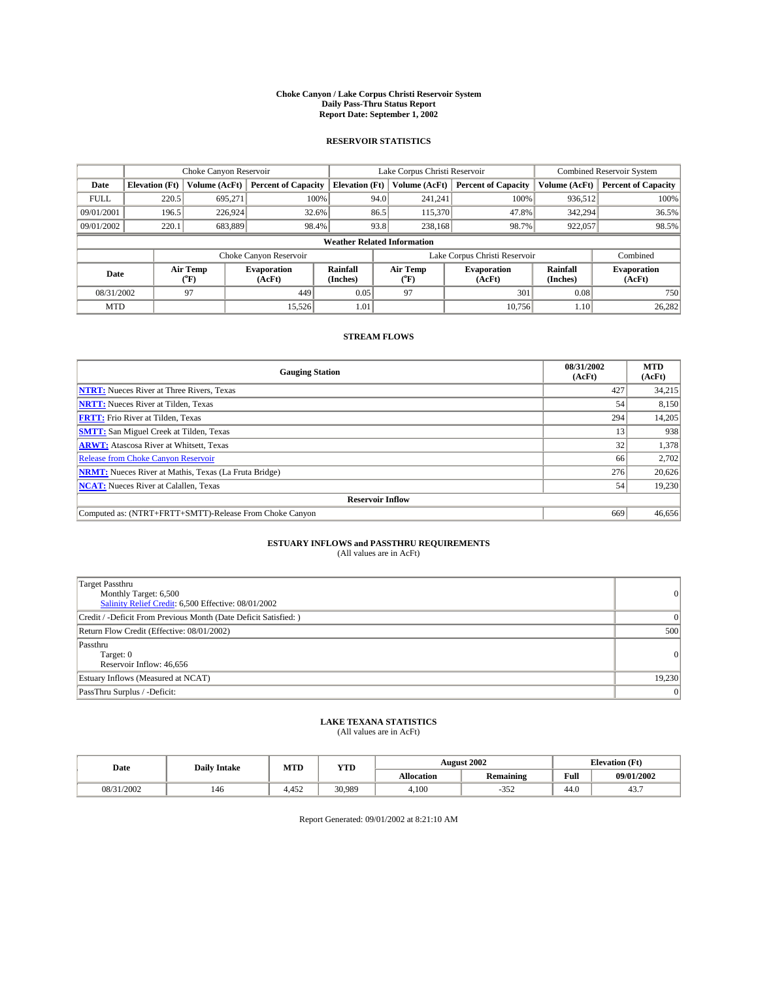#### **Choke Canyon / Lake Corpus Christi Reservoir System Daily Pass-Thru Status Report Report Date: September 1, 2002**

#### **RESERVOIR STATISTICS**

|             | Choke Canyon Reservoir             |                             |                              |                             | Lake Corpus Christi Reservoir |                  |                               |                             | Combined Reservoir System    |  |  |
|-------------|------------------------------------|-----------------------------|------------------------------|-----------------------------|-------------------------------|------------------|-------------------------------|-----------------------------|------------------------------|--|--|
| Date        | <b>Elevation</b> (Ft)              | Volume (AcFt)               | <b>Percent of Capacity</b>   | <b>Elevation</b> (Ft)       |                               | Volume (AcFt)    | <b>Percent of Capacity</b>    | Volume (AcFt)               | <b>Percent of Capacity</b>   |  |  |
| <b>FULL</b> | 220.5                              | 695,271                     |                              | 100%                        | 94.0                          | 241,241          | 100%                          | 936.512                     | 100%                         |  |  |
| 09/01/2001  | 196.5                              | 226.924                     | $32.6\%$                     |                             | 86.5                          | 115,370          | 47.8%                         | 342,294                     | 36.5%                        |  |  |
| 09/01/2002  | 220.1                              | 683,889                     | 98.4%                        |                             | 93.8                          | 238,168          | 98.7%                         | 922,057                     | 98.5%                        |  |  |
|             | <b>Weather Related Information</b> |                             |                              |                             |                               |                  |                               |                             |                              |  |  |
|             |                                    |                             | Choke Canyon Reservoir       |                             |                               |                  | Lake Corpus Christi Reservoir |                             | Combined                     |  |  |
| Date        |                                    | Air Temp<br>${}^{\circ}$ F) | <b>Evaporation</b><br>(AcFt) | <b>Rainfall</b><br>(Inches) |                               | Air Temp<br>("F) | <b>Evaporation</b><br>(AcFt)  | <b>Rainfall</b><br>(Inches) | <b>Evaporation</b><br>(AcFt) |  |  |
| 08/31/2002  |                                    | 97                          | 449                          | 0.05                        |                               | 97               | 301                           | 0.08                        | 750                          |  |  |
| <b>MTD</b>  |                                    |                             | 15,526                       | 1.01                        |                               |                  | 10.756                        | 1.10                        | 26,282                       |  |  |

### **STREAM FLOWS**

| <b>Gauging Station</b>                                       | 08/31/2002<br>(AcFt) | <b>MTD</b><br>(AcFt) |
|--------------------------------------------------------------|----------------------|----------------------|
| <b>NTRT:</b> Nueces River at Three Rivers, Texas             | 427                  | 34,215               |
| <b>NRTT:</b> Nueces River at Tilden, Texas                   | 54                   | 8,150                |
| <b>FRTT:</b> Frio River at Tilden, Texas                     | 294                  | 14,205               |
| <b>SMTT:</b> San Miguel Creek at Tilden, Texas               | 13                   | 938                  |
| <b>ARWT:</b> Atascosa River at Whitsett, Texas               | 32                   | 1,378                |
| <b>Release from Choke Canyon Reservoir</b>                   | 66                   | 2,702                |
| <b>NRMT:</b> Nueces River at Mathis, Texas (La Fruta Bridge) | 276                  | 20,626               |
| <b>NCAT:</b> Nueces River at Calallen, Texas                 | 54                   | 19,230               |
| <b>Reservoir Inflow</b>                                      |                      |                      |
| Computed as: (NTRT+FRTT+SMTT)-Release From Choke Canvon      | 669                  | 46.656               |

## **ESTUARY INFLOWS and PASSTHRU REQUIREMENTS**<br>(All values are in AcFt)

| Target Passthru<br>Monthly Target: 6,500<br>Salinity Relief Credit: 6,500 Effective: 08/01/2002 | $\Omega$       |
|-------------------------------------------------------------------------------------------------|----------------|
| Credit / -Deficit From Previous Month (Date Deficit Satisfied: )                                |                |
| Return Flow Credit (Effective: 08/01/2002)                                                      | 500            |
| Passthru<br>Target: 0<br>Reservoir Inflow: 46,656                                               | $\Omega$       |
| Estuary Inflows (Measured at NCAT)                                                              | 19,230         |
| PassThru Surplus / -Deficit:                                                                    | $\overline{0}$ |

# **LAKE TEXANA STATISTICS** (All values are in AcFt)

| Date              | <b>Daily Intake</b> | MTD    | <b>YTD</b> |                   | <b>August 2002</b>           | <b>Elevation</b> (Ft) |            |
|-------------------|---------------------|--------|------------|-------------------|------------------------------|-----------------------|------------|
|                   |                     |        |            | <b>Allocation</b> | .<br><b>Remaining</b>        | Full                  | 09/01/2002 |
| /31/2002<br>08/31 | 146                 | $+452$ | 30.989     | 4,100             | $\sim$ $\sim$ $\sim$<br>ے دد | $\sim$<br>44.V        | 45.,       |

Report Generated: 09/01/2002 at 8:21:10 AM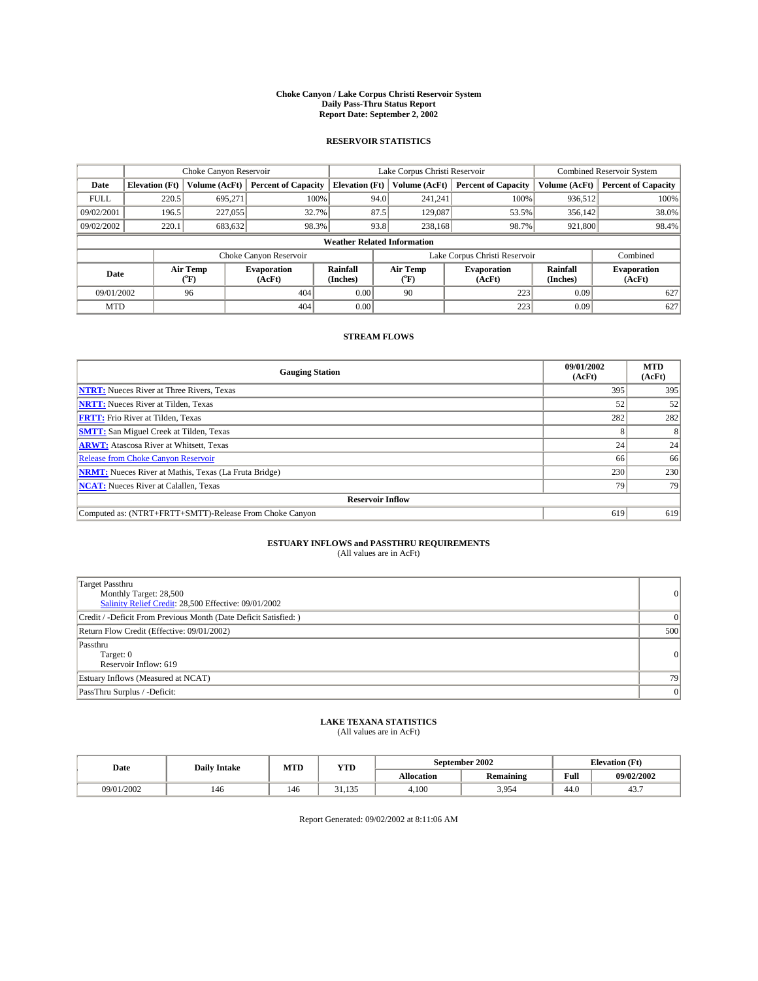#### **Choke Canyon / Lake Corpus Christi Reservoir System Daily Pass-Thru Status Report Report Date: September 2, 2002**

#### **RESERVOIR STATISTICS**

|             | Choke Canyon Reservoir             |                             | Lake Corpus Christi Reservoir |                             |      |                  | Combined Reservoir System     |                      |                              |
|-------------|------------------------------------|-----------------------------|-------------------------------|-----------------------------|------|------------------|-------------------------------|----------------------|------------------------------|
| Date        | <b>Elevation</b> (Ft)              | Volume (AcFt)               | <b>Percent of Capacity</b>    | <b>Elevation</b> (Ft)       |      | Volume (AcFt)    | <b>Percent of Capacity</b>    | Volume (AcFt)        | <b>Percent of Capacity</b>   |
| <b>FULL</b> | 220.5                              | 695,271                     |                               | 100%                        | 94.0 | 241,241          | 100%                          | 936.512              | 100%                         |
| 09/02/2001  | 196.5                              | 227,055                     |                               | 32.7%                       | 87.5 | 129,087          | 53.5%                         | 356.142              | 38.0%                        |
| 09/02/2002  | 220.1                              | 683,632                     |                               | 98.3%                       | 93.8 | 238,168          | 98.7%                         | 921,800              | 98.4%                        |
|             | <b>Weather Related Information</b> |                             |                               |                             |      |                  |                               |                      |                              |
|             |                                    |                             | Choke Canyon Reservoir        |                             |      |                  | Lake Corpus Christi Reservoir |                      | Combined                     |
| Date        |                                    | Air Temp<br>${}^{\circ}$ F) | <b>Evaporation</b><br>(AcFt)  | <b>Rainfall</b><br>(Inches) |      | Air Temp<br>("F) | <b>Evaporation</b><br>(AcFt)  | Rainfall<br>(Inches) | <b>Evaporation</b><br>(AcFt) |
| 09/01/2002  |                                    | 96                          | 404                           | 0.00                        |      | 90               | 223                           | 0.09                 | 627                          |
| <b>MTD</b>  |                                    |                             | 404                           | 0.00                        |      |                  | 223                           | 0.09                 | 627                          |

### **STREAM FLOWS**

| <b>Gauging Station</b>                                       | 09/01/2002<br>(AcFt) | <b>MTD</b><br>(AcFt) |
|--------------------------------------------------------------|----------------------|----------------------|
| <b>NTRT:</b> Nueces River at Three Rivers, Texas             | 395                  | 395                  |
| <b>NRTT:</b> Nueces River at Tilden, Texas                   | 52                   | 52                   |
| <b>FRTT:</b> Frio River at Tilden, Texas                     | 282                  | 282                  |
| <b>SMTT:</b> San Miguel Creek at Tilden, Texas               |                      |                      |
| <b>ARWT:</b> Atascosa River at Whitsett, Texas               | 24 <sub>1</sub>      | 24                   |
| <b>Release from Choke Canyon Reservoir</b>                   | 66                   | 66                   |
| <b>NRMT:</b> Nueces River at Mathis, Texas (La Fruta Bridge) | 230                  | 230                  |
| <b>NCAT:</b> Nueces River at Calallen, Texas                 | 79                   | 79                   |
| <b>Reservoir Inflow</b>                                      |                      |                      |
| Computed as: (NTRT+FRTT+SMTT)-Release From Choke Canyon      | 619                  | 619                  |

## **ESTUARY INFLOWS and PASSTHRU REQUIREMENTS**<br>(All values are in AcFt)

| <b>Target Passthru</b><br>Monthly Target: 28,500<br>Salinity Relief Credit: 28,500 Effective: 09/01/2002 | $\overline{0}$ |
|----------------------------------------------------------------------------------------------------------|----------------|
| Credit / -Deficit From Previous Month (Date Deficit Satisfied: )                                         | $\Omega$       |
| Return Flow Credit (Effective: 09/01/2002)                                                               | 500            |
| Passthru<br>Target: 0<br>Reservoir Inflow: 619                                                           | 0              |
| Estuary Inflows (Measured at NCAT)                                                                       | 79             |
| PassThru Surplus / -Deficit:                                                                             | 0              |

# **LAKE TEXANA STATISTICS** (All values are in AcFt)

| Date       | <b>Daily Intake</b> | MTD | YTD           |                   | September 2002   | <b>Elevation</b> (Ft) |            |
|------------|---------------------|-----|---------------|-------------------|------------------|-----------------------|------------|
|            |                     |     |               | <b>Allocation</b> | <b>Remaining</b> | Full                  | 09/02/2002 |
| 09/01/2002 | 146                 | 146 | 135<br>,,,,,, | 4,100             | 3.954            | $\sim$<br>-44.G       | 45.,       |

Report Generated: 09/02/2002 at 8:11:06 AM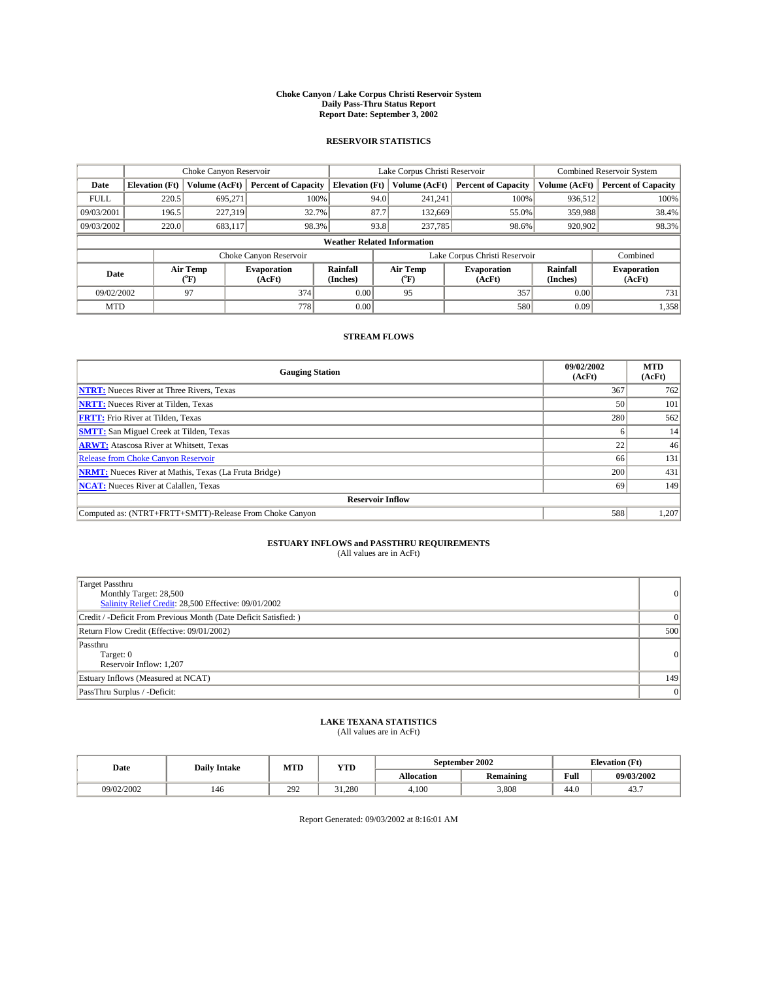#### **Choke Canyon / Lake Corpus Christi Reservoir System Daily Pass-Thru Status Report Report Date: September 3, 2002**

#### **RESERVOIR STATISTICS**

|             | Choke Canyon Reservoir             |                             | Lake Corpus Christi Reservoir |                             |      |                  | Combined Reservoir System     |                      |                              |
|-------------|------------------------------------|-----------------------------|-------------------------------|-----------------------------|------|------------------|-------------------------------|----------------------|------------------------------|
| Date        | <b>Elevation</b> (Ft)              | Volume (AcFt)               | <b>Percent of Capacity</b>    | <b>Elevation</b> (Ft)       |      | Volume (AcFt)    | <b>Percent of Capacity</b>    | Volume (AcFt)        | <b>Percent of Capacity</b>   |
| <b>FULL</b> | 220.5                              | 695,271                     | 100%                          |                             | 94.0 | 241,241          | 100%                          | 936.512              | 100%                         |
| 09/03/2001  | 196.5                              | 227,319                     | 32.7%                         |                             | 87.7 | 132,669          | 55.0%                         | 359,988              | 38.4%                        |
| 09/03/2002  | 220.0                              | 683,117                     | 98.3%                         |                             | 93.8 | 237,785          | 98.6%                         | 920,902              | 98.3%                        |
|             | <b>Weather Related Information</b> |                             |                               |                             |      |                  |                               |                      |                              |
|             |                                    |                             | Choke Canyon Reservoir        |                             |      |                  | Lake Corpus Christi Reservoir |                      | Combined                     |
| Date        |                                    | Air Temp<br>${}^{\circ}$ F) | <b>Evaporation</b><br>(AcFt)  | <b>Rainfall</b><br>(Inches) |      | Air Temp<br>("F) | <b>Evaporation</b><br>(AcFt)  | Rainfall<br>(Inches) | <b>Evaporation</b><br>(AcFt) |
| 09/02/2002  |                                    | 97                          | 374                           | 0.00                        |      | 95               | 357                           | 0.00                 | 731                          |
| <b>MTD</b>  |                                    |                             | 778                           | 0.00                        |      |                  | 580                           | 0.09                 | 1,358                        |

### **STREAM FLOWS**

| <b>Gauging Station</b>                                       | 09/02/2002<br>(AcFt) | <b>MTD</b><br>(AcFt) |
|--------------------------------------------------------------|----------------------|----------------------|
| <b>NTRT:</b> Nueces River at Three Rivers, Texas             | 367                  | 762                  |
| <b>NRTT:</b> Nueces River at Tilden, Texas                   | 50                   | 101                  |
| <b>FRTT:</b> Frio River at Tilden, Texas                     | 280                  | 562                  |
| <b>SMTT:</b> San Miguel Creek at Tilden, Texas               |                      | 14                   |
| <b>ARWT:</b> Atascosa River at Whitsett, Texas               | 22                   | 46                   |
| <b>Release from Choke Canyon Reservoir</b>                   | 66                   | 131                  |
| <b>NRMT:</b> Nueces River at Mathis, Texas (La Fruta Bridge) | 200                  | 431                  |
| <b>NCAT:</b> Nueces River at Calallen, Texas                 | -69                  | 149                  |
| <b>Reservoir Inflow</b>                                      |                      |                      |
| Computed as: (NTRT+FRTT+SMTT)-Release From Choke Canyon      | 588                  | 1,207                |

# **ESTUARY INFLOWS and PASSTHRU REQUIREMENTS**<br>(All values are in AcFt)

| <b>Target Passthru</b><br>Monthly Target: 28,500<br>Salinity Relief Credit: 28,500 Effective: 09/01/2002 | $\overline{0}$ |
|----------------------------------------------------------------------------------------------------------|----------------|
| Credit / -Deficit From Previous Month (Date Deficit Satisfied: )                                         | $\Omega$       |
| Return Flow Credit (Effective: 09/01/2002)                                                               | 500            |
| Passthru<br>Target: 0<br>Reservoir Inflow: 1,207                                                         | 0              |
| Estuary Inflows (Measured at NCAT)                                                                       | 149            |
| PassThru Surplus / -Deficit:                                                                             | 0              |

# **LAKE TEXANA STATISTICS** (All values are in AcFt)

| Date       | <b>Daily Intake</b> | MTD | <b>YTD</b> |                   | <b>September 2002</b>   | <b>Elevation</b> (Ft) |            |
|------------|---------------------|-----|------------|-------------------|-------------------------|-----------------------|------------|
|            |                     |     |            | <b>Allocation</b> | . .<br><b>Remaining</b> | Full                  | 09/03/2002 |
| 09/02/2002 | 146                 | 292 | 31.280     | 4.100             | 3.808                   | $\sim$<br>44.U        | 45.,       |

Report Generated: 09/03/2002 at 8:16:01 AM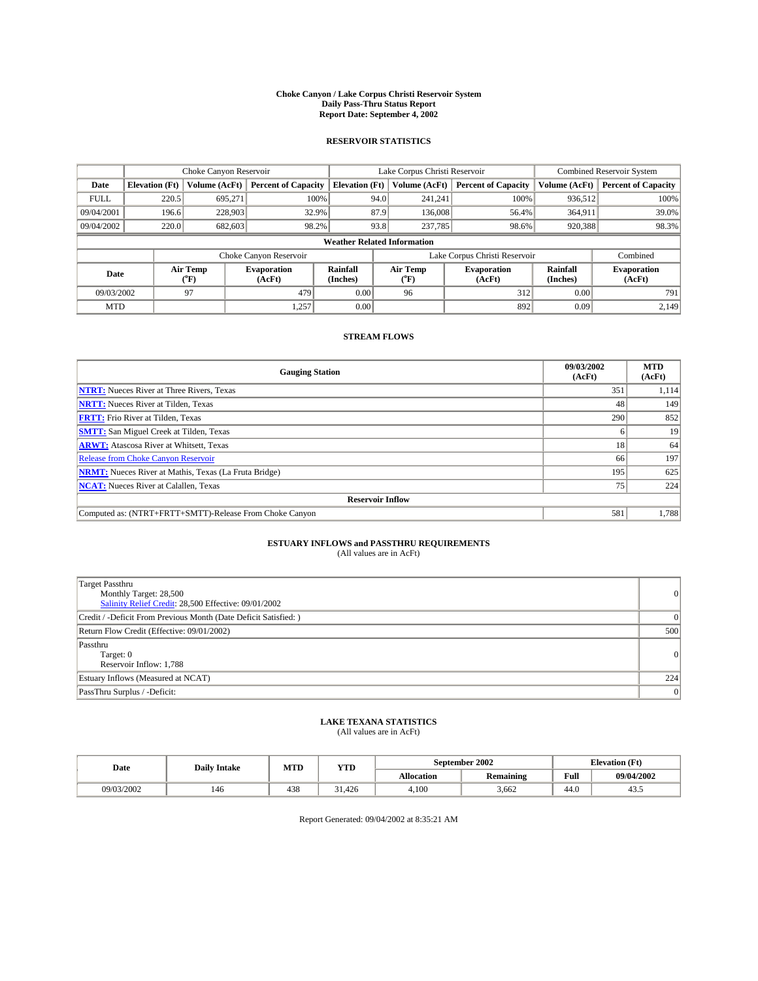#### **Choke Canyon / Lake Corpus Christi Reservoir System Daily Pass-Thru Status Report Report Date: September 4, 2002**

#### **RESERVOIR STATISTICS**

|             |                       | Choke Canyon Reservoir      |                              |                                    |      | Lake Corpus Christi Reservoir | Combined Reservoir System     |                      |                              |
|-------------|-----------------------|-----------------------------|------------------------------|------------------------------------|------|-------------------------------|-------------------------------|----------------------|------------------------------|
| Date        | <b>Elevation</b> (Ft) | Volume (AcFt)               | <b>Percent of Capacity</b>   | <b>Elevation</b> (Ft)              |      | Volume (AcFt)                 | <b>Percent of Capacity</b>    | Volume (AcFt)        | <b>Percent of Capacity</b>   |
| <b>FULL</b> | 220.5                 | 695,271                     | 100%                         |                                    | 94.0 | 241,241                       | 100%                          | 936.512              | 100%                         |
| 09/04/2001  | 196.6                 | 228,903                     | 32.9%                        |                                    | 87.9 | 136,008                       | 56.4%                         | 364.911              | 39.0%                        |
| 09/04/2002  | 220.0                 | 682,603                     | 98.2%                        |                                    | 93.8 |                               | 237,785<br>98.6%              | 920,388              | 98.3%                        |
|             |                       |                             |                              | <b>Weather Related Information</b> |      |                               |                               |                      |                              |
|             |                       |                             | Choke Canyon Reservoir       |                                    |      |                               | Lake Corpus Christi Reservoir |                      | Combined                     |
| Date        |                       | Air Temp<br>${}^{\circ}$ F) | <b>Evaporation</b><br>(AcFt) | <b>Rainfall</b><br>(Inches)        |      | Air Temp<br>("F)              | <b>Evaporation</b><br>(AcFt)  | Rainfall<br>(Inches) | <b>Evaporation</b><br>(AcFt) |
| 09/03/2002  |                       | 97                          | 479                          | 0.00                               |      | 96                            | 312                           | 0.00                 | 791                          |
| <b>MTD</b>  |                       |                             | 1,257                        | 0.00                               |      |                               | 892                           | 0.09                 | 2,149                        |

### **STREAM FLOWS**

| <b>Gauging Station</b>                                       | 09/03/2002<br>(AcFt) | <b>MTD</b><br>(AcFt) |  |  |  |  |  |
|--------------------------------------------------------------|----------------------|----------------------|--|--|--|--|--|
| <b>NTRT:</b> Nueces River at Three Rivers, Texas             | 351                  | 1,114                |  |  |  |  |  |
| <b>NRTT:</b> Nueces River at Tilden, Texas                   | 48                   | 149                  |  |  |  |  |  |
| <b>FRTT:</b> Frio River at Tilden, Texas                     | 290                  | 852                  |  |  |  |  |  |
| <b>SMTT:</b> San Miguel Creek at Tilden, Texas               |                      | 19                   |  |  |  |  |  |
| <b>ARWT:</b> Atascosa River at Whitsett, Texas               | 18                   | 64                   |  |  |  |  |  |
| Release from Choke Canyon Reservoir                          | 66                   | 197                  |  |  |  |  |  |
| <b>NRMT:</b> Nueces River at Mathis, Texas (La Fruta Bridge) | 195                  | 625                  |  |  |  |  |  |
| <b>NCAT:</b> Nueces River at Calallen, Texas                 | 75                   | 224                  |  |  |  |  |  |
| <b>Reservoir Inflow</b>                                      |                      |                      |  |  |  |  |  |
| Computed as: (NTRT+FRTT+SMTT)-Release From Choke Canyon      | 581                  | 1,788                |  |  |  |  |  |

## **ESTUARY INFLOWS and PASSTHRU REQUIREMENTS**<br>(All values are in AcFt)

| <b>Target Passthru</b><br>Monthly Target: 28,500<br>Salinity Relief Credit: 28,500 Effective: 09/01/2002 | $\overline{0}$ |
|----------------------------------------------------------------------------------------------------------|----------------|
| Credit / -Deficit From Previous Month (Date Deficit Satisfied: )                                         | $\Omega$       |
| Return Flow Credit (Effective: 09/01/2002)                                                               | 500            |
| Passthru<br>Target: 0<br>Reservoir Inflow: 1,788                                                         | 0              |
| Estuary Inflows (Measured at NCAT)                                                                       | 224            |
| PassThru Surplus / -Deficit:                                                                             | 0              |

### **LAKE TEXANA STATISTICS**

| (All values are in AcFt) |  |
|--------------------------|--|
|--------------------------|--|

| Date       | <b>Daily Intake</b> | MTD | YTD    |                   | September 2002                | <b>Elevation</b> (Ft) |            |
|------------|---------------------|-----|--------|-------------------|-------------------------------|-----------------------|------------|
|            |                     |     |        | <b>Allocation</b> | $\cdot$ .<br><b>Remaining</b> | Full                  | 09/04/2002 |
| 09/03/2002 | 146                 | 438 | 31.426 | 4,100             | 3,662                         | $\sim$<br>-44.0       | 45.5       |

Report Generated: 09/04/2002 at 8:35:21 AM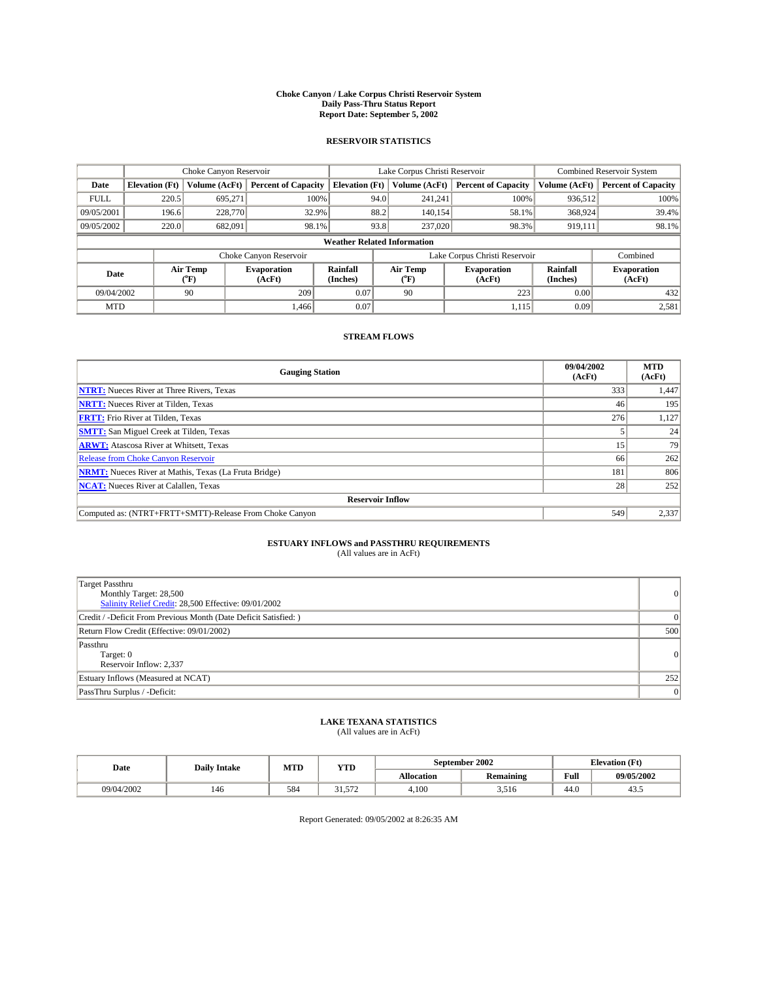#### **Choke Canyon / Lake Corpus Christi Reservoir System Daily Pass-Thru Status Report Report Date: September 5, 2002**

#### **RESERVOIR STATISTICS**

|             |                                    | Choke Canyon Reservoir      |                              |                             |      | Lake Corpus Christi Reservoir | Combined Reservoir System     |                             |                              |  |
|-------------|------------------------------------|-----------------------------|------------------------------|-----------------------------|------|-------------------------------|-------------------------------|-----------------------------|------------------------------|--|
| Date        | <b>Elevation</b> (Ft)              | Volume (AcFt)               | <b>Percent of Capacity</b>   | <b>Elevation</b> (Ft)       |      | Volume (AcFt)                 | <b>Percent of Capacity</b>    | Volume (AcFt)               | <b>Percent of Capacity</b>   |  |
| <b>FULL</b> | 220.5                              | 695,271                     |                              | 100%                        | 94.0 | 241,241                       | 100%                          | 936.512                     | 100%                         |  |
| 09/05/2001  | 196.6                              | 228,770                     | 32.9%                        |                             | 88.2 | 140.154                       | 58.1%                         | 368,924                     | 39.4%                        |  |
| 09/05/2002  | 220.0                              | 682,091                     | 98.1%                        |                             | 93.8 |                               | 237,020<br>98.3%              | 919,111                     | 98.1%                        |  |
|             | <b>Weather Related Information</b> |                             |                              |                             |      |                               |                               |                             |                              |  |
|             |                                    |                             | Choke Canyon Reservoir       |                             |      |                               | Lake Corpus Christi Reservoir |                             | Combined                     |  |
| Date        |                                    | Air Temp<br>${}^{\circ}$ F) | <b>Evaporation</b><br>(AcFt) | <b>Rainfall</b><br>(Inches) |      | Air Temp<br>("F)              | <b>Evaporation</b><br>(AcFt)  | <b>Rainfall</b><br>(Inches) | <b>Evaporation</b><br>(AcFt) |  |
| 09/04/2002  |                                    | 90                          | 209                          | 0.07                        |      | 90                            | 223                           | 0.00                        | 432                          |  |
| <b>MTD</b>  |                                    |                             | 1.466                        | 0.07                        |      |                               | 1,115                         | 0.09                        | 2,581                        |  |

### **STREAM FLOWS**

| <b>Gauging Station</b>                                       | 09/04/2002<br>(AcFt) | <b>MTD</b><br>(AcFt) |  |  |  |  |  |
|--------------------------------------------------------------|----------------------|----------------------|--|--|--|--|--|
| <b>NTRT:</b> Nueces River at Three Rivers, Texas             | 333                  | 1,447                |  |  |  |  |  |
| <b>NRTT:</b> Nueces River at Tilden, Texas                   | 46                   | 195                  |  |  |  |  |  |
| <b>FRTT:</b> Frio River at Tilden, Texas                     | 276                  | 1,127                |  |  |  |  |  |
| <b>SMTT:</b> San Miguel Creek at Tilden, Texas               |                      | 24                   |  |  |  |  |  |
| <b>ARWT:</b> Atascosa River at Whitsett, Texas               | 15'                  | 79                   |  |  |  |  |  |
| <b>Release from Choke Canyon Reservoir</b>                   | 66                   | 262                  |  |  |  |  |  |
| <b>NRMT:</b> Nueces River at Mathis, Texas (La Fruta Bridge) | 181                  | 806                  |  |  |  |  |  |
| <b>NCAT:</b> Nueces River at Calallen, Texas                 | 28                   | 252                  |  |  |  |  |  |
| <b>Reservoir Inflow</b>                                      |                      |                      |  |  |  |  |  |
| Computed as: (NTRT+FRTT+SMTT)-Release From Choke Canyon      | 549                  | 2,337                |  |  |  |  |  |

## **ESTUARY INFLOWS and PASSTHRU REQUIREMENTS**<br>(All values are in AcFt)

| <b>Target Passthru</b><br>Monthly Target: 28,500<br>Salinity Relief Credit: 28,500 Effective: 09/01/2002 | $\overline{0}$ |
|----------------------------------------------------------------------------------------------------------|----------------|
| Credit / -Deficit From Previous Month (Date Deficit Satisfied: )                                         | $\Omega$       |
| Return Flow Credit (Effective: 09/01/2002)                                                               | 500            |
| Passthru<br>Target: 0<br>Reservoir Inflow: 2,337                                                         | 0              |
| Estuary Inflows (Measured at NCAT)                                                                       | 252            |
| PassThru Surplus / -Deficit:                                                                             | 0              |

# **LAKE TEXANA STATISTICS** (All values are in AcFt)

| Date       | <b>Daily Intake</b> | MTD | <b>YTD</b>     |                   | September 2002   | <b>Elevation</b> (Ft) |            |
|------------|---------------------|-----|----------------|-------------------|------------------|-----------------------|------------|
|            |                     |     |                | <b>Allocation</b> | <b>Remaining</b> | Full                  | 09/05/2002 |
| 09/04/2002 | 146                 | 584 | $\sim$<br>---- | 4,100             | 3.516            | $\sim$<br>44.U        | 45.5       |

Report Generated: 09/05/2002 at 8:26:35 AM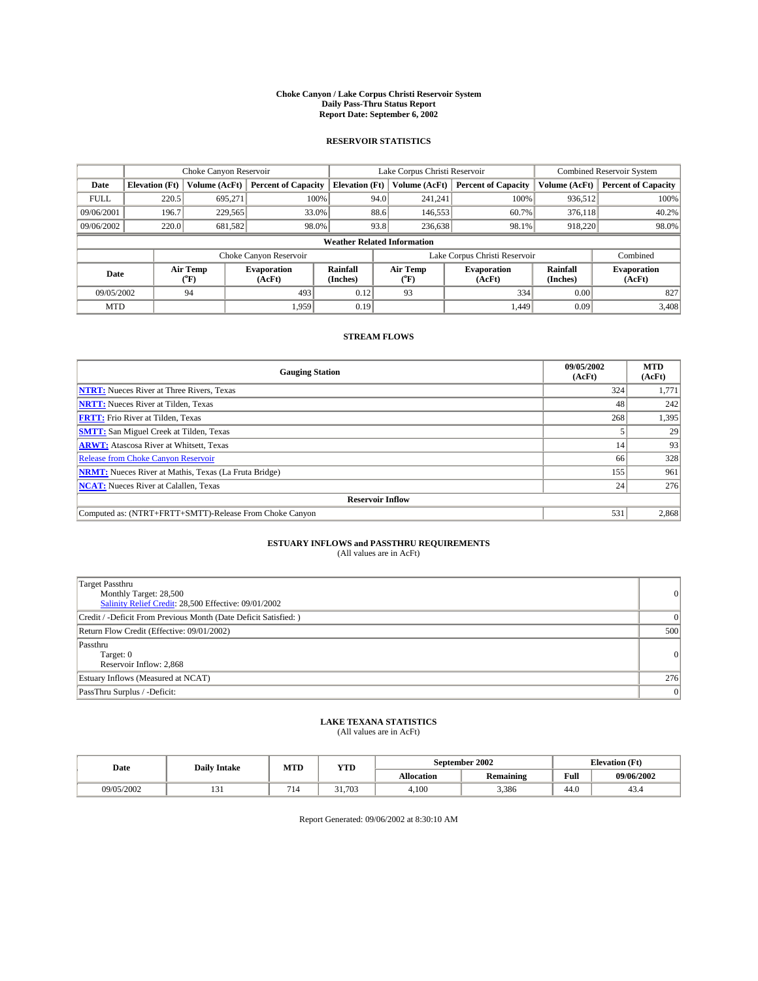#### **Choke Canyon / Lake Corpus Christi Reservoir System Daily Pass-Thru Status Report Report Date: September 6, 2002**

#### **RESERVOIR STATISTICS**

|             |                       | Choke Canyon Reservoir      |                              |                                    |      | Lake Corpus Christi Reservoir | Combined Reservoir System     |                      |                              |
|-------------|-----------------------|-----------------------------|------------------------------|------------------------------------|------|-------------------------------|-------------------------------|----------------------|------------------------------|
| Date        | <b>Elevation</b> (Ft) | Volume (AcFt)               | <b>Percent of Capacity</b>   | <b>Elevation</b> (Ft)              |      | Volume (AcFt)                 | <b>Percent of Capacity</b>    | Volume (AcFt)        | <b>Percent of Capacity</b>   |
| <b>FULL</b> | 220.5                 | 695,271                     | 100%                         |                                    | 94.0 | 241,241                       | 100%                          | 936.512              | 100%                         |
| 09/06/2001  | 196.7                 | 229,565                     | 33.0%                        |                                    | 88.6 | 146,553                       | 60.7%                         | 376.118              | 40.2%                        |
| 09/06/2002  | 220.0                 | 681,582                     | 98.0%                        |                                    | 93.8 |                               | 98.1%<br>236,638              | 918,220              | 98.0%                        |
|             |                       |                             |                              | <b>Weather Related Information</b> |      |                               |                               |                      |                              |
|             |                       |                             | Choke Canyon Reservoir       |                                    |      |                               | Lake Corpus Christi Reservoir |                      | Combined                     |
| Date        |                       | Air Temp<br>${}^{\circ}$ F) | <b>Evaporation</b><br>(AcFt) | <b>Rainfall</b><br>(Inches)        |      | Air Temp<br>("F)              | <b>Evaporation</b><br>(AcFt)  | Rainfall<br>(Inches) | <b>Evaporation</b><br>(AcFt) |
| 09/05/2002  |                       | 94                          | 493                          | 0.12                               |      | 93                            | 334                           | 0.00                 | 827                          |
| <b>MTD</b>  |                       |                             | 1,959                        | 0.19                               |      |                               | 1.449                         | 0.09                 | 3,408                        |

### **STREAM FLOWS**

| <b>Gauging Station</b>                                       | 09/05/2002<br>(AcFt) | <b>MTD</b><br>(AcFt) |  |  |  |  |  |
|--------------------------------------------------------------|----------------------|----------------------|--|--|--|--|--|
| <b>NTRT:</b> Nueces River at Three Rivers, Texas             | 324                  | 1,771                |  |  |  |  |  |
| <b>NRTT:</b> Nueces River at Tilden, Texas                   | 48                   | 242                  |  |  |  |  |  |
| <b>FRTT:</b> Frio River at Tilden, Texas                     | 268                  | 1,395                |  |  |  |  |  |
| <b>SMTT:</b> San Miguel Creek at Tilden, Texas               |                      | 29                   |  |  |  |  |  |
| <b>ARWT:</b> Atascosa River at Whitsett, Texas               | 14                   | 93                   |  |  |  |  |  |
| <b>Release from Choke Canyon Reservoir</b>                   | 66                   | 328                  |  |  |  |  |  |
| <b>NRMT:</b> Nueces River at Mathis, Texas (La Fruta Bridge) | 155                  | 961                  |  |  |  |  |  |
| <b>NCAT:</b> Nueces River at Calallen, Texas                 | 24                   | 276                  |  |  |  |  |  |
| <b>Reservoir Inflow</b>                                      |                      |                      |  |  |  |  |  |
| Computed as: (NTRT+FRTT+SMTT)-Release From Choke Canyon      | 531                  | 2,868                |  |  |  |  |  |

## **ESTUARY INFLOWS and PASSTHRU REQUIREMENTS**<br>(All values are in AcFt)

| <b>Target Passthru</b><br>Monthly Target: 28,500<br>Salinity Relief Credit: 28,500 Effective: 09/01/2002 | $\overline{0}$ |
|----------------------------------------------------------------------------------------------------------|----------------|
| Credit / -Deficit From Previous Month (Date Deficit Satisfied: )                                         | $\Omega$       |
| Return Flow Credit (Effective: 09/01/2002)                                                               | 500            |
| Passthru<br>Target: 0<br>Reservoir Inflow: 2,868                                                         | 0              |
| Estuary Inflows (Measured at NCAT)                                                                       | 276            |
| PassThru Surplus / -Deficit:                                                                             | 0              |

# **LAKE TEXANA STATISTICS** (All values are in AcFt)

| Date       | <b>Daily Intake</b> |     | <b>September 2002</b><br>MTD<br><b>YTD</b> |                   |                  |                | <b>Elevation</b> (Ft) |
|------------|---------------------|-----|--------------------------------------------|-------------------|------------------|----------------|-----------------------|
|            |                     |     |                                            | <b>Allocation</b> | <b>Remaining</b> | Full           | 09/06/2002            |
| 09/05/2002 | $\sim$<br>1 J 1     | 714 | 31.703                                     | 4.100             | 3,386            | $\sim$<br>44.U | 45.5                  |

Report Generated: 09/06/2002 at 8:30:10 AM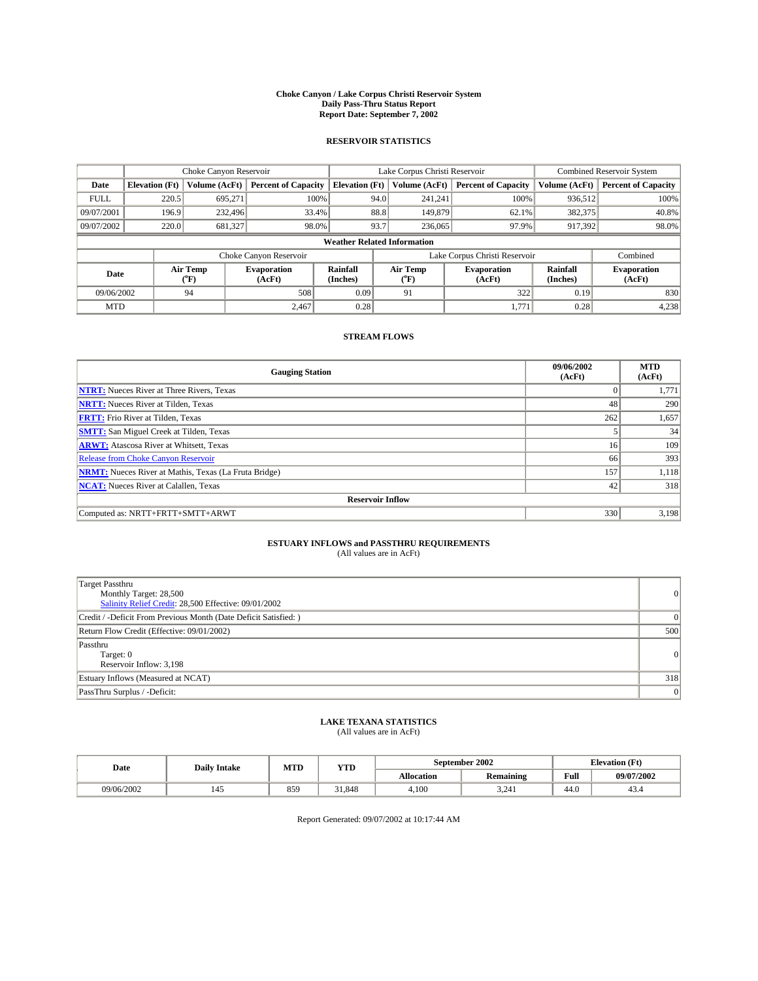#### **Choke Canyon / Lake Corpus Christi Reservoir System Daily Pass-Thru Status Report Report Date: September 7, 2002**

#### **RESERVOIR STATISTICS**

|             | Choke Canyon Reservoir |                  |                              |                                    | Lake Corpus Christi Reservoir |                  |                              |                      | <b>Combined Reservoir System</b> |  |  |
|-------------|------------------------|------------------|------------------------------|------------------------------------|-------------------------------|------------------|------------------------------|----------------------|----------------------------------|--|--|
| Date        | <b>Elevation</b> (Ft)  | Volume (AcFt)    | <b>Percent of Capacity</b>   | <b>Elevation (Ft)</b>              |                               | Volume (AcFt)    | <b>Percent of Capacity</b>   | Volume (AcFt)        | <b>Percent of Capacity</b>       |  |  |
| <b>FULL</b> | 220.5                  | 695,271          | 100%                         |                                    | 94.0                          | 241,241          | 100%                         | 936.512              | 100%                             |  |  |
| 09/07/2001  | 196.9                  | 232,496          | 33.4%                        |                                    | 88.8                          | 149,879          | $62.1\%$                     | 382,375              | 40.8%                            |  |  |
| 09/07/2002  | 220.0                  | 681,327          | 98.0%                        |                                    | 93.7                          | 236,065          | 97.9%                        | 917,392              | 98.0%                            |  |  |
|             |                        |                  |                              | <b>Weather Related Information</b> |                               |                  |                              |                      |                                  |  |  |
|             |                        |                  | Choke Canyon Reservoir       |                                    | Lake Corpus Christi Reservoir |                  |                              |                      | Combined                         |  |  |
| Date        |                        | Air Temp<br>(°F) | <b>Evaporation</b><br>(AcFt) | Rainfall<br>(Inches)               |                               | Air Temp<br>("F) | <b>Evaporation</b><br>(AcFt) | Rainfall<br>(Inches) | <b>Evaporation</b><br>(AcFt)     |  |  |
| 09/06/2002  |                        | 94               | 508                          | 0.09                               |                               | 91               | 322                          | 0.19                 | 830                              |  |  |
| <b>MTD</b>  |                        |                  | 2,467                        | 0.28                               |                               |                  | 1,771                        | 0.28                 | 4,238                            |  |  |

### **STREAM FLOWS**

| <b>Gauging Station</b>                                       | 09/06/2002<br>(AcFt) | <b>MTD</b><br>(AcFt) |
|--------------------------------------------------------------|----------------------|----------------------|
| <b>NTRT:</b> Nueces River at Three Rivers, Texas             |                      | 1,771                |
| <b>NRTT:</b> Nueces River at Tilden, Texas                   | 48                   | 290                  |
| <b>FRTT:</b> Frio River at Tilden, Texas                     | 262                  | 1,657                |
| <b>SMTT:</b> San Miguel Creek at Tilden, Texas               |                      | 34                   |
| <b>ARWT:</b> Atascosa River at Whitsett, Texas               | 16 <sup>1</sup>      | 109                  |
| <b>Release from Choke Canyon Reservoir</b>                   | 66                   | 393                  |
| <b>NRMT:</b> Nueces River at Mathis, Texas (La Fruta Bridge) | 157                  | 1,118                |
| <b>NCAT:</b> Nueces River at Calallen, Texas                 | 42                   | 318                  |
| <b>Reservoir Inflow</b>                                      |                      |                      |
| Computed as: NRTT+FRTT+SMTT+ARWT                             | 330                  | 3,198                |

### **ESTUARY INFLOWS and PASSTHRU REQUIREMENTS**

(All values are in AcFt)

| Target Passthru<br>Monthly Target: 28,500<br>Salinity Relief Credit: 28,500 Effective: 09/01/2002 | $\overline{0}$ |
|---------------------------------------------------------------------------------------------------|----------------|
| Credit / -Deficit From Previous Month (Date Deficit Satisfied: )                                  |                |
| Return Flow Credit (Effective: 09/01/2002)                                                        | 500            |
| Passthru<br>Target: 0<br>Reservoir Inflow: 3,198                                                  | 0              |
| Estuary Inflows (Measured at NCAT)                                                                | 318            |
| PassThru Surplus / -Deficit:                                                                      | 0              |

#### **LAKE TEXANA STATISTICS** (All values are in AcFt)

| (All values are in Acrt) |  |  |
|--------------------------|--|--|
|                          |  |  |

| Date       | MTD<br><b>YTD</b><br><b>Daily Intake</b> |     |        | September 2002    | <b>Elevation</b> (Ft) |                |            |
|------------|------------------------------------------|-----|--------|-------------------|-----------------------|----------------|------------|
|            |                                          |     |        | <b>Allocation</b> | <b>Remaining</b>      | Full           | 09/07/2002 |
| 09/06/2002 | 145                                      | 859 | 31.848 | 4,100             | 3,241                 | $\sim$<br>44.V | 45.4       |

Report Generated: 09/07/2002 at 10:17:44 AM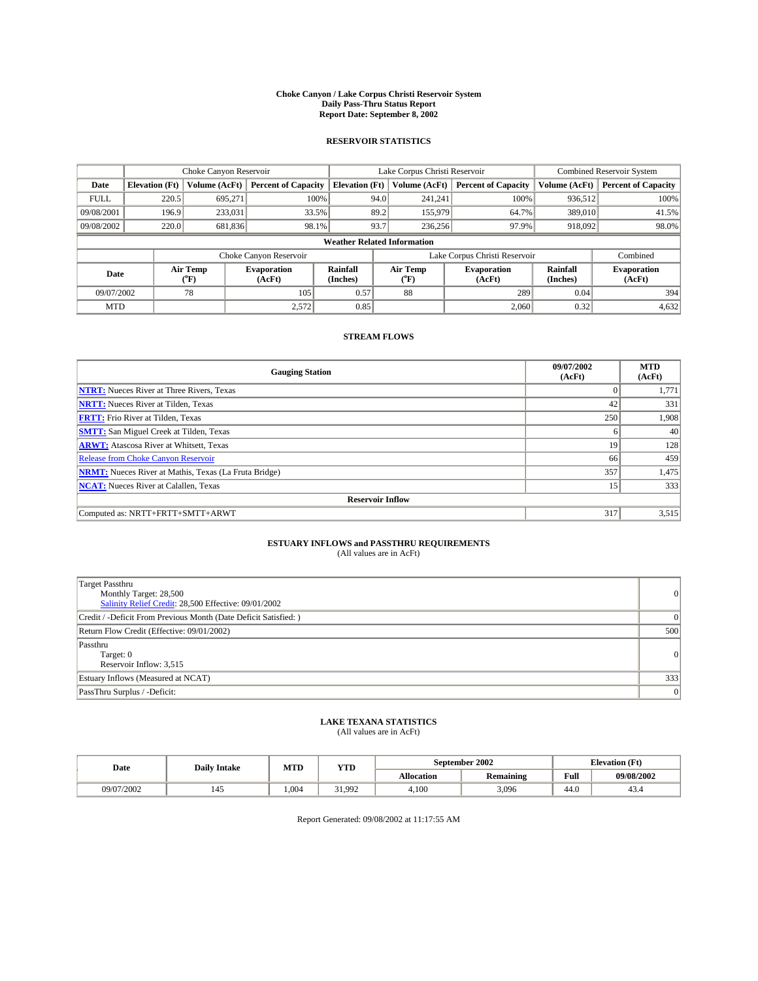#### **Choke Canyon / Lake Corpus Christi Reservoir System Daily Pass-Thru Status Report Report Date: September 8, 2002**

#### **RESERVOIR STATISTICS**

|             | Choke Canyon Reservoir |                  |                              |                                    | Lake Corpus Christi Reservoir |                  |                               |                      | <b>Combined Reservoir System</b> |  |  |
|-------------|------------------------|------------------|------------------------------|------------------------------------|-------------------------------|------------------|-------------------------------|----------------------|----------------------------------|--|--|
| Date        | <b>Elevation</b> (Ft)  | Volume (AcFt)    | <b>Percent of Capacity</b>   | <b>Elevation (Ft)</b>              |                               | Volume (AcFt)    | <b>Percent of Capacity</b>    | Volume (AcFt)        | <b>Percent of Capacity</b>       |  |  |
| <b>FULL</b> | 220.5                  | 695,271          | 100%                         |                                    | 94.0                          | 241,241          | 100%                          | 936.512              | 100%                             |  |  |
| 09/08/2001  | 196.9                  | 233,031          | 33.5%                        |                                    | 89.2                          | 155,979          | 64.7%                         | 389,010              | 41.5%                            |  |  |
| 09/08/2002  | 220.0                  | 681,836          | 98.1%                        |                                    | 93.7                          | 236,256          | 97.9%                         | 918,092              | 98.0%                            |  |  |
|             |                        |                  |                              | <b>Weather Related Information</b> |                               |                  |                               |                      |                                  |  |  |
|             |                        |                  | Choke Canyon Reservoir       |                                    |                               |                  | Lake Corpus Christi Reservoir |                      | Combined                         |  |  |
| Date        |                        | Air Temp<br>(°F) | <b>Evaporation</b><br>(AcFt) | Rainfall<br>(Inches)               |                               | Air Temp<br>("F) | <b>Evaporation</b><br>(AcFt)  | Rainfall<br>(Inches) | <b>Evaporation</b><br>(AcFt)     |  |  |
| 09/07/2002  |                        | 78               | 105                          | 0.57                               |                               | 88               | 289                           | 0.04                 | 394                              |  |  |
| <b>MTD</b>  |                        |                  | 2,572                        | 0.85                               |                               |                  | 2,060                         | 0.32                 | 4,632                            |  |  |

### **STREAM FLOWS**

| <b>Gauging Station</b>                                       | 09/07/2002<br>(AcFt) | <b>MTD</b><br>(AcFt) |
|--------------------------------------------------------------|----------------------|----------------------|
| <b>NTRT:</b> Nueces River at Three Rivers, Texas             |                      | 1,771                |
| <b>NRTT:</b> Nueces River at Tilden, Texas                   | 42                   | 331                  |
| <b>FRTT:</b> Frio River at Tilden, Texas                     | 250                  | 1,908                |
| <b>SMTT:</b> San Miguel Creek at Tilden, Texas               | 6                    | 40                   |
| <b>ARWT:</b> Atascosa River at Whitsett, Texas               | 19                   | 128                  |
| <b>Release from Choke Canyon Reservoir</b>                   | 66                   | 459                  |
| <b>NRMT:</b> Nueces River at Mathis, Texas (La Fruta Bridge) | 357                  | 1,475                |
| <b>NCAT:</b> Nueces River at Calallen, Texas                 | 15                   | 333                  |
| <b>Reservoir Inflow</b>                                      |                      |                      |
| Computed as: NRTT+FRTT+SMTT+ARWT                             | 317                  | 3,515                |

## **ESTUARY INFLOWS and PASSTHRU REQUIREMENTS**<br>(All values are in AcFt)

| Target Passthru<br>Monthly Target: 28,500<br>Salinity Relief Credit: 28,500 Effective: 09/01/2002 | $\overline{0}$ |
|---------------------------------------------------------------------------------------------------|----------------|
| Credit / -Deficit From Previous Month (Date Deficit Satisfied: )                                  |                |
| Return Flow Credit (Effective: 09/01/2002)                                                        | 500            |
| Passthru<br>Target: 0<br>Reservoir Inflow: 3,515                                                  | 0              |
| Estuary Inflows (Measured at NCAT)                                                                | 333            |
| PassThru Surplus / -Deficit:                                                                      | 0              |

#### **LAKE TEXANA STATISTICS** (All values are in AcFt)

| (All values are in ACFt) |  |  |
|--------------------------|--|--|
|                          |  |  |

| Date       | <b>Daily Intake</b> | MTD  | September 2002<br><b>YTD</b> |                   |                  |                | <b>Elevation</b> (Ft) |
|------------|---------------------|------|------------------------------|-------------------|------------------|----------------|-----------------------|
|            |                     |      |                              | <b>Allocation</b> | <b>Remaining</b> | Full           | 09/08/2002            |
| 09/07/2002 | 142                 | .004 | 31.992                       | 4,100             | 3,096            | $\sim$<br>44.U | 45.4                  |

Report Generated: 09/08/2002 at 11:17:55 AM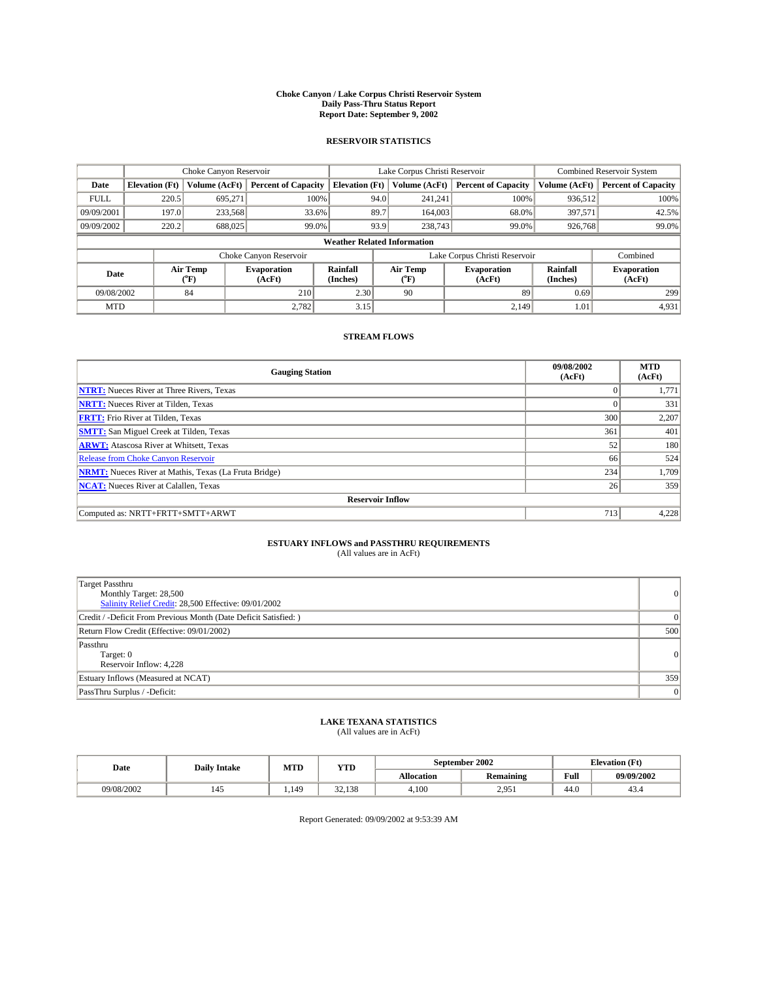#### **Choke Canyon / Lake Corpus Christi Reservoir System Daily Pass-Thru Status Report Report Date: September 9, 2002**

#### **RESERVOIR STATISTICS**

|             | Choke Canyon Reservoir |                  |                              |                                    | Lake Corpus Christi Reservoir             |                  |                              |                      | <b>Combined Reservoir System</b> |  |  |
|-------------|------------------------|------------------|------------------------------|------------------------------------|-------------------------------------------|------------------|------------------------------|----------------------|----------------------------------|--|--|
| Date        | <b>Elevation</b> (Ft)  | Volume (AcFt)    | <b>Percent of Capacity</b>   | <b>Elevation (Ft)</b>              |                                           | Volume (AcFt)    | <b>Percent of Capacity</b>   | Volume (AcFt)        | <b>Percent of Capacity</b>       |  |  |
| <b>FULL</b> | 220.5                  | 695,271          | 100%                         |                                    | 94.0                                      | 241,241          | 100%                         | 936.512              | 100%                             |  |  |
| 09/09/2001  | 197.0                  | 233,568          | 33.6%                        |                                    | 89.7                                      | 164,003          | 68.0%                        | 397.571              | 42.5%                            |  |  |
| 09/09/2002  | 220.2                  | 688,025          | 99.0%                        |                                    | 93.9                                      | 238,743          | 99.0%                        | 926,768              | 99.0%                            |  |  |
|             |                        |                  |                              | <b>Weather Related Information</b> |                                           |                  |                              |                      |                                  |  |  |
|             |                        |                  | Choke Canyon Reservoir       |                                    | Lake Corpus Christi Reservoir<br>Combined |                  |                              |                      |                                  |  |  |
| Date        |                        | Air Temp<br>(°F) | <b>Evaporation</b><br>(AcFt) | Rainfall<br>(Inches)               |                                           | Air Temp<br>("F) | <b>Evaporation</b><br>(AcFt) | Rainfall<br>(Inches) | <b>Evaporation</b><br>(AcFt)     |  |  |
| 09/08/2002  |                        | 84               | 210                          | 2.30                               |                                           | 90               | 89                           | 0.69                 | 299                              |  |  |
| <b>MTD</b>  |                        |                  | 2,782                        | 3.15                               |                                           |                  | 2.149                        | 1.01                 | 4,931                            |  |  |

### **STREAM FLOWS**

| <b>Gauging Station</b>                                       | 09/08/2002<br>(AcFt) | <b>MTD</b><br>(AcFt) |  |  |  |  |  |
|--------------------------------------------------------------|----------------------|----------------------|--|--|--|--|--|
| <b>NTRT:</b> Nueces River at Three Rivers, Texas             |                      | 1,771                |  |  |  |  |  |
| <b>NRTT:</b> Nueces River at Tilden, Texas                   |                      | 331                  |  |  |  |  |  |
| <b>FRTT:</b> Frio River at Tilden, Texas                     | 300                  | 2,207                |  |  |  |  |  |
| <b>SMTT:</b> San Miguel Creek at Tilden, Texas               | 361                  | 401                  |  |  |  |  |  |
| <b>ARWT:</b> Atascosa River at Whitsett, Texas               | 52                   | 180                  |  |  |  |  |  |
| <b>Release from Choke Canyon Reservoir</b>                   | 66                   | 524                  |  |  |  |  |  |
| <b>NRMT:</b> Nueces River at Mathis, Texas (La Fruta Bridge) | 234                  | 1,709                |  |  |  |  |  |
| <b>NCAT:</b> Nueces River at Calallen, Texas                 | 26                   | 359                  |  |  |  |  |  |
| <b>Reservoir Inflow</b>                                      |                      |                      |  |  |  |  |  |
| Computed as: NRTT+FRTT+SMTT+ARWT                             | 713                  | 4,228                |  |  |  |  |  |

## **ESTUARY INFLOWS and PASSTHRU REQUIREMENTS**<br>(All values are in AcFt)

| Target Passthru<br>Monthly Target: 28,500<br>Salinity Relief Credit: 28,500 Effective: 09/01/2002 | $\overline{0}$ |
|---------------------------------------------------------------------------------------------------|----------------|
| Credit / -Deficit From Previous Month (Date Deficit Satisfied: )                                  |                |
| Return Flow Credit (Effective: 09/01/2002)                                                        | 500            |
| Passthru<br>Target: 0<br>Reservoir Inflow: 4,228                                                  | 0              |
| Estuary Inflows (Measured at NCAT)                                                                | 359            |
| PassThru Surplus / -Deficit:                                                                      | 0              |

#### **LAKE TEXANA STATISTICS** (All values are in AcFt)

| (All values are in AcFt) |  |  |  |
|--------------------------|--|--|--|
|                          |  |  |  |

| Date       | <b>Daily Intake</b> | MTD  | YTD    |                   | September 2002        |                | <b>Elevation</b> (Ft) |
|------------|---------------------|------|--------|-------------------|-----------------------|----------------|-----------------------|
|            |                     |      |        | <b>Allocation</b> | <b>Remaining</b>      | Full           | 09/09/2002            |
| 09/08/2002 | 145                 | .149 | 32.138 | 4,100             | $2.95^\circ$<br>2,701 | $\sim$<br>44.V | $4\leq$<br>۰. د       |

Report Generated: 09/09/2002 at 9:53:39 AM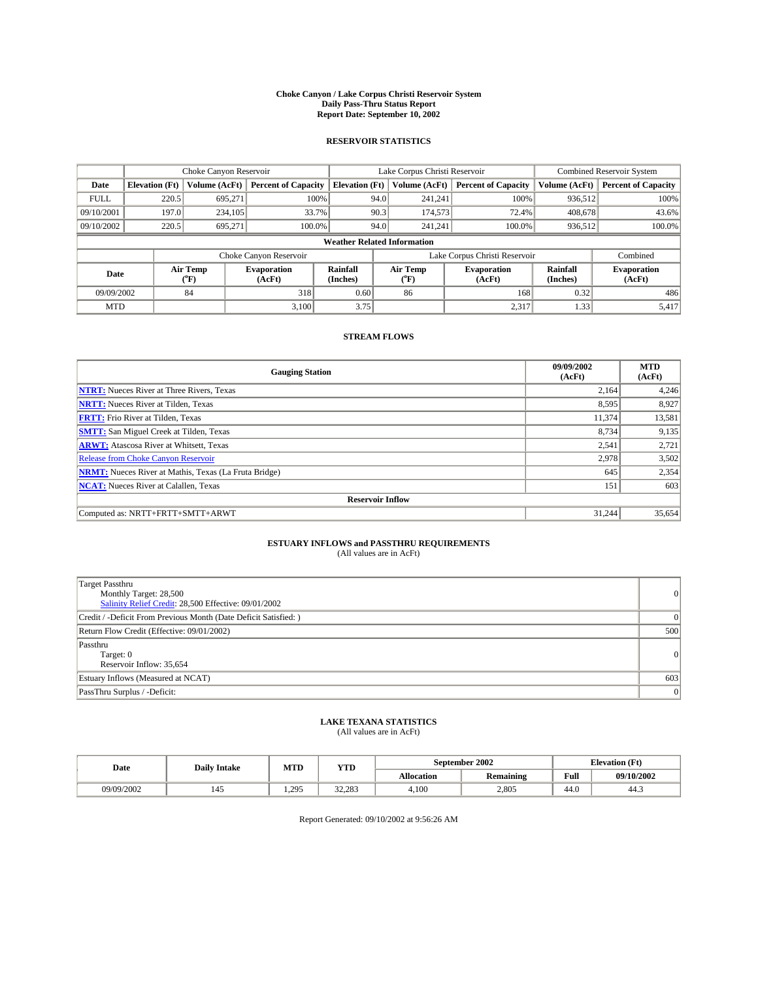#### **Choke Canyon / Lake Corpus Christi Reservoir System Daily Pass-Thru Status Report Report Date: September 10, 2002**

#### **RESERVOIR STATISTICS**

|             | Choke Canyon Reservoir             |                  |                              |                       | Lake Corpus Christi Reservoir |                  |                               |                      | <b>Combined Reservoir System</b> |  |  |
|-------------|------------------------------------|------------------|------------------------------|-----------------------|-------------------------------|------------------|-------------------------------|----------------------|----------------------------------|--|--|
| Date        | <b>Elevation</b> (Ft)              | Volume (AcFt)    | <b>Percent of Capacity</b>   | <b>Elevation (Ft)</b> |                               | Volume (AcFt)    | <b>Percent of Capacity</b>    | Volume (AcFt)        | <b>Percent of Capacity</b>       |  |  |
| <b>FULL</b> | 220.5                              | 695,271          | 100%                         |                       | 94.0                          | 241,241          | 100%                          | 936.512              | 100%                             |  |  |
| 09/10/2001  | 197.0                              | 234,105          | 33.7%                        |                       | 90.3                          | 174,573          | 72.4%                         | 408,678              | 43.6%                            |  |  |
| 09/10/2002  | 220.5                              | 695.271          | 100.0%                       |                       | 94.0                          | 241.241          | $100.0\%$                     | 936,512              | 100.0%                           |  |  |
|             | <b>Weather Related Information</b> |                  |                              |                       |                               |                  |                               |                      |                                  |  |  |
|             |                                    |                  | Choke Canyon Reservoir       |                       |                               |                  | Lake Corpus Christi Reservoir |                      | Combined                         |  |  |
| Date        |                                    | Air Temp<br>(°F) | <b>Evaporation</b><br>(AcFt) | Rainfall<br>(Inches)  |                               | Air Temp<br>("F) | <b>Evaporation</b><br>(AcFt)  | Rainfall<br>(Inches) | <b>Evaporation</b><br>(AcFt)     |  |  |
| 09/09/2002  |                                    | 84               | 318                          | 0.60                  |                               | 86               | 168                           | 0.32                 | 486                              |  |  |
| <b>MTD</b>  |                                    |                  | 3,100                        | 3.75                  |                               |                  | 2,317                         | 1.33                 | 5,417                            |  |  |

### **STREAM FLOWS**

| <b>Gauging Station</b>                                       | 09/09/2002<br>(AcFt) | <b>MTD</b><br>(AcFt) |  |  |  |  |
|--------------------------------------------------------------|----------------------|----------------------|--|--|--|--|
| <b>NTRT:</b> Nueces River at Three Rivers, Texas             | 2,164                | 4,246                |  |  |  |  |
| <b>NRTT:</b> Nueces River at Tilden, Texas                   | 8,595                | 8,927                |  |  |  |  |
| <b>FRTT:</b> Frio River at Tilden, Texas                     | 11,374               | 13,581               |  |  |  |  |
| <b>SMTT:</b> San Miguel Creek at Tilden, Texas               | 8.734                | 9,135                |  |  |  |  |
| <b>ARWT:</b> Atascosa River at Whitsett, Texas               | 2,541                | 2,721                |  |  |  |  |
| <b>Release from Choke Canyon Reservoir</b>                   | 2,978                | 3,502                |  |  |  |  |
| <b>NRMT:</b> Nueces River at Mathis, Texas (La Fruta Bridge) | 645                  | 2,354                |  |  |  |  |
| <b>NCAT:</b> Nueces River at Calallen, Texas                 | 151                  | 603                  |  |  |  |  |
| <b>Reservoir Inflow</b>                                      |                      |                      |  |  |  |  |
| Computed as: NRTT+FRTT+SMTT+ARWT                             | 31,244               | 35,654               |  |  |  |  |

### **ESTUARY INFLOWS and PASSTHRU REQUIREMENTS**

(All values are in AcFt)

| <b>Target Passthru</b><br>Monthly Target: 28,500<br>Salinity Relief Credit: 28,500 Effective: 09/01/2002 | $\overline{0}$ |
|----------------------------------------------------------------------------------------------------------|----------------|
| Credit / -Deficit From Previous Month (Date Deficit Satisfied: )                                         |                |
| Return Flow Credit (Effective: 09/01/2002)                                                               | 500            |
| Passthru<br>Target: 0<br>Reservoir Inflow: 35,654                                                        | 0              |
| Estuary Inflows (Measured at NCAT)                                                                       | 603            |
| PassThru Surplus / -Deficit:                                                                             | 0              |

# **LAKE TEXANA STATISTICS** (All values are in AcFt)

| Date       | <b>Daily Intake</b> | MTD   | YTD    |                   | September 2002   |                | <b>Elevation</b> (Ft) |
|------------|---------------------|-------|--------|-------------------|------------------|----------------|-----------------------|
|            |                     |       |        | <b>Allocation</b> | <b>Remaining</b> | Full           | 09/10/2002            |
| 09/09/2002 | 145                 | 1.295 | 32.283 | 4,100             | 2,805            | $\sim$<br>44.V | 44.5                  |

Report Generated: 09/10/2002 at 9:56:26 AM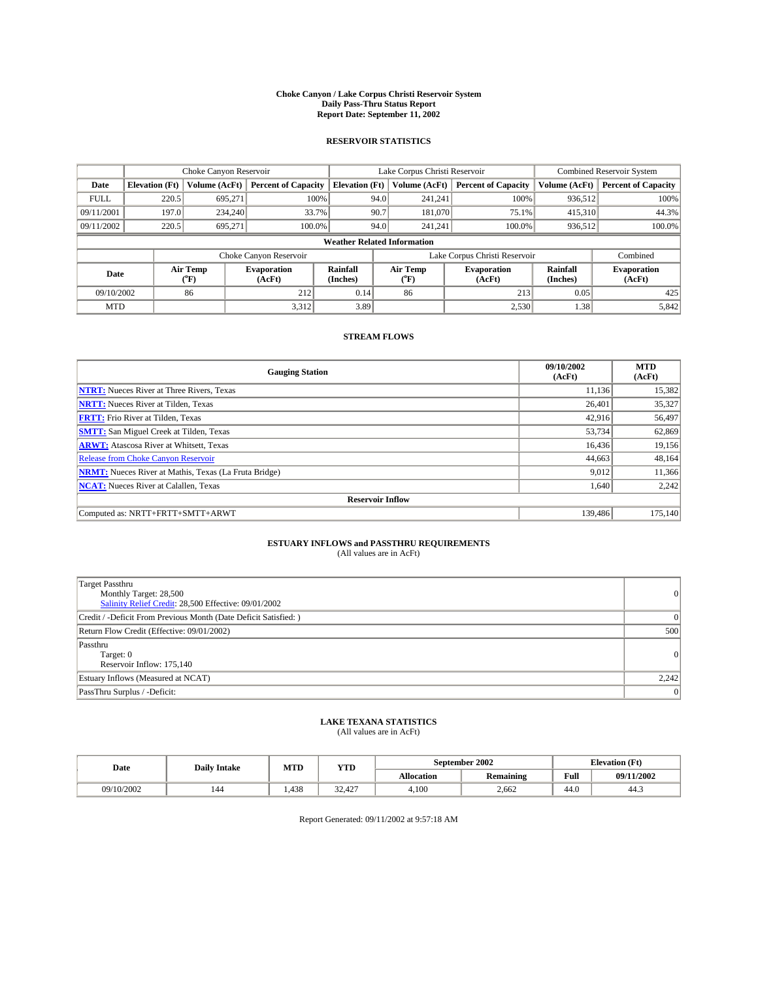#### **Choke Canyon / Lake Corpus Christi Reservoir System Daily Pass-Thru Status Report Report Date: September 11, 2002**

#### **RESERVOIR STATISTICS**

|             | Choke Canyon Reservoir             |                  |                              |                       | Lake Corpus Christi Reservoir |                  |                               |                      | <b>Combined Reservoir System</b> |  |  |
|-------------|------------------------------------|------------------|------------------------------|-----------------------|-------------------------------|------------------|-------------------------------|----------------------|----------------------------------|--|--|
| Date        | <b>Elevation</b> (Ft)              | Volume (AcFt)    | <b>Percent of Capacity</b>   | <b>Elevation (Ft)</b> |                               | Volume (AcFt)    | <b>Percent of Capacity</b>    | Volume (AcFt)        | <b>Percent of Capacity</b>       |  |  |
| <b>FULL</b> | 220.5                              | 695,271          |                              | 100%                  | 94.0                          | 241,241          | 100%                          | 936.512              | 100%                             |  |  |
| 09/11/2001  | 197.0                              | 234,240          | 33.7%                        |                       | 90.7                          | 181,070          | 75.1%                         | 415,310              | 44.3%                            |  |  |
| 09/11/2002  | 220.5                              | 695.271          | 100.0%                       |                       | 94.0                          | 241.241          | $100.0\%$                     | 936,512              | 100.0%                           |  |  |
|             | <b>Weather Related Information</b> |                  |                              |                       |                               |                  |                               |                      |                                  |  |  |
|             |                                    |                  | Choke Canyon Reservoir       |                       |                               |                  | Lake Corpus Christi Reservoir |                      | Combined                         |  |  |
| Date        |                                    | Air Temp<br>(°F) | <b>Evaporation</b><br>(AcFt) | Rainfall<br>(Inches)  |                               | Air Temp<br>("F) | <b>Evaporation</b><br>(AcFt)  | Rainfall<br>(Inches) | <b>Evaporation</b><br>(AcFt)     |  |  |
| 09/10/2002  |                                    | 86               | 212                          | 0.14                  |                               | 86               | 213                           | 0.05                 | 425                              |  |  |
| <b>MTD</b>  |                                    |                  | 3,312                        | 3.89                  |                               |                  | 2,530                         | 1.38                 | 5,842                            |  |  |

### **STREAM FLOWS**

| <b>Gauging Station</b>                                       | 09/10/2002<br>(AcFt) | <b>MTD</b><br>(AcFt) |  |  |  |  |
|--------------------------------------------------------------|----------------------|----------------------|--|--|--|--|
| <b>NTRT:</b> Nueces River at Three Rivers, Texas             | 11.136               | 15,382               |  |  |  |  |
| <b>NRTT:</b> Nueces River at Tilden, Texas                   | 26,401               | 35,327               |  |  |  |  |
| <b>FRTT:</b> Frio River at Tilden, Texas                     | 42,916               | 56,497               |  |  |  |  |
| <b>SMTT:</b> San Miguel Creek at Tilden, Texas               | 53,734               | 62,869               |  |  |  |  |
| <b>ARWT:</b> Atascosa River at Whitsett, Texas               | 16,436               | 19,156               |  |  |  |  |
| Release from Choke Canyon Reservoir                          | 44,663               | 48,164               |  |  |  |  |
| <b>NRMT:</b> Nueces River at Mathis, Texas (La Fruta Bridge) | 9,012                | 11,366               |  |  |  |  |
| <b>NCAT:</b> Nueces River at Calallen, Texas                 | 1,640                | 2,242                |  |  |  |  |
| <b>Reservoir Inflow</b>                                      |                      |                      |  |  |  |  |
| Computed as: NRTT+FRTT+SMTT+ARWT                             | 139,486              | 175,140              |  |  |  |  |

### **ESTUARY INFLOWS and PASSTHRU REQUIREMENTS**

(All values are in AcFt)

| <b>Target Passthru</b><br>Monthly Target: 28,500<br>Salinity Relief Credit: 28,500 Effective: 09/01/2002 | 0              |
|----------------------------------------------------------------------------------------------------------|----------------|
| Credit / -Deficit From Previous Month (Date Deficit Satisfied: )                                         | $\overline{0}$ |
| Return Flow Credit (Effective: 09/01/2002)                                                               | 500            |
| Passthru<br>Target: 0<br>Reservoir Inflow: 175,140                                                       | 0              |
| Estuary Inflows (Measured at NCAT)                                                                       | 2,242          |
| PassThru Surplus / -Deficit:                                                                             | 0              |

# **LAKE TEXANA STATISTICS** (All values are in AcFt)

| Date       | <b>Daily Intake</b> | MTD  | <b>YTD</b>              |                   | September 2002                           |                | <b>Elevation</b> (Ft) |
|------------|---------------------|------|-------------------------|-------------------|------------------------------------------|----------------|-----------------------|
|            |                     |      |                         | <b>Allocation</b> | $\ddot{\phantom{a}}$<br><b>Remaining</b> | Full           | 09/11/2002            |
| 09/10/2002 | 144                 | .438 | $\sim$<br>407<br>34.42. | 4,100             | 2.662                                    | $\sim$<br>44.v | 44.                   |

Report Generated: 09/11/2002 at 9:57:18 AM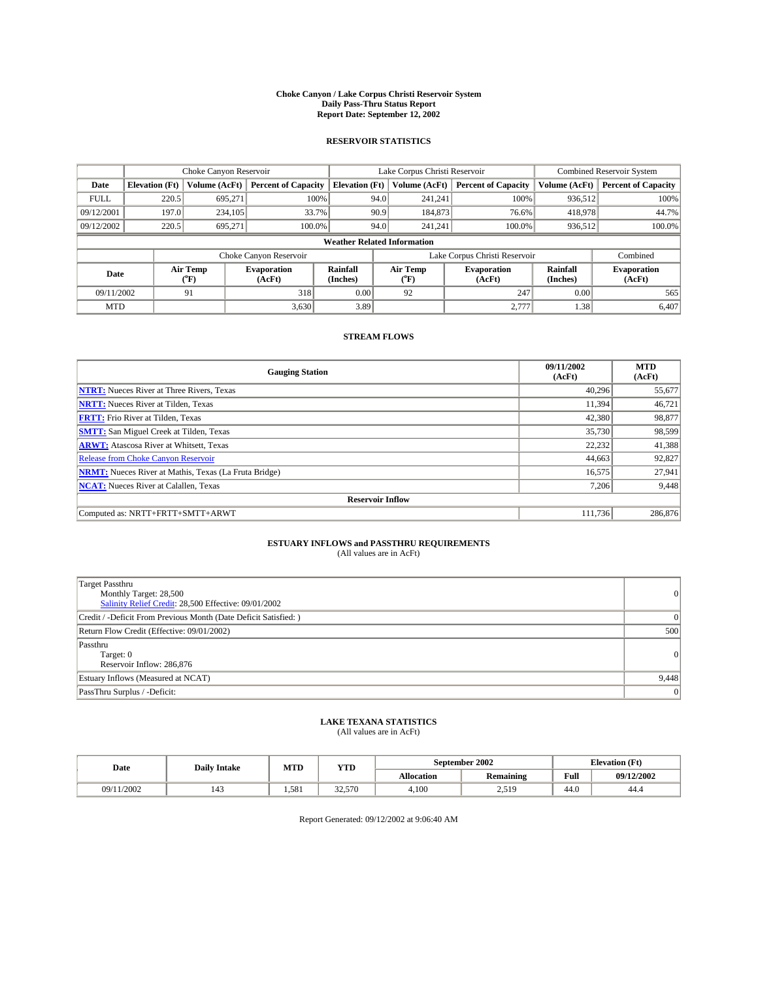#### **Choke Canyon / Lake Corpus Christi Reservoir System Daily Pass-Thru Status Report Report Date: September 12, 2002**

#### **RESERVOIR STATISTICS**

|             | Choke Canyon Reservoir             |                  | Lake Corpus Christi Reservoir |                       |      |                  | <b>Combined Reservoir System</b> |                      |                              |
|-------------|------------------------------------|------------------|-------------------------------|-----------------------|------|------------------|----------------------------------|----------------------|------------------------------|
| Date        | <b>Elevation</b> (Ft)              | Volume (AcFt)    | <b>Percent of Capacity</b>    | <b>Elevation (Ft)</b> |      | Volume (AcFt)    | <b>Percent of Capacity</b>       | Volume (AcFt)        | <b>Percent of Capacity</b>   |
| <b>FULL</b> | 220.5                              | 695,271          |                               | 100%                  | 94.0 | 241,241          | 100%                             | 936.512              | 100%                         |
| 09/12/2001  | 197.0                              | 234,105          |                               | 33.7%                 | 90.9 | 184,873          | 76.6%                            | 418,978              | 44.7%                        |
| 09/12/2002  | 220.5                              | 695.271          | 100.0%                        |                       | 94.0 | 241.241          | $100.0\%$                        | 936,512              | 100.0%                       |
|             | <b>Weather Related Information</b> |                  |                               |                       |      |                  |                                  |                      |                              |
|             |                                    |                  | Choke Canyon Reservoir        |                       |      |                  | Lake Corpus Christi Reservoir    |                      | Combined                     |
| Date        |                                    | Air Temp<br>(°F) | <b>Evaporation</b><br>(AcFt)  | Rainfall<br>(Inches)  |      | Air Temp<br>("F) | <b>Evaporation</b><br>(AcFt)     | Rainfall<br>(Inches) | <b>Evaporation</b><br>(AcFt) |
| 09/11/2002  |                                    | 91               | 318                           | 0.00                  |      | 92               | 247                              | 0.00                 | 565                          |
| <b>MTD</b>  |                                    |                  | 3,630                         | 3.89                  |      |                  | 2,777                            | 1.38                 | 6,407                        |

### **STREAM FLOWS**

| <b>Gauging Station</b>                                       | 09/11/2002<br>(AcFt) | <b>MTD</b><br>(AcFt) |  |  |  |  |  |
|--------------------------------------------------------------|----------------------|----------------------|--|--|--|--|--|
| <b>NTRT:</b> Nueces River at Three Rivers, Texas             | 40,296               | 55,677               |  |  |  |  |  |
| <b>NRTT:</b> Nueces River at Tilden, Texas                   | 11.394               | 46,721               |  |  |  |  |  |
| <b>FRTT:</b> Frio River at Tilden, Texas                     | 42,380               | 98,877               |  |  |  |  |  |
| <b>SMTT:</b> San Miguel Creek at Tilden, Texas               | 35,730               | 98,599               |  |  |  |  |  |
| <b>ARWT:</b> Atascosa River at Whitsett, Texas               | 22,232               | 41,388               |  |  |  |  |  |
| <b>Release from Choke Canyon Reservoir</b>                   | 44,663               | 92,827               |  |  |  |  |  |
| <b>NRMT:</b> Nueces River at Mathis, Texas (La Fruta Bridge) | 16,575               | 27,941               |  |  |  |  |  |
| <b>NCAT:</b> Nueces River at Calallen, Texas                 | 7,206                | 9,448                |  |  |  |  |  |
| <b>Reservoir Inflow</b>                                      |                      |                      |  |  |  |  |  |
| Computed as: NRTT+FRTT+SMTT+ARWT                             | 111.736              | 286,876              |  |  |  |  |  |

### **ESTUARY INFLOWS and PASSTHRU REQUIREMENTS**

(All values are in AcFt)

| <b>Target Passthru</b><br>Monthly Target: 28,500<br>Salinity Relief Credit: 28,500 Effective: 09/01/2002 | 0              |
|----------------------------------------------------------------------------------------------------------|----------------|
| Credit / -Deficit From Previous Month (Date Deficit Satisfied: )                                         | $\overline{0}$ |
| Return Flow Credit (Effective: 09/01/2002)                                                               | 500            |
| Passthru<br>Target: 0<br>Reservoir Inflow: 286,876                                                       | 0              |
| Estuary Inflows (Measured at NCAT)                                                                       | 9,448          |
| PassThru Surplus / -Deficit:                                                                             | 0              |

# **LAKE TEXANA STATISTICS** (All values are in AcFt)

| Date        | <b>Daily Intake</b> | MTD   | <b>YTD</b> |                   | September 2002                           | <b>Elevation</b> (Ft) |            |
|-------------|---------------------|-------|------------|-------------------|------------------------------------------|-----------------------|------------|
|             |                     |       |            | <b>Allocation</b> | $\ddot{\phantom{a}}$<br><b>Remaining</b> | Full                  | 09/12/2002 |
| 1/2002<br>ю | 143                 | 1.581 | 32,570     | 4,100             | 510<br>ر 1 ب                             | $\sim$<br>44.U        | 44.4       |

Report Generated: 09/12/2002 at 9:06:40 AM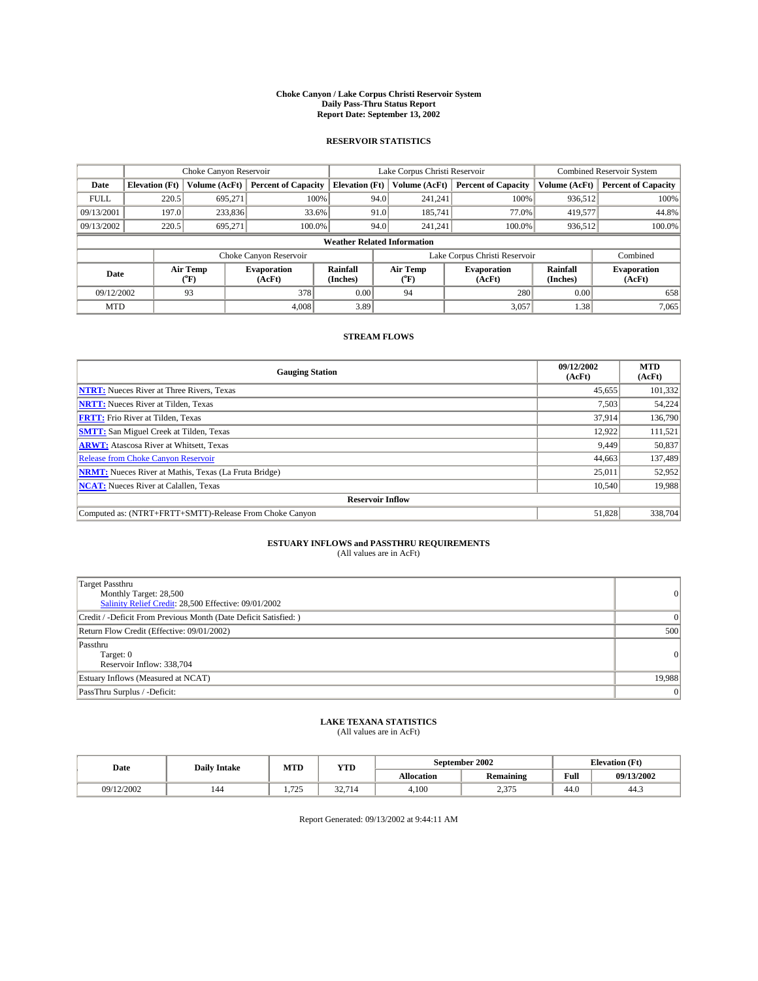#### **Choke Canyon / Lake Corpus Christi Reservoir System Daily Pass-Thru Status Report Report Date: September 13, 2002**

#### **RESERVOIR STATISTICS**

|             | Choke Canyon Reservoir             |                             |                              |                             | Lake Corpus Christi Reservoir |                  |                               |                             | Combined Reservoir System    |  |  |
|-------------|------------------------------------|-----------------------------|------------------------------|-----------------------------|-------------------------------|------------------|-------------------------------|-----------------------------|------------------------------|--|--|
| Date        | <b>Elevation</b> (Ft)              | Volume (AcFt)               | <b>Percent of Capacity</b>   | <b>Elevation</b> (Ft)       |                               | Volume (AcFt)    | <b>Percent of Capacity</b>    | Volume (AcFt)               | <b>Percent of Capacity</b>   |  |  |
| <b>FULL</b> | 220.5                              | 695,271                     |                              | 100%                        | 94.0                          | 241,241          | 100%                          | 936.512                     | 100%                         |  |  |
| 09/13/2001  | 197.0                              | 233,836                     | 33.6%                        |                             | 91.0                          | 185.741          | 77.0%                         | 419,577                     | 44.8%                        |  |  |
| 09/13/2002  | 220.5                              | 695.271                     | 100.0%                       |                             | 94.0                          | 241.241          | $100.0\%$                     | 936,512                     | 100.0%                       |  |  |
|             | <b>Weather Related Information</b> |                             |                              |                             |                               |                  |                               |                             |                              |  |  |
|             |                                    |                             | Choke Canyon Reservoir       |                             |                               |                  | Lake Corpus Christi Reservoir |                             | Combined                     |  |  |
| Date        |                                    | Air Temp<br>${}^{\circ}$ F) | <b>Evaporation</b><br>(AcFt) | <b>Rainfall</b><br>(Inches) |                               | Air Temp<br>("F) | <b>Evaporation</b><br>(AcFt)  | <b>Rainfall</b><br>(Inches) | <b>Evaporation</b><br>(AcFt) |  |  |
| 09/12/2002  |                                    | 93                          | 378                          | 0.00                        |                               | 94               | 280                           | 0.00                        | 658                          |  |  |
| <b>MTD</b>  |                                    |                             | 4.008                        | 3.89                        |                               |                  | 3,057                         | 1.38                        | 7,065                        |  |  |

### **STREAM FLOWS**

| <b>Gauging Station</b>                                       | 09/12/2002<br>(AcFt) | <b>MTD</b><br>(AcFt) |  |  |  |  |
|--------------------------------------------------------------|----------------------|----------------------|--|--|--|--|
| <b>NTRT:</b> Nueces River at Three Rivers, Texas             | 45,655               | 101,332              |  |  |  |  |
| <b>NRTT:</b> Nueces River at Tilden, Texas                   | 7,503                | 54,224               |  |  |  |  |
| <b>FRTT:</b> Frio River at Tilden, Texas                     | 37.914               | 136,790              |  |  |  |  |
| <b>SMTT:</b> San Miguel Creek at Tilden, Texas               | 12,922               | 111,521              |  |  |  |  |
| <b>ARWT:</b> Atascosa River at Whitsett, Texas               | 9,449                | 50,837               |  |  |  |  |
| <b>Release from Choke Canyon Reservoir</b>                   | 44,663               | 137,489              |  |  |  |  |
| <b>NRMT:</b> Nueces River at Mathis, Texas (La Fruta Bridge) | 25,011               | 52,952               |  |  |  |  |
| <b>NCAT:</b> Nueces River at Calallen, Texas                 | 10,540               | 19,988               |  |  |  |  |
| <b>Reservoir Inflow</b>                                      |                      |                      |  |  |  |  |
| Computed as: (NTRT+FRTT+SMTT)-Release From Choke Canyon      | 51.828               | 338,704              |  |  |  |  |

# **ESTUARY INFLOWS and PASSTHRU REQUIREMENTS**<br>(All values are in AcFt)

| <b>Target Passthru</b>                                           |          |
|------------------------------------------------------------------|----------|
| Monthly Target: 28,500                                           | $\Omega$ |
| Salinity Relief Credit: 28,500 Effective: 09/01/2002             |          |
| Credit / -Deficit From Previous Month (Date Deficit Satisfied: ) | $\Omega$ |
| Return Flow Credit (Effective: 09/01/2002)                       | 500      |
| Passthru                                                         |          |
| Target: 0                                                        | $\Omega$ |
| Reservoir Inflow: 338,704                                        |          |
| Estuary Inflows (Measured at NCAT)                               | 19.988   |
| PassThru Surplus / -Deficit:                                     | 0        |

# **LAKE TEXANA STATISTICS** (All values are in AcFt)

| Date       | <b>Daily Intake</b> | MTD                                    | <b>YTD</b>          | September 2002    |                          | <b>Elevation</b> (Ft) |            |
|------------|---------------------|----------------------------------------|---------------------|-------------------|--------------------------|-----------------------|------------|
|            |                     |                                        |                     | <b>Allocation</b> | <b>Remaining</b>         | Full                  | 09/13/2002 |
| 09/12/2002 | 144                 | 725<br>.<br>and the state of the state | 227<br>'14<br>۰۰ سه | 4,100             | $\sim$ $\sim$<br>ر ر د پ | $\sim$<br>44.U        | 44.5       |

Report Generated: 09/13/2002 at 9:44:11 AM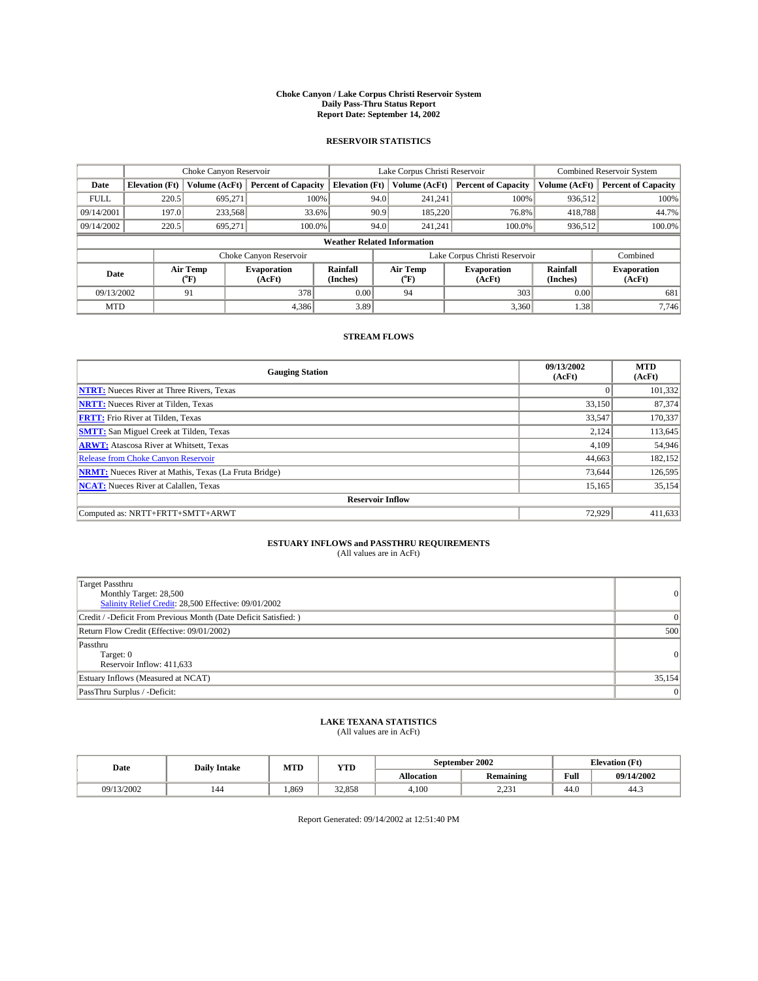#### **Choke Canyon / Lake Corpus Christi Reservoir System Daily Pass-Thru Status Report Report Date: September 14, 2002**

#### **RESERVOIR STATISTICS**

|                          | Choke Canyon Reservoir             |               | Lake Corpus Christi Reservoir |                       |      |                  | <b>Combined Reservoir System</b> |                      |                              |
|--------------------------|------------------------------------|---------------|-------------------------------|-----------------------|------|------------------|----------------------------------|----------------------|------------------------------|
| Date                     | <b>Elevation</b> (Ft)              | Volume (AcFt) | <b>Percent of Capacity</b>    | <b>Elevation (Ft)</b> |      | Volume (AcFt)    | <b>Percent of Capacity</b>       | Volume (AcFt)        | <b>Percent of Capacity</b>   |
| <b>FULL</b>              | 220.5                              | 695,271       |                               | 100%                  | 94.0 | 241,241          | 100%                             | 936.512              | 100%                         |
| 09/14/2001               | 197.0                              | 233,568       | 33.6%                         |                       | 90.9 | 185,220          | 76.8%                            | 418,788              | 44.7%                        |
| 09/14/2002               | 220.5                              | 695.271       | 100.0%                        |                       | 94.0 | 241.241          | $100.0\%$                        | 936,512              | 100.0%                       |
|                          | <b>Weather Related Information</b> |               |                               |                       |      |                  |                                  |                      |                              |
|                          |                                    |               | Choke Canyon Reservoir        |                       |      |                  | Lake Corpus Christi Reservoir    |                      | Combined                     |
| Air Temp<br>Date<br>(°F) |                                    |               | <b>Evaporation</b><br>(AcFt)  | Rainfall<br>(Inches)  |      | Air Temp<br>("F) | <b>Evaporation</b><br>(AcFt)     | Rainfall<br>(Inches) | <b>Evaporation</b><br>(AcFt) |
| 09/13/2002               |                                    | 91            | 378                           | 0.00                  |      | 94               | 303                              | 0.00                 | 681                          |
| <b>MTD</b>               |                                    |               | 4,386                         | 3.89                  |      |                  | 3,360                            | 1.38                 | 7.746                        |

### **STREAM FLOWS**

| <b>Gauging Station</b>                                       | 09/13/2002<br>(AcFt) | <b>MTD</b><br>(AcFt) |  |  |  |  |
|--------------------------------------------------------------|----------------------|----------------------|--|--|--|--|
| <b>NTRT:</b> Nueces River at Three Rivers, Texas             |                      | 101,332              |  |  |  |  |
| <b>NRTT:</b> Nueces River at Tilden, Texas                   | 33,150               | 87,374               |  |  |  |  |
| <b>FRTT:</b> Frio River at Tilden, Texas                     | 33,547               | 170,337              |  |  |  |  |
| <b>SMTT:</b> San Miguel Creek at Tilden, Texas               | 2.124                | 113,645              |  |  |  |  |
| <b>ARWT:</b> Atascosa River at Whitsett, Texas               | 4,109                | 54,946               |  |  |  |  |
| <b>Release from Choke Canyon Reservoir</b>                   | 44,663               | 182,152              |  |  |  |  |
| <b>NRMT:</b> Nueces River at Mathis, Texas (La Fruta Bridge) | 73,644               | 126,595              |  |  |  |  |
| <b>NCAT:</b> Nueces River at Calallen, Texas                 | 15,165               | 35,154               |  |  |  |  |
| <b>Reservoir Inflow</b>                                      |                      |                      |  |  |  |  |
| Computed as: NRTT+FRTT+SMTT+ARWT                             | 72,929               | 411,633              |  |  |  |  |

### **ESTUARY INFLOWS and PASSTHRU REQUIREMENTS**

(All values are in AcFt)

| Target Passthru<br>Monthly Target: 28,500<br>Salinity Relief Credit: 28,500 Effective: 09/01/2002 | $\Omega$       |
|---------------------------------------------------------------------------------------------------|----------------|
| Credit / -Deficit From Previous Month (Date Deficit Satisfied: )                                  |                |
| Return Flow Credit (Effective: 09/01/2002)                                                        | 500            |
| Passthru<br>Target: 0<br>Reservoir Inflow: 411,633                                                | $\Omega$       |
| Estuary Inflows (Measured at NCAT)                                                                | 35,154         |
| PassThru Surplus / -Deficit:                                                                      | $\overline{0}$ |

# **LAKE TEXANA STATISTICS** (All values are in AcFt)

| Date       | <b>Daily Intake</b> | MTD  | <b>YTD</b> |                   | September 2002     | <b>Elevation</b> (Ft) |            |
|------------|---------------------|------|------------|-------------------|--------------------|-----------------------|------------|
|            |                     |      |            | <b>Allocation</b> | <b>Remaining</b>   | Full                  | 09/14/2002 |
| 09/13/2002 | 144                 | .869 | 32,858     | 4,100             | 2.22<br>و ب سے پاک | $\sim$<br>44.0        | 44.5       |

Report Generated: 09/14/2002 at 12:51:40 PM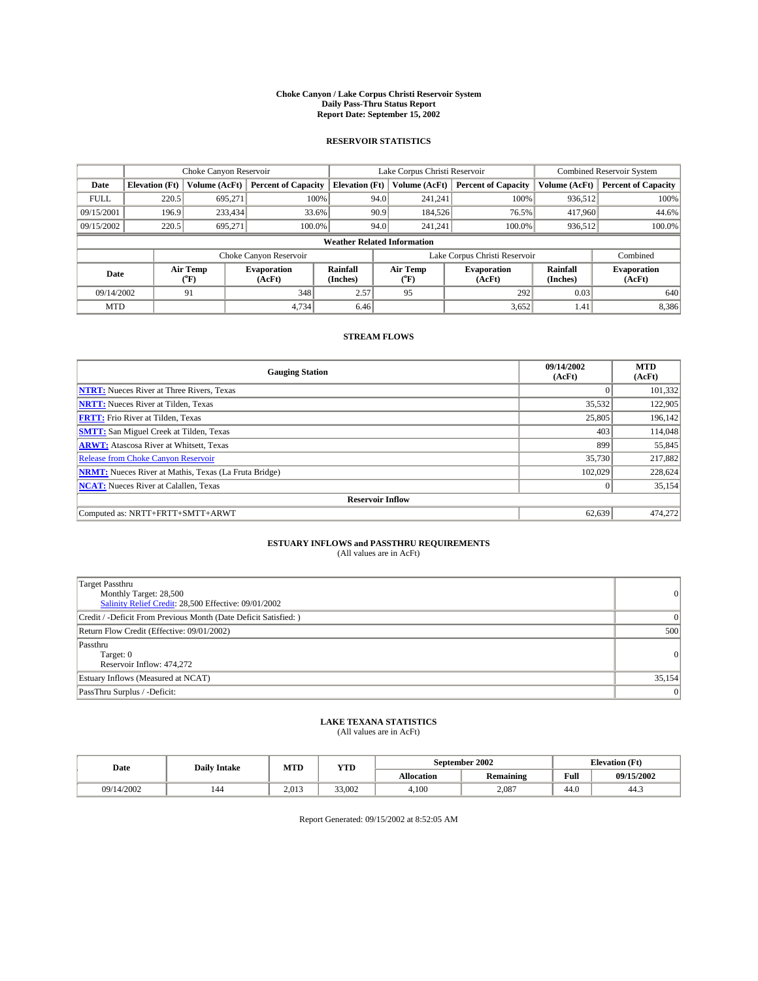#### **Choke Canyon / Lake Corpus Christi Reservoir System Daily Pass-Thru Status Report Report Date: September 15, 2002**

#### **RESERVOIR STATISTICS**

|                                    | Choke Canyon Reservoir |                  | Lake Corpus Christi Reservoir |                       |                               |                  | <b>Combined Reservoir System</b> |                      |                              |
|------------------------------------|------------------------|------------------|-------------------------------|-----------------------|-------------------------------|------------------|----------------------------------|----------------------|------------------------------|
| Date                               | <b>Elevation</b> (Ft)  | Volume (AcFt)    | <b>Percent of Capacity</b>    | <b>Elevation (Ft)</b> |                               | Volume (AcFt)    | <b>Percent of Capacity</b>       | Volume (AcFt)        | <b>Percent of Capacity</b>   |
| <b>FULL</b>                        | 220.5                  | 695,271          |                               | 100%                  | 94.0                          | 241,241          | 100%                             | 936.512              | 100%                         |
| 09/15/2001                         | 196.9                  | 233,434          | 33.6%                         |                       | 90.9                          | 184,526          | 76.5%                            | 417,960              | 44.6%                        |
| 09/15/2002                         | 220.5                  | 695.271          | 100.0%                        |                       | 94.0                          | 241.241          | $100.0\%$                        | 936,512              | 100.0%                       |
| <b>Weather Related Information</b> |                        |                  |                               |                       |                               |                  |                                  |                      |                              |
|                                    |                        |                  | Choke Canyon Reservoir        |                       | Lake Corpus Christi Reservoir |                  |                                  |                      | Combined                     |
| Date                               |                        | Air Temp<br>(°F) | <b>Evaporation</b><br>(AcFt)  | Rainfall<br>(Inches)  |                               | Air Temp<br>("F) | <b>Evaporation</b><br>(AcFt)     | Rainfall<br>(Inches) | <b>Evaporation</b><br>(AcFt) |
| 09/14/2002                         |                        | 91               | 348                           | 2.57                  |                               | 95               | 292                              | 0.03                 | 640                          |
| <b>MTD</b>                         |                        |                  | 4,734                         | 6.46                  |                               |                  | 3,652                            | 1.41                 | 8,386                        |

### **STREAM FLOWS**

| <b>Gauging Station</b>                                       | 09/14/2002<br>(AcFt) | <b>MTD</b><br>(AcFt) |  |  |  |  |  |  |
|--------------------------------------------------------------|----------------------|----------------------|--|--|--|--|--|--|
| <b>NTRT:</b> Nueces River at Three Rivers, Texas             |                      | 101,332              |  |  |  |  |  |  |
| <b>NRTT:</b> Nueces River at Tilden, Texas                   | 35,532               | 122,905              |  |  |  |  |  |  |
| <b>FRTT:</b> Frio River at Tilden, Texas                     | 25,805               | 196,142              |  |  |  |  |  |  |
| <b>SMTT:</b> San Miguel Creek at Tilden, Texas               | 403                  | 114,048              |  |  |  |  |  |  |
| <b>ARWT:</b> Atascosa River at Whitsett, Texas               | 899                  | 55,845               |  |  |  |  |  |  |
| <b>Release from Choke Canyon Reservoir</b>                   | 35,730               | 217,882              |  |  |  |  |  |  |
| <b>NRMT:</b> Nueces River at Mathis, Texas (La Fruta Bridge) | 102,029              | 228,624              |  |  |  |  |  |  |
| <b>NCAT:</b> Nueces River at Calallen, Texas                 |                      | 35,154               |  |  |  |  |  |  |
| <b>Reservoir Inflow</b>                                      |                      |                      |  |  |  |  |  |  |
| Computed as: NRTT+FRTT+SMTT+ARWT                             | 62,639               | 474,272              |  |  |  |  |  |  |

### **ESTUARY INFLOWS and PASSTHRU REQUIREMENTS**

(All values are in AcFt)

| Target Passthru<br>Monthly Target: 28,500<br>Salinity Relief Credit: 28,500 Effective: 09/01/2002 | $\overline{0}$ |
|---------------------------------------------------------------------------------------------------|----------------|
| Credit / -Deficit From Previous Month (Date Deficit Satisfied: )                                  | $\overline{0}$ |
| Return Flow Credit (Effective: 09/01/2002)                                                        | 500            |
| Passthru<br>Target: 0<br>Reservoir Inflow: 474,272                                                | $\overline{0}$ |
| Estuary Inflows (Measured at NCAT)                                                                | 35,154         |
| PassThru Surplus / -Deficit:                                                                      | $\overline{0}$ |

# **LAKE TEXANA STATISTICS** (All values are in AcFt)

| Date       | <b>Daily Intake</b> | MTD   | <b>YTD</b> |                   | September 2002 | <b>Elevation</b> (Ft) |            |
|------------|---------------------|-------|------------|-------------------|----------------|-----------------------|------------|
|            |                     |       |            | <b>Allocation</b> | Remaining      | Full                  | 09/15/2002 |
| 09/14/2002 | 144                 | 2.013 | 33,002     | 4,100             | 2.087          | $\sim$<br>-44.G       | 44.3       |

Report Generated: 09/15/2002 at 8:52:05 AM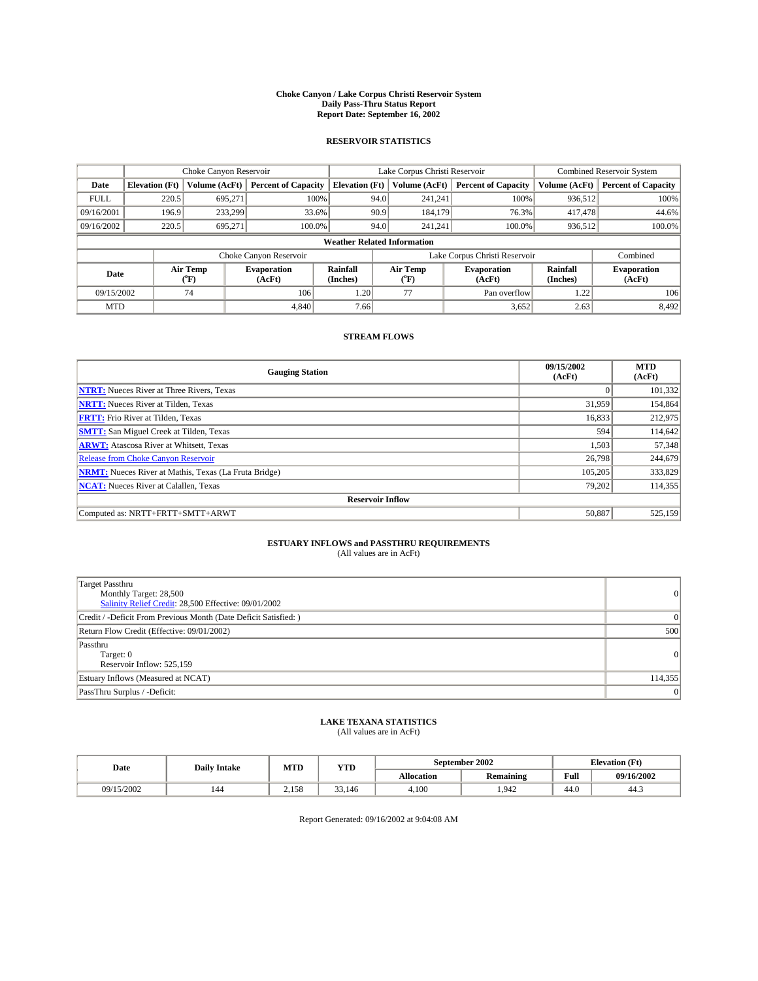#### **Choke Canyon / Lake Corpus Christi Reservoir System Daily Pass-Thru Status Report Report Date: September 16, 2002**

#### **RESERVOIR STATISTICS**

|                                    | Choke Canyon Reservoir |                  | Lake Corpus Christi Reservoir |                       |                               |                 | <b>Combined Reservoir System</b> |                      |                              |
|------------------------------------|------------------------|------------------|-------------------------------|-----------------------|-------------------------------|-----------------|----------------------------------|----------------------|------------------------------|
| Date                               | <b>Elevation</b> (Ft)  | Volume (AcFt)    | <b>Percent of Capacity</b>    | <b>Elevation (Ft)</b> |                               | Volume (AcFt)   | <b>Percent of Capacity</b>       | Volume (AcFt)        | <b>Percent of Capacity</b>   |
| <b>FULL</b>                        | 220.5                  | 695,271          |                               | 100%                  | 94.0                          | 241,241         | 100%                             | 936.512              | 100%                         |
| 09/16/2001                         | 196.9                  | 233.299          | 33.6%                         |                       | 90.9                          | 184,179         | 76.3%                            | 417,478              | 44.6%                        |
| 09/16/2002                         | 220.5                  | 695.271          | 100.0%                        |                       | 94.0                          | 241.241         | $100.0\%$                        | 936,512              | 100.0%                       |
| <b>Weather Related Information</b> |                        |                  |                               |                       |                               |                 |                                  |                      |                              |
|                                    |                        |                  | Choke Canyon Reservoir        |                       | Lake Corpus Christi Reservoir |                 |                                  |                      | Combined                     |
| Date                               |                        | Air Temp<br>(°F) | <b>Evaporation</b><br>(AcFt)  | Rainfall<br>(Inches)  |                               | Air Temp<br>″F) | <b>Evaporation</b><br>(AcFt)     | Rainfall<br>(Inches) | <b>Evaporation</b><br>(AcFt) |
| 09/15/2002                         |                        | 74               | 106                           | 1.20                  |                               | 77              | Pan overflow                     | 1.22                 | 106                          |
| <b>MTD</b>                         |                        |                  | 4.840                         | 7.66                  |                               |                 | 3,652                            | 2.63                 | 8,492                        |

### **STREAM FLOWS**

| <b>Gauging Station</b>                                       | 09/15/2002<br>(AcFt) | <b>MTD</b><br>(AcFt) |  |  |  |  |  |
|--------------------------------------------------------------|----------------------|----------------------|--|--|--|--|--|
| <b>NTRT:</b> Nueces River at Three Rivers, Texas             |                      | 101,332              |  |  |  |  |  |
| <b>NRTT:</b> Nueces River at Tilden, Texas                   | 31,959               | 154,864              |  |  |  |  |  |
| <b>FRTT:</b> Frio River at Tilden, Texas                     | 16,833               | 212,975              |  |  |  |  |  |
| <b>SMTT:</b> San Miguel Creek at Tilden, Texas               | 594                  | 114,642              |  |  |  |  |  |
| <b>ARWT:</b> Atascosa River at Whitsett, Texas               | 1,503                | 57,348               |  |  |  |  |  |
| <b>Release from Choke Canyon Reservoir</b>                   | 26,798               | 244,679              |  |  |  |  |  |
| <b>NRMT:</b> Nueces River at Mathis, Texas (La Fruta Bridge) | 105.205              | 333,829              |  |  |  |  |  |
| <b>NCAT:</b> Nueces River at Calallen, Texas                 | 79,202               | 114,355              |  |  |  |  |  |
| <b>Reservoir Inflow</b>                                      |                      |                      |  |  |  |  |  |
| Computed as: NRTT+FRTT+SMTT+ARWT                             | 50,887               | 525,159              |  |  |  |  |  |

### **ESTUARY INFLOWS and PASSTHRU REQUIREMENTS**

(All values are in AcFt)

| Target Passthru<br>Monthly Target: 28,500<br>Salinity Relief Credit: 28,500 Effective: 09/01/2002 | $\overline{0}$  |
|---------------------------------------------------------------------------------------------------|-----------------|
| Credit / -Deficit From Previous Month (Date Deficit Satisfied: )                                  | $\Omega$        |
| Return Flow Credit (Effective: 09/01/2002)                                                        | 500             |
| Passthru<br>Target: 0<br>Reservoir Inflow: 525,159                                                | $\vert 0 \vert$ |
| Estuary Inflows (Measured at NCAT)                                                                | 114,355         |
| PassThru Surplus / -Deficit:                                                                      | $\mathbf{0}$    |

# **LAKE TEXANA STATISTICS** (All values are in AcFt)

| Date       | <b>Daily Intake</b> | MTD   | <b>YTD</b> |                   | September 2002   | <b>Elevation</b> (Ft) |            |
|------------|---------------------|-------|------------|-------------------|------------------|-----------------------|------------|
|            |                     |       |            | <b>Allocation</b> | <b>Remaining</b> | Full                  | 09/16/2002 |
| 09/15/2002 | 144                 | 2.158 | 33,146     | 4,100             | .942             | $\sim$<br>44.U        | 44.5       |

Report Generated: 09/16/2002 at 9:04:08 AM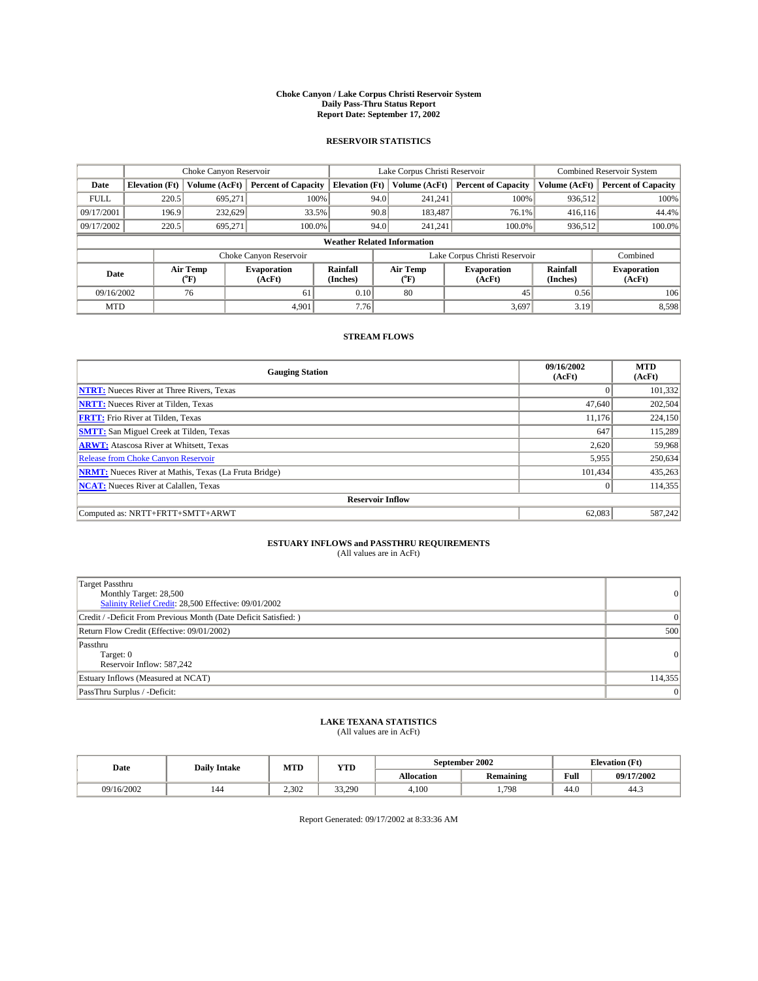#### **Choke Canyon / Lake Corpus Christi Reservoir System Daily Pass-Thru Status Report Report Date: September 17, 2002**

#### **RESERVOIR STATISTICS**

|             | Choke Canyon Reservoir             |                  | Lake Corpus Christi Reservoir |                       |                               |                  | <b>Combined Reservoir System</b> |                      |                              |  |
|-------------|------------------------------------|------------------|-------------------------------|-----------------------|-------------------------------|------------------|----------------------------------|----------------------|------------------------------|--|
| Date        | <b>Elevation</b> (Ft)              | Volume (AcFt)    | <b>Percent of Capacity</b>    | <b>Elevation (Ft)</b> |                               | Volume (AcFt)    | <b>Percent of Capacity</b>       | Volume (AcFt)        | <b>Percent of Capacity</b>   |  |
| <b>FULL</b> | 220.5                              | 695,271          |                               | 100%                  | 94.0                          | 241,241          | 100%                             | 936.512              | 100%                         |  |
| 09/17/2001  | 196.9                              | 232.629          | 33.5%                         |                       | 90.8                          | 183.487          | $76.1\%$                         | 416.116              | 44.4%                        |  |
| 09/17/2002  | 220.5                              | 695.271          | 100.0%                        |                       | 94.0                          | 241.241          | $100.0\%$                        | 936,512              | 100.0%                       |  |
|             | <b>Weather Related Information</b> |                  |                               |                       |                               |                  |                                  |                      |                              |  |
|             |                                    |                  | Choke Canyon Reservoir        |                       | Lake Corpus Christi Reservoir |                  |                                  |                      | Combined                     |  |
| Date        |                                    | Air Temp<br>(°F) | <b>Evaporation</b><br>(AcFt)  | Rainfall<br>(Inches)  |                               | Air Temp<br>("F) | <b>Evaporation</b><br>(AcFt)     | Rainfall<br>(Inches) | <b>Evaporation</b><br>(AcFt) |  |
| 09/16/2002  |                                    | 76               | 61                            | 0.10                  |                               | 80               | 45                               | 0.56                 | 106                          |  |
| <b>MTD</b>  |                                    |                  | 4.901                         | 7.76                  |                               |                  | 3,697                            | 3.19                 | 8,598                        |  |

### **STREAM FLOWS**

| <b>Gauging Station</b>                                       | 09/16/2002<br>(AcFt) | <b>MTD</b><br>(AcFt) |  |  |  |  |  |
|--------------------------------------------------------------|----------------------|----------------------|--|--|--|--|--|
| <b>NTRT:</b> Nueces River at Three Rivers, Texas             |                      | 101,332              |  |  |  |  |  |
| <b>NRTT:</b> Nueces River at Tilden, Texas                   | 47,640               | 202,504              |  |  |  |  |  |
| <b>FRTT:</b> Frio River at Tilden, Texas                     | 11,176               | 224,150              |  |  |  |  |  |
| <b>SMTT:</b> San Miguel Creek at Tilden, Texas               | 647                  | 115.289              |  |  |  |  |  |
| <b>ARWT:</b> Atascosa River at Whitsett, Texas               | 2,620                | 59,968               |  |  |  |  |  |
| <b>Release from Choke Canyon Reservoir</b>                   | 5,955                | 250,634              |  |  |  |  |  |
| <b>NRMT:</b> Nueces River at Mathis, Texas (La Fruta Bridge) | 101,434              | 435,263              |  |  |  |  |  |
| <b>NCAT:</b> Nueces River at Calallen, Texas                 |                      | 114,355              |  |  |  |  |  |
| <b>Reservoir Inflow</b>                                      |                      |                      |  |  |  |  |  |
| Computed as: NRTT+FRTT+SMTT+ARWT                             | 62,083               | 587,242              |  |  |  |  |  |

### **ESTUARY INFLOWS and PASSTHRU REQUIREMENTS**

(All values are in AcFt)

| Target Passthru<br>Monthly Target: 28,500<br>Salinity Relief Credit: 28,500 Effective: 09/01/2002 | $\overline{0}$  |
|---------------------------------------------------------------------------------------------------|-----------------|
| Credit / -Deficit From Previous Month (Date Deficit Satisfied: )                                  | $\Omega$        |
| Return Flow Credit (Effective: 09/01/2002)                                                        | 500             |
| Passthru<br>Target: 0<br>Reservoir Inflow: 587,242                                                | $\vert 0 \vert$ |
| Estuary Inflows (Measured at NCAT)                                                                | 114,355         |
| PassThru Surplus / -Deficit:                                                                      | $\mathbf{0}$    |

# **LAKE TEXANA STATISTICS** (All values are in AcFt)

| Date       | <b>Daily Intake</b> | MTD   | <b>YTD</b> |                   | September 2002 | <b>Elevation</b> (Ft) |            |
|------------|---------------------|-------|------------|-------------------|----------------|-----------------------|------------|
|            |                     |       |            | <b>Allocation</b> | Remaining      | Full                  | 09/17/2002 |
| 09/16/2002 | 144                 | 2.302 | 33.290     | 4,100             | .798           | . .<br>-44.G          | 44.3       |

Report Generated: 09/17/2002 at 8:33:36 AM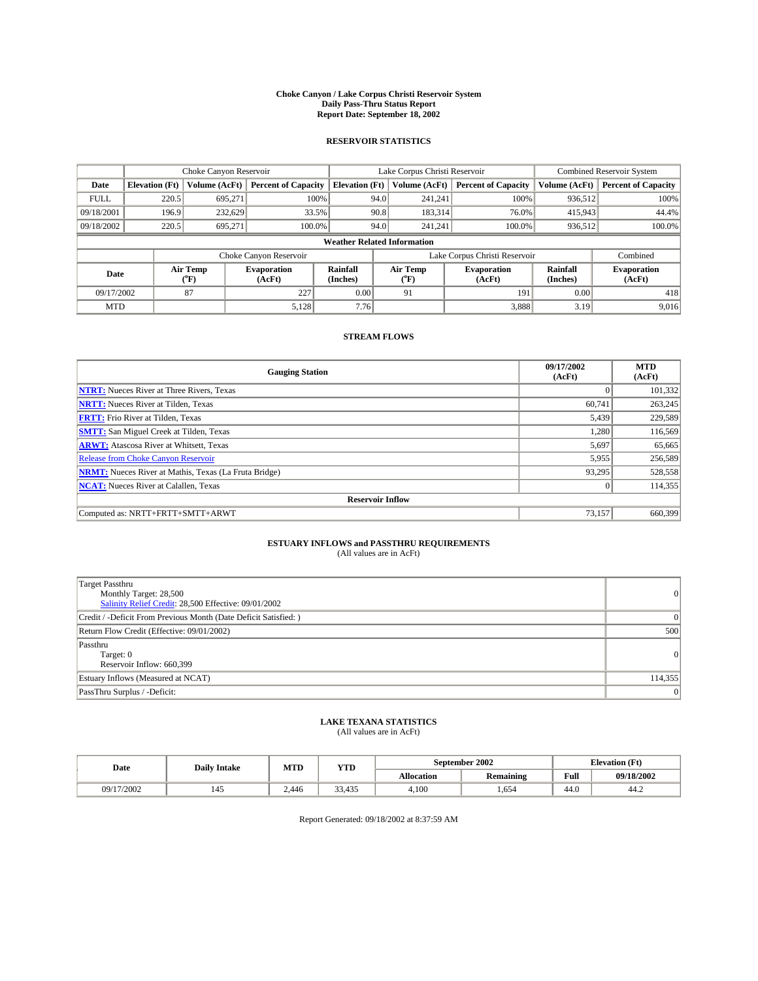#### **Choke Canyon / Lake Corpus Christi Reservoir System Daily Pass-Thru Status Report Report Date: September 18, 2002**

#### **RESERVOIR STATISTICS**

|             | Choke Canyon Reservoir             |                  |                              | Lake Corpus Christi Reservoir |      | <b>Combined Reservoir System</b> |                               |                      |                              |
|-------------|------------------------------------|------------------|------------------------------|-------------------------------|------|----------------------------------|-------------------------------|----------------------|------------------------------|
| Date        | <b>Elevation</b> (Ft)              | Volume (AcFt)    | <b>Percent of Capacity</b>   | <b>Elevation (Ft)</b>         |      | Volume (AcFt)                    | <b>Percent of Capacity</b>    | Volume (AcFt)        | <b>Percent of Capacity</b>   |
| <b>FULL</b> | 220.5                              | 695,271          | 100%                         |                               | 94.0 | 241,241                          | 100%                          | 936.512              | 100%                         |
| 09/18/2001  | 196.9                              | 232.629          | 33.5%                        |                               | 90.8 | 183.314                          | 76.0%                         | 415,943              | 44.4%                        |
| 09/18/2002  | 220.5                              | 695.271          | 100.0%                       |                               | 94.0 | 241.241                          | $100.0\%$                     | 936,512              | 100.0%                       |
|             | <b>Weather Related Information</b> |                  |                              |                               |      |                                  |                               |                      |                              |
|             |                                    |                  | Choke Canyon Reservoir       |                               |      |                                  | Lake Corpus Christi Reservoir |                      | Combined                     |
| Date        |                                    | Air Temp<br>(°F) | <b>Evaporation</b><br>(AcFt) | Rainfall<br>(Inches)          |      | Air Temp<br>("F)                 | <b>Evaporation</b><br>(AcFt)  | Rainfall<br>(Inches) | <b>Evaporation</b><br>(AcFt) |
| 09/17/2002  |                                    | 87               | 227                          | 0.00                          |      | 91                               | 191                           | 0.00                 | 418                          |
| <b>MTD</b>  |                                    |                  | 5,128                        | 7.76                          |      |                                  | 3,888                         | 3.19                 | 9,016                        |

### **STREAM FLOWS**

| <b>Gauging Station</b>                                       | 09/17/2002<br>(AcFt) | <b>MTD</b><br>(AcFt) |  |  |  |  |  |
|--------------------------------------------------------------|----------------------|----------------------|--|--|--|--|--|
| <b>NTRT:</b> Nueces River at Three Rivers, Texas             |                      | 101,332              |  |  |  |  |  |
| <b>NRTT:</b> Nueces River at Tilden, Texas                   | 60.741               | 263,245              |  |  |  |  |  |
| <b>FRTT:</b> Frio River at Tilden, Texas                     | 5,439                | 229,589              |  |  |  |  |  |
| <b>SMTT:</b> San Miguel Creek at Tilden, Texas               | 1.280                | 116,569              |  |  |  |  |  |
| <b>ARWT:</b> Atascosa River at Whitsett, Texas               | 5,697                | 65,665               |  |  |  |  |  |
| <b>Release from Choke Canyon Reservoir</b>                   | 5,955                | 256,589              |  |  |  |  |  |
| <b>NRMT:</b> Nueces River at Mathis, Texas (La Fruta Bridge) | 93,295               | 528,558              |  |  |  |  |  |
| <b>NCAT:</b> Nueces River at Calallen, Texas                 |                      | 114,355              |  |  |  |  |  |
| <b>Reservoir Inflow</b>                                      |                      |                      |  |  |  |  |  |
| Computed as: NRTT+FRTT+SMTT+ARWT                             | 73,157               | 660,399              |  |  |  |  |  |

### **ESTUARY INFLOWS and PASSTHRU REQUIREMENTS**

(All values are in AcFt)

| Target Passthru<br>Monthly Target: 28,500<br>Salinity Relief Credit: 28,500 Effective: 09/01/2002 | $\overline{0}$  |
|---------------------------------------------------------------------------------------------------|-----------------|
| Credit / -Deficit From Previous Month (Date Deficit Satisfied: )                                  | $\Omega$        |
| Return Flow Credit (Effective: 09/01/2002)                                                        | 500             |
| Passthru<br>Target: 0<br>Reservoir Inflow: 660,399                                                | $\vert 0 \vert$ |
| Estuary Inflows (Measured at NCAT)                                                                | 114,355         |
| PassThru Surplus / -Deficit:                                                                      | $\mathbf{0}$    |

# **LAKE TEXANA STATISTICS** (All values are in AcFt)

| Date       | <b>Daily Intake</b> | MTD   | <b>YTD</b>                               |                   | September 2002   | <b>Elevation</b> (Ft) |            |
|------------|---------------------|-------|------------------------------------------|-------------------|------------------|-----------------------|------------|
|            |                     |       |                                          | <b>Allocation</b> | <b>Remaining</b> | Full                  | 09/18/2002 |
| 09/17/2002 | 142                 | 2.446 | $\sim$<br>425<br>55 A -<br><u>JJ,TJJ</u> | 4,100             | ,654             | $\sim$<br>44.U        | 44.∠       |

Report Generated: 09/18/2002 at 8:37:59 AM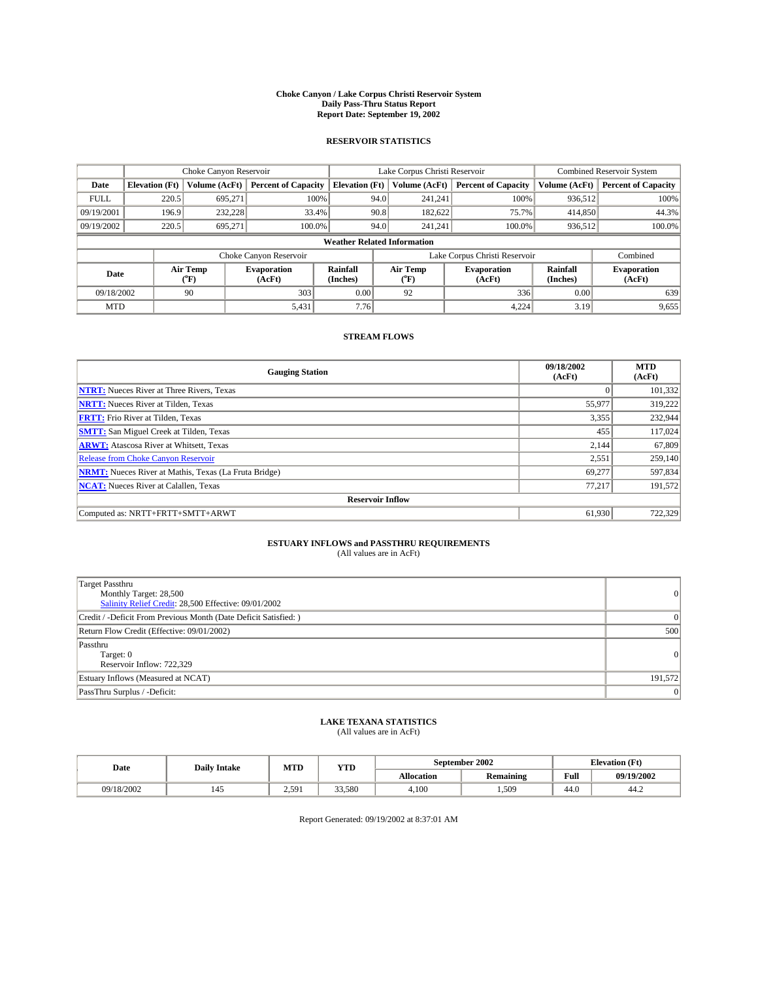#### **Choke Canyon / Lake Corpus Christi Reservoir System Daily Pass-Thru Status Report Report Date: September 19, 2002**

#### **RESERVOIR STATISTICS**

|             | Choke Canyon Reservoir             |                  |                              | Lake Corpus Christi Reservoir |      | <b>Combined Reservoir System</b> |                               |                      |                              |  |
|-------------|------------------------------------|------------------|------------------------------|-------------------------------|------|----------------------------------|-------------------------------|----------------------|------------------------------|--|
| Date        | <b>Elevation</b> (Ft)              | Volume (AcFt)    | <b>Percent of Capacity</b>   | <b>Elevation (Ft)</b>         |      | Volume (AcFt)                    | <b>Percent of Capacity</b>    | Volume (AcFt)        | <b>Percent of Capacity</b>   |  |
| <b>FULL</b> | 220.5                              | 695,271          | 100%                         |                               | 94.0 | 241,241                          | 100%                          | 936.512              | 100%                         |  |
| 09/19/2001  | 196.9                              | 232,228          | 33.4%                        |                               | 90.8 | 182.622                          | 75.7%                         | 414,850              | 44.3%                        |  |
| 09/19/2002  | 220.5                              | 695.271          | 100.0%                       |                               | 94.0 | 241.241                          | $100.0\%$                     | 936,512              | 100.0%                       |  |
|             | <b>Weather Related Information</b> |                  |                              |                               |      |                                  |                               |                      |                              |  |
|             |                                    |                  | Choke Canyon Reservoir       |                               |      |                                  | Lake Corpus Christi Reservoir |                      | Combined                     |  |
| Date        |                                    | Air Temp<br>(°F) | <b>Evaporation</b><br>(AcFt) | Rainfall<br>(Inches)          |      | Air Temp<br>("F)                 | <b>Evaporation</b><br>(AcFt)  | Rainfall<br>(Inches) | <b>Evaporation</b><br>(AcFt) |  |
| 09/18/2002  |                                    | 90               | 303                          | 0.00                          |      | 92                               | 336                           | 0.00                 | 639                          |  |
| <b>MTD</b>  |                                    |                  | 5,431                        | 7.76                          |      |                                  | 4,224                         | 3.19                 | 9,655                        |  |

### **STREAM FLOWS**

| <b>Gauging Station</b>                                       | 09/18/2002<br>(AcFt) | <b>MTD</b><br>(AcFt) |
|--------------------------------------------------------------|----------------------|----------------------|
| <b>NTRT:</b> Nueces River at Three Rivers, Texas             |                      | 101,332              |
| <b>NRTT:</b> Nueces River at Tilden, Texas                   | 55,977               | 319,222              |
| <b>FRTT:</b> Frio River at Tilden, Texas                     | 3,355                | 232,944              |
| <b>SMTT:</b> San Miguel Creek at Tilden, Texas               | 455                  | 117.024              |
| <b>ARWT:</b> Atascosa River at Whitsett, Texas               | 2,144                | 67,809               |
| Release from Choke Canyon Reservoir                          | 2,551                | 259,140              |
| <b>NRMT:</b> Nueces River at Mathis, Texas (La Fruta Bridge) | 69,277               | 597,834              |
| <b>NCAT:</b> Nueces River at Calallen, Texas                 | 77,217               | 191.572              |
| <b>Reservoir Inflow</b>                                      |                      |                      |
| Computed as: NRTT+FRTT+SMTT+ARWT                             | 61,930               | 722,329              |

### **ESTUARY INFLOWS and PASSTHRU REQUIREMENTS**

(All values are in AcFt)

| Target Passthru<br>Monthly Target: 28,500<br>Salinity Relief Credit: 28,500 Effective: 09/01/2002 | $\overline{0}$  |
|---------------------------------------------------------------------------------------------------|-----------------|
| Credit / -Deficit From Previous Month (Date Deficit Satisfied: )                                  | $\Omega$        |
| Return Flow Credit (Effective: 09/01/2002)                                                        | 500             |
| Passthru<br>Target: 0<br>Reservoir Inflow: 722,329                                                | $\vert 0 \vert$ |
| Estuary Inflows (Measured at NCAT)                                                                | 191,572         |
| PassThru Surplus / -Deficit:                                                                      | $\mathbf{0}$    |

# **LAKE TEXANA STATISTICS** (All values are in AcFt)

| Date       | <b>Daily Intake</b> | MTD   | <b>YTD</b> |                   | September 2002   | <b>Elevation (Ft)</b> |            |
|------------|---------------------|-------|------------|-------------------|------------------|-----------------------|------------|
|            |                     |       |            | <b>Allocation</b> | <b>Remaining</b> | Full                  | 09/19/2002 |
| 09/18/2002 | 142                 | 2.591 | 33,580     | 4,100             | .509             | $\sim$<br>44.U        | 44.2       |

Report Generated: 09/19/2002 at 8:37:01 AM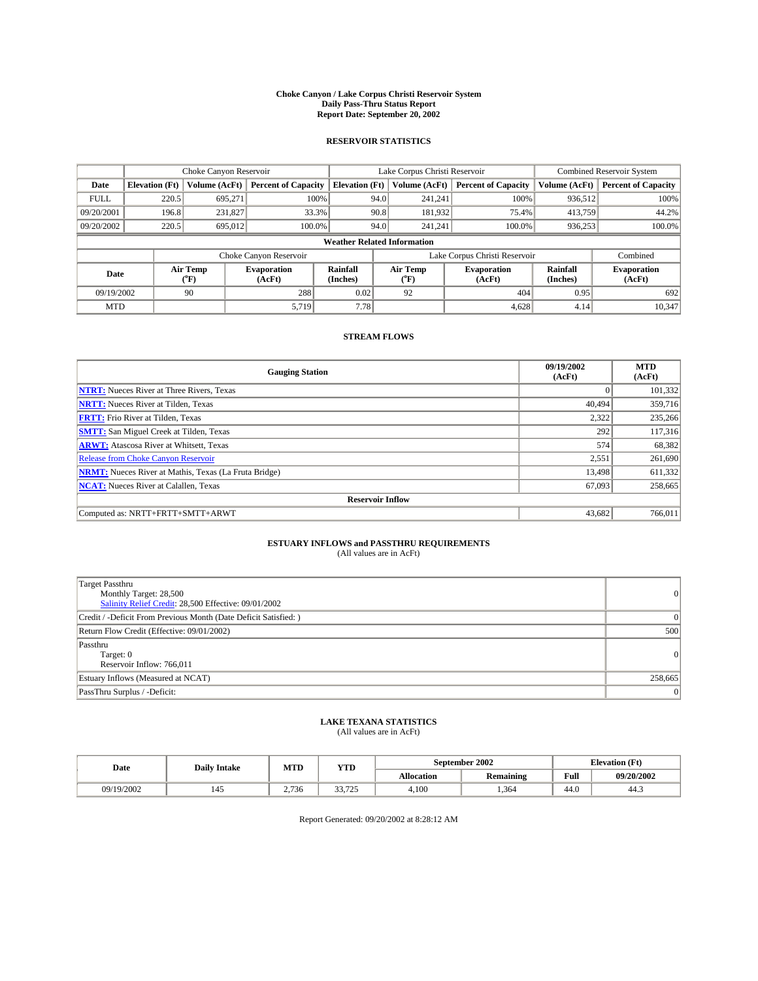#### **Choke Canyon / Lake Corpus Christi Reservoir System Daily Pass-Thru Status Report Report Date: September 20, 2002**

#### **RESERVOIR STATISTICS**

|             | Choke Canyon Reservoir             |                  |                              |                             |      | Lake Corpus Christi Reservoir | <b>Combined Reservoir System</b> |                             |                              |  |
|-------------|------------------------------------|------------------|------------------------------|-----------------------------|------|-------------------------------|----------------------------------|-----------------------------|------------------------------|--|
| Date        | <b>Elevation</b> (Ft)              | Volume (AcFt)    | <b>Percent of Capacity</b>   | <b>Elevation</b> (Ft)       |      | Volume (AcFt)                 | <b>Percent of Capacity</b>       | Volume (AcFt)               | <b>Percent of Capacity</b>   |  |
| <b>FULL</b> | 220.5                              | 695,271          | 100%                         |                             | 94.0 | 241,241                       | 100%                             | 936,512                     | 100%                         |  |
| 09/20/2001  | 196.8                              | 231,827          | 33.3%                        |                             | 90.8 | 181,932                       | 75.4%                            | 413,759                     | 44.2%                        |  |
| 09/20/2002  | 220.5                              | 695,012          | $100.0\%$                    |                             | 94.0 | 241.241                       | $100.0\%$                        | 936,253                     | 100.0%                       |  |
|             | <b>Weather Related Information</b> |                  |                              |                             |      |                               |                                  |                             |                              |  |
|             |                                    |                  | Choke Canyon Reservoir       |                             |      |                               | Lake Corpus Christi Reservoir    |                             | Combined                     |  |
| Date        |                                    | Air Temp<br>(°F) | <b>Evaporation</b><br>(AcFt) | <b>Rainfall</b><br>(Inches) |      | Air Temp<br>("F)              | <b>Evaporation</b><br>(AcFt)     | <b>Rainfall</b><br>(Inches) | <b>Evaporation</b><br>(AcFt) |  |
| 09/19/2002  |                                    | 90               | 288                          | 0.02                        |      | 92                            | 404                              | 0.95                        | 692                          |  |
| <b>MTD</b>  |                                    |                  | 5,719                        | 7.78                        |      |                               | 4,628                            | 4.14                        | 10,347                       |  |

### **STREAM FLOWS**

| <b>Gauging Station</b>                                       | 09/19/2002<br>(AcFt) | <b>MTD</b><br>(AcFt) |  |  |  |  |  |
|--------------------------------------------------------------|----------------------|----------------------|--|--|--|--|--|
| <b>NTRT:</b> Nueces River at Three Rivers, Texas             |                      | 101,332              |  |  |  |  |  |
| <b>NRTT:</b> Nueces River at Tilden, Texas                   | 40.494               | 359,716              |  |  |  |  |  |
| <b>FRTT:</b> Frio River at Tilden, Texas                     | 2,322                | 235,266              |  |  |  |  |  |
| <b>SMTT:</b> San Miguel Creek at Tilden, Texas               | 292                  | 117.316              |  |  |  |  |  |
| <b>ARWT:</b> Atascosa River at Whitsett, Texas               | 574                  | 68,382               |  |  |  |  |  |
| <b>Release from Choke Canyon Reservoir</b>                   | 2,551                | 261,690              |  |  |  |  |  |
| <b>NRMT:</b> Nueces River at Mathis, Texas (La Fruta Bridge) | 13.498               | 611,332              |  |  |  |  |  |
| <b>NCAT:</b> Nueces River at Calallen, Texas                 | 67,093               | 258,665              |  |  |  |  |  |
| <b>Reservoir Inflow</b>                                      |                      |                      |  |  |  |  |  |
| Computed as: NRTT+FRTT+SMTT+ARWT                             | 43,682               | 766,011              |  |  |  |  |  |

### **ESTUARY INFLOWS and PASSTHRU REQUIREMENTS**

(All values are in AcFt)

| Target Passthru<br>Monthly Target: 28,500<br>Salinity Relief Credit: 28,500 Effective: 09/01/2002 | $\overline{0}$ |
|---------------------------------------------------------------------------------------------------|----------------|
| Credit / -Deficit From Previous Month (Date Deficit Satisfied: )                                  | $\overline{0}$ |
| Return Flow Credit (Effective: 09/01/2002)                                                        | 500            |
| Passthru<br>Target: 0<br>Reservoir Inflow: 766,011                                                | 0              |
| Estuary Inflows (Measured at NCAT)                                                                | 258,665        |
| PassThru Surplus / -Deficit:                                                                      | 0              |

# **LAKE TEXANA STATISTICS** (All values are in AcFt)

| Date       | <b>Daily Intake</b> | MTD              | <b>YTD</b>              |                   | September 2002 | <b>Elevation</b> (Ft) |            |
|------------|---------------------|------------------|-------------------------|-------------------|----------------|-----------------------|------------|
|            |                     |                  |                         | <b>Allocation</b> | Remaining      | Full                  | 09/20/2002 |
| 09/19/2002 | 142                 | ,736<br><u>.</u> | 22.725<br><i>JJ.ILJ</i> | 4,100             | .364           | $\sim$<br>44.U        | 44.5       |

Report Generated: 09/20/2002 at 8:28:12 AM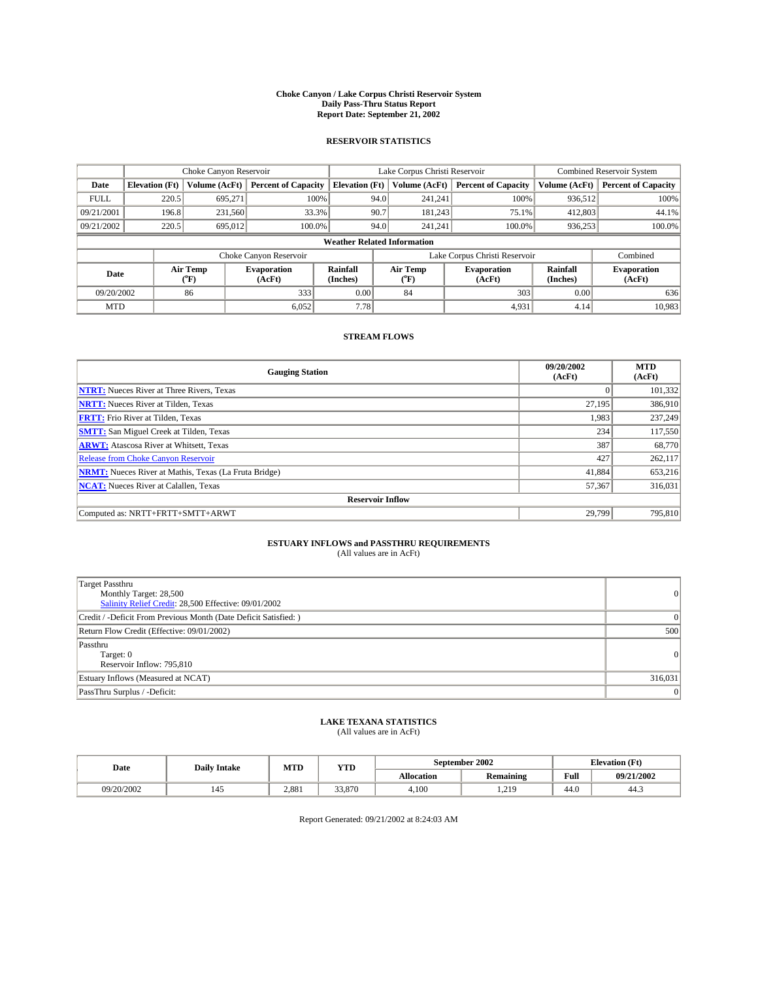#### **Choke Canyon / Lake Corpus Christi Reservoir System Daily Pass-Thru Status Report Report Date: September 21, 2002**

#### **RESERVOIR STATISTICS**

|             | Choke Canyon Reservoir             |                  | Lake Corpus Christi Reservoir |                       |      |                  | <b>Combined Reservoir System</b> |                      |                              |
|-------------|------------------------------------|------------------|-------------------------------|-----------------------|------|------------------|----------------------------------|----------------------|------------------------------|
| Date        | <b>Elevation</b> (Ft)              | Volume (AcFt)    | <b>Percent of Capacity</b>    | <b>Elevation (Ft)</b> |      | Volume (AcFt)    | <b>Percent of Capacity</b>       | Volume (AcFt)        | <b>Percent of Capacity</b>   |
| <b>FULL</b> | 220.5                              | 695,271          | 100%                          |                       | 94.0 | 241,241          | 100%                             | 936.512              | 100%                         |
| 09/21/2001  | 196.8                              | 231.560          | 33.3%                         |                       | 90.7 | 181.243          | 75.1%                            | 412,803              | 44.1%                        |
| 09/21/2002  | 220.5                              | 695,012          | 100.0%                        |                       | 94.0 | 241.241          | $100.0\%$                        | 936,253              | 100.0%                       |
|             | <b>Weather Related Information</b> |                  |                               |                       |      |                  |                                  |                      |                              |
|             |                                    |                  | Choke Canyon Reservoir        |                       |      |                  | Lake Corpus Christi Reservoir    |                      | Combined                     |
| Date        |                                    | Air Temp<br>(°F) | <b>Evaporation</b><br>(AcFt)  | Rainfall<br>(Inches)  |      | Air Temp<br>("F) | <b>Evaporation</b><br>(AcFt)     | Rainfall<br>(Inches) | <b>Evaporation</b><br>(AcFt) |
| 09/20/2002  |                                    | 86               | 333                           | 0.00                  |      | 84               | 303                              | 0.00                 | 636                          |
| <b>MTD</b>  |                                    |                  | 6,052                         | 7.78                  |      |                  | 4,931                            | 4.14                 | 10,983                       |

### **STREAM FLOWS**

| <b>Gauging Station</b>                                       | 09/20/2002<br>(AcFt) | <b>MTD</b><br>(AcFt) |  |  |  |  |  |  |
|--------------------------------------------------------------|----------------------|----------------------|--|--|--|--|--|--|
| <b>NTRT:</b> Nueces River at Three Rivers, Texas             |                      | 101,332              |  |  |  |  |  |  |
| <b>NRTT:</b> Nueces River at Tilden, Texas                   | 27,195               | 386,910              |  |  |  |  |  |  |
| <b>FRTT:</b> Frio River at Tilden, Texas                     | 1,983                | 237,249              |  |  |  |  |  |  |
| <b>SMTT:</b> San Miguel Creek at Tilden, Texas               | 234                  | 117,550              |  |  |  |  |  |  |
| <b>ARWT:</b> Atascosa River at Whitsett, Texas               | 387                  | 68,770               |  |  |  |  |  |  |
| <b>Release from Choke Canyon Reservoir</b>                   | 427                  | 262,117              |  |  |  |  |  |  |
| <b>NRMT:</b> Nueces River at Mathis, Texas (La Fruta Bridge) | 41.884               | 653,216              |  |  |  |  |  |  |
| <b>NCAT:</b> Nueces River at Calallen, Texas                 | 57,367               | 316,031              |  |  |  |  |  |  |
| <b>Reservoir Inflow</b>                                      |                      |                      |  |  |  |  |  |  |
| Computed as: NRTT+FRTT+SMTT+ARWT                             | 29,799               | 795,810              |  |  |  |  |  |  |

### **ESTUARY INFLOWS and PASSTHRU REQUIREMENTS**

(All values are in AcFt)

| Target Passthru<br>Monthly Target: 28,500<br>Salinity Relief Credit: 28,500 Effective: 09/01/2002 | $\overline{0}$ |
|---------------------------------------------------------------------------------------------------|----------------|
| Credit / -Deficit From Previous Month (Date Deficit Satisfied: )                                  | $\overline{0}$ |
| Return Flow Credit (Effective: 09/01/2002)                                                        | 500            |
| Passthru<br>Target: 0<br>Reservoir Inflow: 795,810                                                | 0              |
| Estuary Inflows (Measured at NCAT)                                                                | 316,031        |
| PassThru Surplus / -Deficit:                                                                      | 0              |

# **LAKE TEXANA STATISTICS** (All values are in AcFt)

| Date       | <b>Daily Intake</b> | MTD   | <b>YTD</b> |                   | September 2002   | <b>Elevation</b> (Ft) |            |
|------------|---------------------|-------|------------|-------------------|------------------|-----------------------|------------|
|            |                     |       |            | <b>Allocation</b> | <b>Remaining</b> | Full                  | 09/21/2002 |
| 09/20/2002 | 142                 | 2.881 | 33,870     | 4,100             | 219<br>1.41      | $\sim$<br>44.U        | 44.5       |

Report Generated: 09/21/2002 at 8:24:03 AM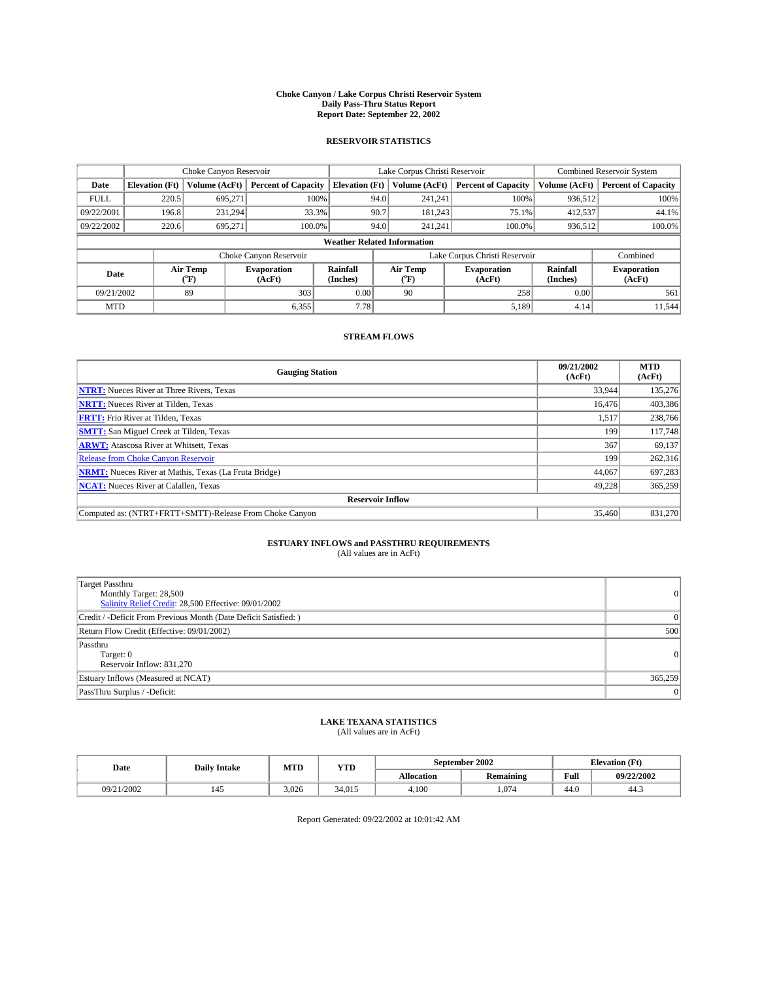#### **Choke Canyon / Lake Corpus Christi Reservoir System Daily Pass-Thru Status Report Report Date: September 22, 2002**

#### **RESERVOIR STATISTICS**

|             | Choke Canyon Reservoir             |                             |                              |                             | Lake Corpus Christi Reservoir |                  |                               |                             | <b>Combined Reservoir System</b> |  |
|-------------|------------------------------------|-----------------------------|------------------------------|-----------------------------|-------------------------------|------------------|-------------------------------|-----------------------------|----------------------------------|--|
| Date        | <b>Elevation</b> (Ft)              | Volume (AcFt)               | <b>Percent of Capacity</b>   | <b>Elevation</b> (Ft)       |                               | Volume (AcFt)    | <b>Percent of Capacity</b>    | Volume (AcFt)               | <b>Percent of Capacity</b>       |  |
| <b>FULL</b> | 220.5                              | 695,271                     |                              | 100%                        | 94.0                          | 241,241          | 100%                          | 936.512                     | 100%                             |  |
| 09/22/2001  | 196.8                              | 231.294                     |                              | 33.3%                       | 90.7                          | 181.243          | 75.1%                         | 412,537                     | 44.1%                            |  |
| 09/22/2002  | 220.6                              | 695.271                     | 100.0%                       |                             | 94.0                          | 241.241          | $100.0\%$                     | 936,512                     | 100.0%                           |  |
|             | <b>Weather Related Information</b> |                             |                              |                             |                               |                  |                               |                             |                                  |  |
|             |                                    |                             | Choke Canyon Reservoir       |                             |                               |                  | Lake Corpus Christi Reservoir |                             | Combined                         |  |
| Date        |                                    | Air Temp<br>${}^{\circ}$ F) | <b>Evaporation</b><br>(AcFt) | <b>Rainfall</b><br>(Inches) |                               | Air Temp<br>("F) | <b>Evaporation</b><br>(AcFt)  | <b>Rainfall</b><br>(Inches) | <b>Evaporation</b><br>(AcFt)     |  |
| 09/21/2002  |                                    | 89                          | 303                          | 0.00                        |                               | 90               | 258                           | 0.00                        | 561                              |  |
| <b>MTD</b>  |                                    |                             | 6,355                        | 7.78                        |                               |                  | 5,189                         | 4.14                        | 11,544                           |  |

### **STREAM FLOWS**

| <b>Gauging Station</b>                                       | 09/21/2002<br>(AcFt) | <b>MTD</b><br>(AcFt) |
|--------------------------------------------------------------|----------------------|----------------------|
| <b>NTRT:</b> Nueces River at Three Rivers, Texas             | 33,944               | 135,276              |
| <b>NRTT:</b> Nueces River at Tilden, Texas                   | 16.476               | 403.386              |
| <b>FRTT:</b> Frio River at Tilden, Texas                     | 1,517                | 238,766              |
| <b>SMTT:</b> San Miguel Creek at Tilden, Texas               | 199                  | 117,748              |
| <b>ARWT:</b> Atascosa River at Whitsett, Texas               | 367                  | 69,137               |
| <b>Release from Choke Canyon Reservoir</b>                   | 199                  | 262,316              |
| <b>NRMT:</b> Nueces River at Mathis, Texas (La Fruta Bridge) | 44,067               | 697.283              |
| <b>NCAT:</b> Nueces River at Calallen, Texas                 | 49,228               | 365,259              |
| <b>Reservoir Inflow</b>                                      |                      |                      |
| Computed as: (NTRT+FRTT+SMTT)-Release From Choke Canyon      | 35,460               | 831.270              |

# **ESTUARY INFLOWS and PASSTHRU REQUIREMENTS**<br>(All values are in AcFt)

| Target Passthru<br>Monthly Target: 28,500<br>Salinity Relief Credit: 28,500 Effective: 09/01/2002 | $\overline{0}$  |
|---------------------------------------------------------------------------------------------------|-----------------|
| Credit / -Deficit From Previous Month (Date Deficit Satisfied: )                                  | $\Omega$        |
| Return Flow Credit (Effective: 09/01/2002)                                                        | 500             |
| Passthru<br>Target: 0<br>Reservoir Inflow: 831,270                                                | $\vert 0 \vert$ |
| Estuary Inflows (Measured at NCAT)                                                                | 365,259         |
| PassThru Surplus / -Deficit:                                                                      | $\Omega$        |

# **LAKE TEXANA STATISTICS** (All values are in AcFt)

| Date       | <b>Daily Intake</b> | MTD   | YTD    |                   | September 2002        | <b>Elevation</b> (Ft) |            |
|------------|---------------------|-------|--------|-------------------|-----------------------|-----------------------|------------|
|            |                     |       |        | <b>Allocation</b> | $\cdots$<br>Remaining | Full                  | 09/22/2002 |
| 09/21/2002 | 145                 | 3,026 | 34.015 | 4,100             | .074                  | . .<br>44.U           | د.44       |

Report Generated: 09/22/2002 at 10:01:42 AM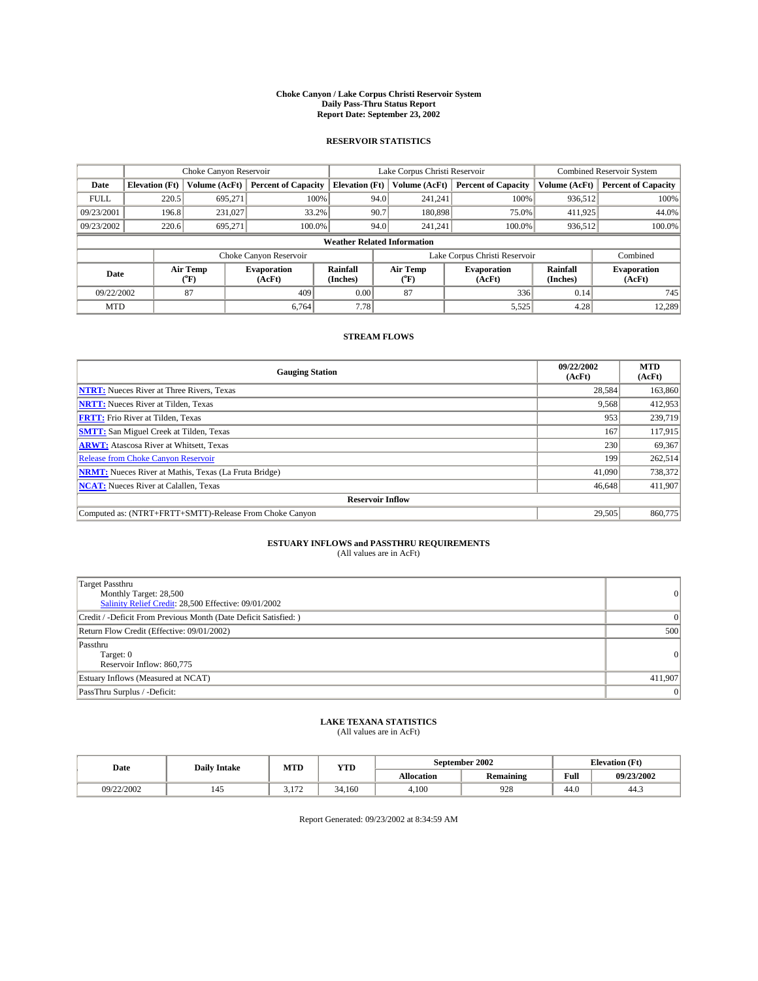#### **Choke Canyon / Lake Corpus Christi Reservoir System Daily Pass-Thru Status Report Report Date: September 23, 2002**

#### **RESERVOIR STATISTICS**

|             | Choke Canyon Reservoir             |                  | Lake Corpus Christi Reservoir |                       |      |                  | <b>Combined Reservoir System</b> |                      |                              |  |
|-------------|------------------------------------|------------------|-------------------------------|-----------------------|------|------------------|----------------------------------|----------------------|------------------------------|--|
| Date        | <b>Elevation</b> (Ft)              | Volume (AcFt)    | <b>Percent of Capacity</b>    | <b>Elevation (Ft)</b> |      | Volume (AcFt)    | <b>Percent of Capacity</b>       | Volume (AcFt)        | <b>Percent of Capacity</b>   |  |
| <b>FULL</b> | 220.5                              | 695,271          |                               | 100%                  | 94.0 | 241,241          | 100%                             | 936.512              | 100%                         |  |
| 09/23/2001  | 196.8                              | 231.027          | 33.2%                         |                       | 90.7 | 180,898          | 75.0%                            | 411,925              | 44.0%                        |  |
| 09/23/2002  | 220.6                              | 695.271          | 100.0%                        |                       | 94.0 | 241.241          | $100.0\%$                        | 936,512              | 100.0%                       |  |
|             | <b>Weather Related Information</b> |                  |                               |                       |      |                  |                                  |                      |                              |  |
|             |                                    |                  | Choke Canyon Reservoir        |                       |      |                  | Lake Corpus Christi Reservoir    |                      | Combined                     |  |
| Date        |                                    | Air Temp<br>(°F) | <b>Evaporation</b><br>(AcFt)  | Rainfall<br>(Inches)  |      | Air Temp<br>("F) | <b>Evaporation</b><br>(AcFt)     | Rainfall<br>(Inches) | <b>Evaporation</b><br>(AcFt) |  |
| 09/22/2002  |                                    | 87               | 409                           | 0.00                  |      | 87               | 336                              | 0.14                 | 745                          |  |
| <b>MTD</b>  |                                    |                  | 6.764                         | 7.78                  |      |                  | 5,525                            | 4.28                 | 12,289                       |  |

### **STREAM FLOWS**

| <b>Gauging Station</b>                                       | 09/22/2002<br>(AcFt) | <b>MTD</b><br>(AcFt) |
|--------------------------------------------------------------|----------------------|----------------------|
| <b>NTRT:</b> Nueces River at Three Rivers, Texas             | 28.584               | 163,860              |
| <b>NRTT:</b> Nueces River at Tilden, Texas                   | 9,568                | 412,953              |
| <b>FRTT:</b> Frio River at Tilden, Texas                     | 953                  | 239,719              |
| <b>SMTT:</b> San Miguel Creek at Tilden, Texas               | 167                  | 117.915              |
| <b>ARWT:</b> Atascosa River at Whitsett, Texas               | 230                  | 69,367               |
| <b>Release from Choke Canyon Reservoir</b>                   | 199                  | 262,514              |
| <b>NRMT:</b> Nueces River at Mathis, Texas (La Fruta Bridge) | 41,090               | 738,372              |
| <b>NCAT:</b> Nueces River at Calallen, Texas                 | 46,648               | 411,907              |
| <b>Reservoir Inflow</b>                                      |                      |                      |
| Computed as: (NTRT+FRTT+SMTT)-Release From Choke Canyon      | 29.505               | 860,775              |

# **ESTUARY INFLOWS and PASSTHRU REQUIREMENTS**<br>(All values are in AcFt)

| <b>Target Passthru</b><br>Monthly Target: 28,500<br>Salinity Relief Credit: 28,500 Effective: 09/01/2002 | $\overline{0}$ |
|----------------------------------------------------------------------------------------------------------|----------------|
| Credit / -Deficit From Previous Month (Date Deficit Satisfied: )                                         | $\Omega$       |
| Return Flow Credit (Effective: 09/01/2002)                                                               | 500            |
| Passthru<br>Target: 0<br>Reservoir Inflow: 860,775                                                       | 0              |
| Estuary Inflows (Measured at NCAT)                                                                       | 411,907        |
| PassThru Surplus / -Deficit:                                                                             | $\overline{0}$ |

# **LAKE TEXANA STATISTICS** (All values are in AcFt)

| Date       | <b>Daily Intake</b> | MTD                     | <b>YTD</b> |                   | September 2002 | <b>Elevation</b> (Ft) |            |
|------------|---------------------|-------------------------|------------|-------------------|----------------|-----------------------|------------|
|            |                     |                         |            | <b>Allocation</b> | Remaining      | Full                  | 09/23/2002 |
| 09/22/2002 | 142                 | $1 - 1$<br>. <i>. .</i> | 34.160     | 4,100             | 928            | $\sim$<br>44.U        | 44.5       |

Report Generated: 09/23/2002 at 8:34:59 AM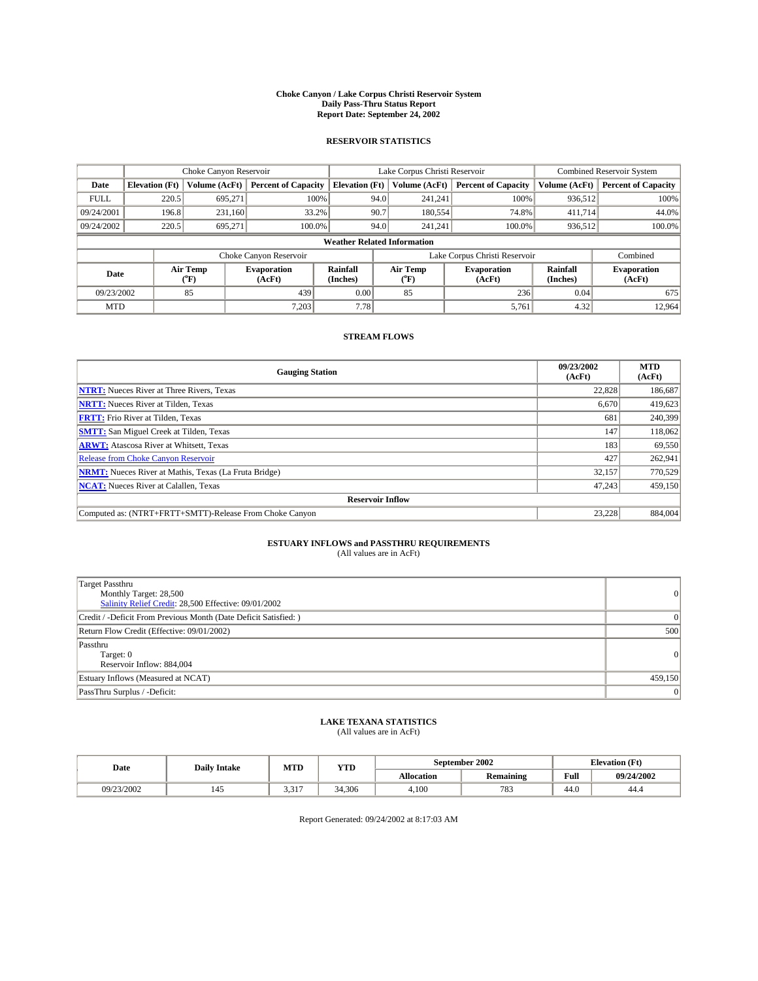#### **Choke Canyon / Lake Corpus Christi Reservoir System Daily Pass-Thru Status Report Report Date: September 24, 2002**

#### **RESERVOIR STATISTICS**

|                                    | Choke Canyon Reservoir |                              | Lake Corpus Christi Reservoir |                       |                  |                              | <b>Combined Reservoir System</b> |                              |                            |
|------------------------------------|------------------------|------------------------------|-------------------------------|-----------------------|------------------|------------------------------|----------------------------------|------------------------------|----------------------------|
| Date                               | <b>Elevation</b> (Ft)  | Volume (AcFt)                | <b>Percent of Capacity</b>    | <b>Elevation (Ft)</b> |                  | Volume (AcFt)                | <b>Percent of Capacity</b>       | Volume (AcFt)                | <b>Percent of Capacity</b> |
| <b>FULL</b>                        | 220.5                  | 695,271                      | 100%                          |                       | 94.0             | 241,241                      | 100%                             | 936.512                      | 100%                       |
| 09/24/2001                         | 196.8                  | 231.160                      | 33.2%                         |                       | 90.7             | 180,554                      | 74.8%                            | 411.714                      | 44.0%                      |
| 09/24/2002                         | 220.5                  | 695.271                      | 100.0%                        |                       | 94.0             | 241.241                      | $100.0\%$                        | 936,512                      | 100.0%                     |
| <b>Weather Related Information</b> |                        |                              |                               |                       |                  |                              |                                  |                              |                            |
|                                    |                        |                              | Choke Canyon Reservoir        |                       |                  |                              | Lake Corpus Christi Reservoir    |                              | Combined                   |
| Air Temp<br>Date<br>(°F)           |                        | <b>Evaporation</b><br>(AcFt) | Rainfall<br>(Inches)          |                       | Air Temp<br>("F) | <b>Evaporation</b><br>(AcFt) | Rainfall<br>(Inches)             | <b>Evaporation</b><br>(AcFt) |                            |
| 09/23/2002                         |                        | 85                           | 439                           | 0.00                  |                  | 85                           | 236                              | 0.04                         | 675                        |
| <b>MTD</b>                         |                        |                              | 7,203                         | 7.78                  |                  |                              | 5,761                            | 4.32                         | 12,964                     |

### **STREAM FLOWS**

| <b>Gauging Station</b>                                       | 09/23/2002<br>(AcFt) | <b>MTD</b><br>(AcFt) |  |  |  |  |  |
|--------------------------------------------------------------|----------------------|----------------------|--|--|--|--|--|
| <b>NTRT:</b> Nueces River at Three Rivers, Texas             | 22,828               | 186,687              |  |  |  |  |  |
| <b>NRTT:</b> Nueces River at Tilden, Texas                   | 6.670                | 419,623              |  |  |  |  |  |
| <b>FRTT:</b> Frio River at Tilden, Texas                     | 681                  | 240,399              |  |  |  |  |  |
| <b>SMTT:</b> San Miguel Creek at Tilden, Texas               | 147                  | 118,062              |  |  |  |  |  |
| <b>ARWT:</b> Atascosa River at Whitsett, Texas               | 183                  | 69,550               |  |  |  |  |  |
| Release from Choke Canyon Reservoir                          | 427                  | 262.941              |  |  |  |  |  |
| <b>NRMT:</b> Nueces River at Mathis, Texas (La Fruta Bridge) | 32,157               | 770,529              |  |  |  |  |  |
| <b>NCAT:</b> Nueces River at Calallen, Texas                 | 47,243               | 459,150              |  |  |  |  |  |
| <b>Reservoir Inflow</b>                                      |                      |                      |  |  |  |  |  |
| Computed as: (NTRT+FRTT+SMTT)-Release From Choke Canyon      | 23.228               | 884,004              |  |  |  |  |  |

## **ESTUARY INFLOWS and PASSTHRU REQUIREMENTS**<br>(All values are in AcFt)

| <b>Target Passthru</b><br>Monthly Target: 28,500<br>Salinity Relief Credit: 28,500 Effective: 09/01/2002 | 0              |
|----------------------------------------------------------------------------------------------------------|----------------|
| Credit / -Deficit From Previous Month (Date Deficit Satisfied: )                                         | $\Omega$       |
| Return Flow Credit (Effective: 09/01/2002)                                                               | 500            |
| Passthru<br>Target: 0<br>Reservoir Inflow: 884,004                                                       | 0              |
| Estuary Inflows (Measured at NCAT)                                                                       | 459,150        |
| PassThru Surplus / -Deficit:                                                                             | $\overline{0}$ |

# **LAKE TEXANA STATISTICS** (All values are in AcFt)

| Date       | <b>Daily Intake</b> | MTD   | <b>YTD</b> |                   | September 2002   | <b>Elevation</b> (Ft) |            |
|------------|---------------------|-------|------------|-------------------|------------------|-----------------------|------------|
|            |                     |       |            | <b>Allocation</b> | <b>Remaining</b> | Full                  | 09/24/2002 |
| 09/23/2002 | 145                 | 3,317 | 34.306     | 4.100             | 783              | $\epsilon$<br>44.U    | 44.4       |

Report Generated: 09/24/2002 at 8:17:03 AM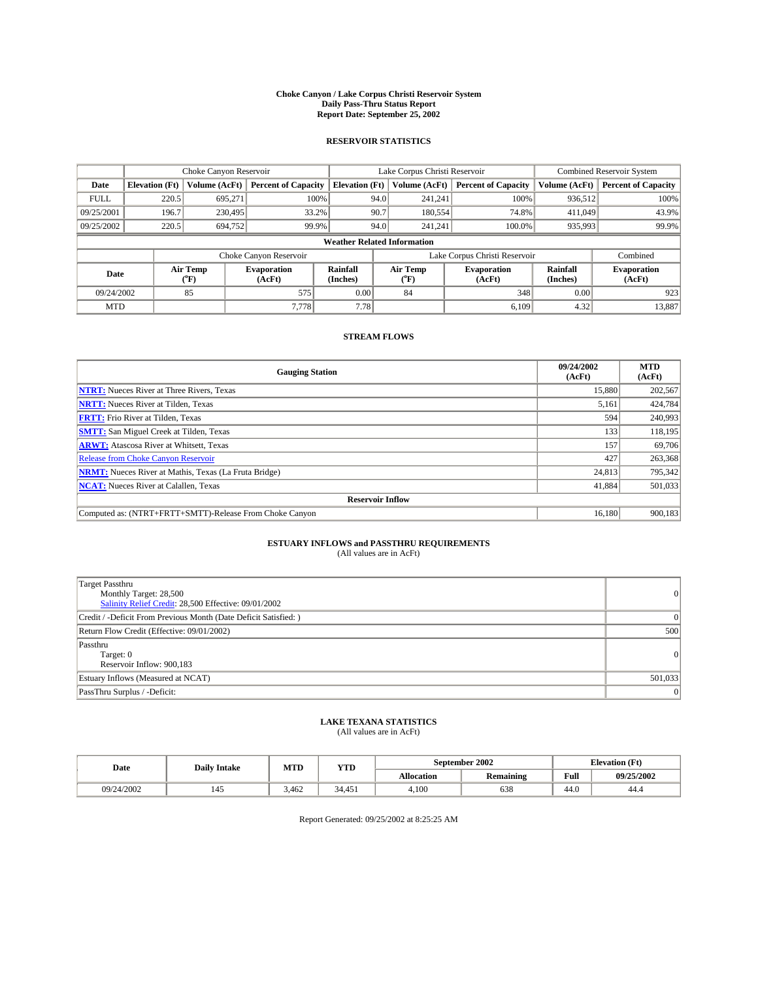#### **Choke Canyon / Lake Corpus Christi Reservoir System Daily Pass-Thru Status Report Report Date: September 25, 2002**

#### **RESERVOIR STATISTICS**

|                                    | Choke Canyon Reservoir |                  | Lake Corpus Christi Reservoir |                       |      |                  | <b>Combined Reservoir System</b> |                      |                              |
|------------------------------------|------------------------|------------------|-------------------------------|-----------------------|------|------------------|----------------------------------|----------------------|------------------------------|
| Date                               | <b>Elevation</b> (Ft)  | Volume (AcFt)    | <b>Percent of Capacity</b>    | <b>Elevation (Ft)</b> |      | Volume (AcFt)    | <b>Percent of Capacity</b>       | Volume (AcFt)        | <b>Percent of Capacity</b>   |
| <b>FULL</b>                        | 220.5                  | 695,271          | 100%                          |                       | 94.0 | 241,241          | 100%                             | 936.512              | 100%                         |
| 09/25/2001                         | 196.7                  | 230,495          | 33.2%                         |                       | 90.7 | 180,554          | 74.8%                            | 411,049              | 43.9%                        |
| 09/25/2002                         | 220.5                  | 694,752          | 99.9%                         |                       | 94.0 | 241.241          | $100.0\%$                        | 935,993              | 99.9%                        |
| <b>Weather Related Information</b> |                        |                  |                               |                       |      |                  |                                  |                      |                              |
|                                    |                        |                  | Choke Canyon Reservoir        |                       |      |                  | Lake Corpus Christi Reservoir    |                      | Combined                     |
| Date                               |                        | Air Temp<br>(°F) | <b>Evaporation</b><br>(AcFt)  | Rainfall<br>(Inches)  |      | Air Temp<br>("F) | <b>Evaporation</b><br>(AcFt)     | Rainfall<br>(Inches) | <b>Evaporation</b><br>(AcFt) |
| 09/24/2002                         |                        | 85               | 575                           | 0.00                  |      | 84               | 348                              | 0.00                 | 923                          |
| <b>MTD</b>                         |                        |                  | 7.778                         | 7.78                  |      |                  | 6.109                            | 4.32                 | 13,887                       |

### **STREAM FLOWS**

| <b>Gauging Station</b>                                       | 09/24/2002<br>(AcFt) | <b>MTD</b><br>(AcFt) |  |  |  |  |  |
|--------------------------------------------------------------|----------------------|----------------------|--|--|--|--|--|
| <b>NTRT:</b> Nueces River at Three Rivers, Texas             | 15,880               | 202,567              |  |  |  |  |  |
| <b>NRTT:</b> Nueces River at Tilden, Texas                   | 5,161                | 424,784              |  |  |  |  |  |
| <b>FRTT:</b> Frio River at Tilden, Texas                     | 594                  | 240,993              |  |  |  |  |  |
| <b>SMTT:</b> San Miguel Creek at Tilden, Texas               | 133                  | 118.195              |  |  |  |  |  |
| <b>ARWT:</b> Atascosa River at Whitsett, Texas               | 157                  | 69,706               |  |  |  |  |  |
| <b>Release from Choke Canyon Reservoir</b>                   | 427                  | 263,368              |  |  |  |  |  |
| <b>NRMT:</b> Nueces River at Mathis, Texas (La Fruta Bridge) | 24,813               | 795,342              |  |  |  |  |  |
| <b>NCAT:</b> Nueces River at Calallen, Texas                 | 41,884               | 501,033              |  |  |  |  |  |
| <b>Reservoir Inflow</b>                                      |                      |                      |  |  |  |  |  |
| Computed as: (NTRT+FRTT+SMTT)-Release From Choke Canyon      | 16.180               | 900,183              |  |  |  |  |  |

### **ESTUARY INFLOWS and PASSTHRU REQUIREMENTS**<br>(All values are in AcFt)

| <b>Target Passthru</b><br>Monthly Target: 28,500<br>Salinity Relief Credit: 28,500 Effective: 09/01/2002 | $\overline{0}$ |
|----------------------------------------------------------------------------------------------------------|----------------|
| Credit / -Deficit From Previous Month (Date Deficit Satisfied: )                                         | $\Omega$       |
| Return Flow Credit (Effective: 09/01/2002)                                                               | 500            |
| Passthru<br>Target: 0<br>Reservoir Inflow: 900,183                                                       | 0              |
| Estuary Inflows (Measured at NCAT)                                                                       | 501,033        |
| PassThru Surplus / -Deficit:                                                                             | $\overline{0}$ |

# **LAKE TEXANA STATISTICS** (All values are in AcFt)

| Date       | <b>Daily Intake</b> | MTD   | <b>YTD</b> |                   | September 2002   | <b>Elevation</b> (Ft) |            |
|------------|---------------------|-------|------------|-------------------|------------------|-----------------------|------------|
|            |                     |       |            | <b>Allocation</b> | <b>Remaining</b> | Full                  | 09/25/2002 |
| 09/24/2002 | 145                 | 3.462 | 34.451     | 4.100             | 638              | $\sim$<br>44.U        | 44.4       |

Report Generated: 09/25/2002 at 8:25:25 AM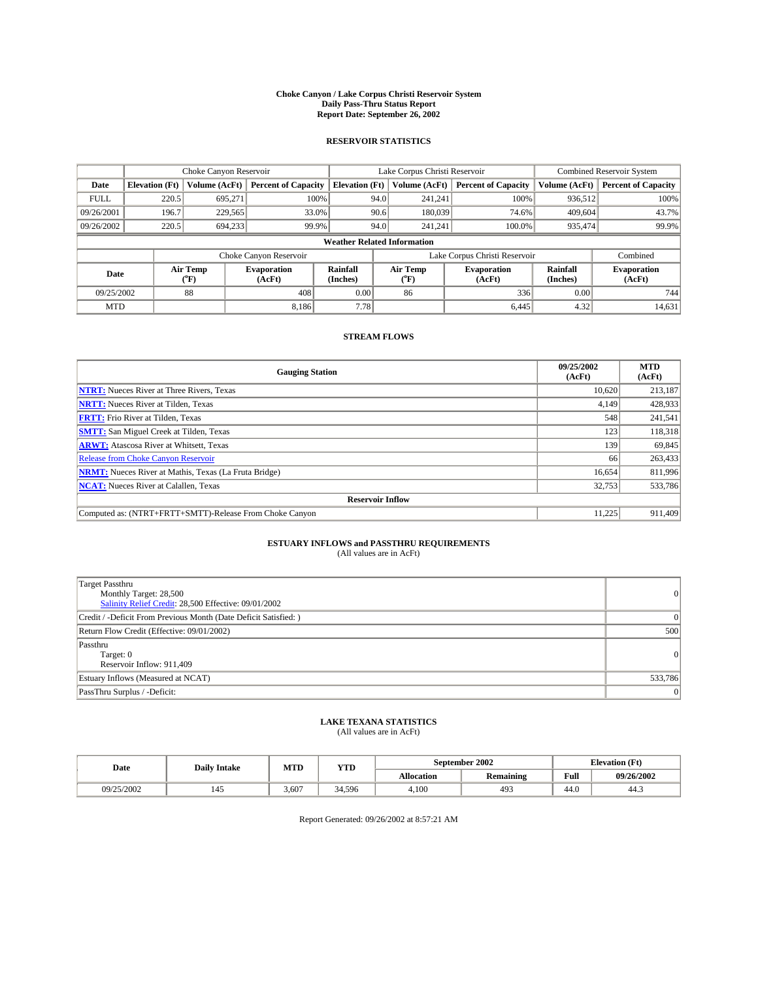#### **Choke Canyon / Lake Corpus Christi Reservoir System Daily Pass-Thru Status Report Report Date: September 26, 2002**

#### **RESERVOIR STATISTICS**

|             | Choke Canyon Reservoir             |                  | Lake Corpus Christi Reservoir |                       |      |                  | <b>Combined Reservoir System</b> |                      |                              |  |
|-------------|------------------------------------|------------------|-------------------------------|-----------------------|------|------------------|----------------------------------|----------------------|------------------------------|--|
| Date        | <b>Elevation</b> (Ft)              | Volume (AcFt)    | <b>Percent of Capacity</b>    | <b>Elevation (Ft)</b> |      | Volume (AcFt)    | <b>Percent of Capacity</b>       | Volume (AcFt)        | <b>Percent of Capacity</b>   |  |
| <b>FULL</b> | 220.5                              | 695,271          |                               | 100%                  | 94.0 | 241,241          | 100%                             | 936.512              | 100%                         |  |
| 09/26/2001  | 196.7                              | 229,565          | 33.0%                         |                       | 90.6 | 180,039          | 74.6%                            | 409,604              | 43.7%                        |  |
| 09/26/2002  | 220.5                              | 694.233          | 99.9%                         |                       | 94.0 | 241.241          | $100.0\%$                        | 935,474              | 99.9%                        |  |
|             | <b>Weather Related Information</b> |                  |                               |                       |      |                  |                                  |                      |                              |  |
|             |                                    |                  | Choke Canyon Reservoir        |                       |      |                  | Lake Corpus Christi Reservoir    |                      | Combined                     |  |
| Date        |                                    | Air Temp<br>(°F) | <b>Evaporation</b><br>(AcFt)  | Rainfall<br>(Inches)  |      | Air Temp<br>("F) | <b>Evaporation</b><br>(AcFt)     | Rainfall<br>(Inches) | <b>Evaporation</b><br>(AcFt) |  |
| 09/25/2002  |                                    | 88               | 408                           | 0.00                  |      | 86               | 336                              | 0.00                 | 744                          |  |
| <b>MTD</b>  |                                    |                  | 8,186                         | 7.78                  |      |                  | 6,445                            | 4.32                 | 14,631                       |  |

### **STREAM FLOWS**

| <b>Gauging Station</b>                                       | 09/25/2002<br>(AcFt) | <b>MTD</b><br>(AcFt) |  |  |  |  |  |
|--------------------------------------------------------------|----------------------|----------------------|--|--|--|--|--|
| <b>NTRT:</b> Nueces River at Three Rivers, Texas             | 10.620               | 213,187              |  |  |  |  |  |
| <b>NRTT:</b> Nueces River at Tilden, Texas                   | 4.149                | 428,933              |  |  |  |  |  |
| <b>FRTT:</b> Frio River at Tilden, Texas                     | 548                  | 241,541              |  |  |  |  |  |
| <b>SMTT:</b> San Miguel Creek at Tilden, Texas               | 123                  | 118,318              |  |  |  |  |  |
| <b>ARWT:</b> Atascosa River at Whitsett, Texas               | 139                  | 69,845               |  |  |  |  |  |
| Release from Choke Canyon Reservoir                          | 66                   | 263,433              |  |  |  |  |  |
| <b>NRMT:</b> Nueces River at Mathis, Texas (La Fruta Bridge) | 16,654               | 811,996              |  |  |  |  |  |
| <b>NCAT:</b> Nueces River at Calallen, Texas                 | 32,753               | 533,786              |  |  |  |  |  |
| <b>Reservoir Inflow</b>                                      |                      |                      |  |  |  |  |  |
| Computed as: (NTRT+FRTT+SMTT)-Release From Choke Canyon      | 11.225               | 911.409              |  |  |  |  |  |

### **ESTUARY INFLOWS and PASSTHRU REQUIREMENTS**<br>(All values are in AcFt)

| Target Passthru<br>Monthly Target: 28,500<br>Salinity Relief Credit: 28,500 Effective: 09/01/2002 | 0              |
|---------------------------------------------------------------------------------------------------|----------------|
| Credit / -Deficit From Previous Month (Date Deficit Satisfied: )                                  | $\Omega$       |
| Return Flow Credit (Effective: 09/01/2002)                                                        | 500            |
| Passthru<br>Target: 0<br>Reservoir Inflow: 911,409                                                | 0              |
| Estuary Inflows (Measured at NCAT)                                                                | 533,786        |
| PassThru Surplus / -Deficit:                                                                      | $\overline{0}$ |

# **LAKE TEXANA STATISTICS** (All values are in AcFt)

| Date       | <b>Daily Intake</b> | MTD   | YTD    | September 2002    |                  | <b>Elevation</b> (Ft) |            |
|------------|---------------------|-------|--------|-------------------|------------------|-----------------------|------------|
|            |                     |       |        | <b>Allocation</b> | <b>Remaining</b> | Full                  | 09/26/2002 |
| 09/25/2002 | 145                 | 3.607 | 34.596 | 4,100             | 493              | $\sim$<br>44.U        | 44.5       |

Report Generated: 09/26/2002 at 8:57:21 AM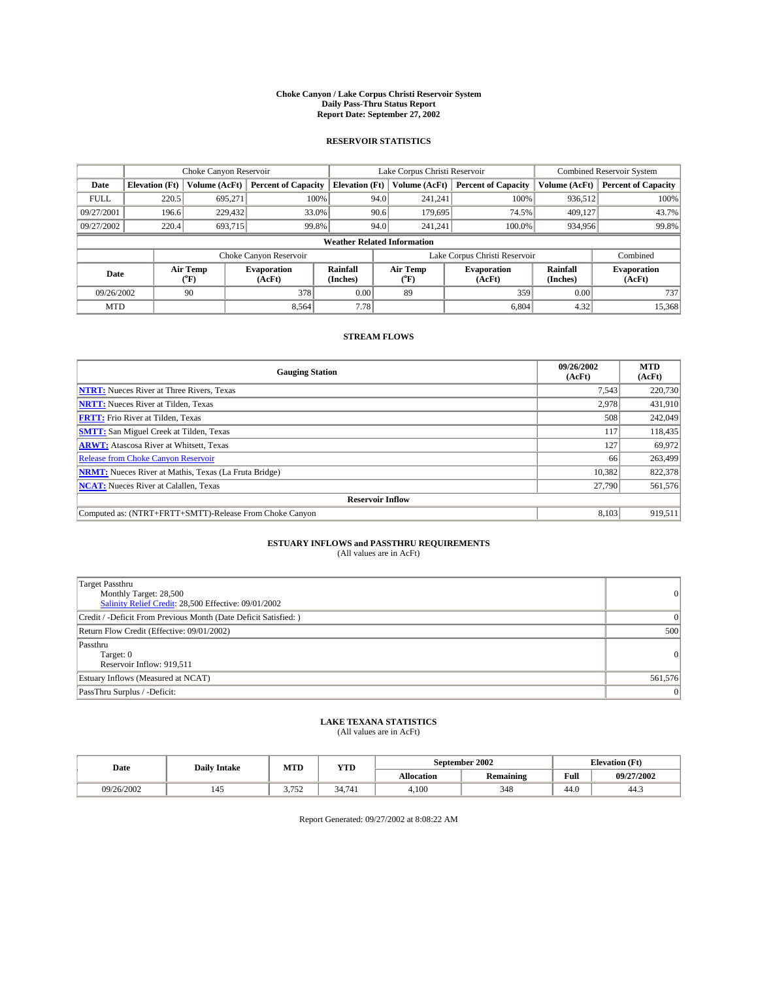#### **Choke Canyon / Lake Corpus Christi Reservoir System Daily Pass-Thru Status Report Report Date: September 27, 2002**

#### **RESERVOIR STATISTICS**

|             | Choke Canyon Reservoir             |                  | Lake Corpus Christi Reservoir |                       |      |                  | <b>Combined Reservoir System</b> |                      |                              |
|-------------|------------------------------------|------------------|-------------------------------|-----------------------|------|------------------|----------------------------------|----------------------|------------------------------|
| Date        | <b>Elevation</b> (Ft)              | Volume (AcFt)    | <b>Percent of Capacity</b>    | <b>Elevation (Ft)</b> |      | Volume (AcFt)    | <b>Percent of Capacity</b>       | Volume (AcFt)        | <b>Percent of Capacity</b>   |
| <b>FULL</b> | 220.5                              | 695,271          |                               | 100%                  | 94.0 | 241,241          | 100%                             | 936.512              | 100%                         |
| 09/27/2001  | 196.6                              | 229,432          | 33.0%                         |                       | 90.6 | 179,695          | 74.5%                            | 409.127              | 43.7%                        |
| 09/27/2002  | 220.4                              | 693.715          | 99.8%                         |                       | 94.0 | 241.241          | $100.0\%$                        | 934,956              | 99.8%                        |
|             | <b>Weather Related Information</b> |                  |                               |                       |      |                  |                                  |                      |                              |
|             |                                    |                  | Choke Canyon Reservoir        |                       |      |                  | Lake Corpus Christi Reservoir    |                      | Combined                     |
| Date        |                                    | Air Temp<br>(°F) | <b>Evaporation</b><br>(AcFt)  | Rainfall<br>(Inches)  |      | Air Temp<br>("F) | <b>Evaporation</b><br>(AcFt)     | Rainfall<br>(Inches) | <b>Evaporation</b><br>(AcFt) |
| 09/26/2002  |                                    | 90               | 378                           | 0.00                  |      | 89               | 359                              | 0.00                 | 737                          |
| <b>MTD</b>  |                                    |                  | 8.564                         | 7.78                  |      |                  | 6,804                            | 4.32                 | 15,368                       |

### **STREAM FLOWS**

| <b>Gauging Station</b>                                       | 09/26/2002<br>(AcFt) | <b>MTD</b><br>(AcFt) |
|--------------------------------------------------------------|----------------------|----------------------|
| <b>NTRT:</b> Nueces River at Three Rivers, Texas             | 7,543                | 220,730              |
| <b>NRTT:</b> Nueces River at Tilden, Texas                   | 2.978                | 431.910              |
| <b>FRTT:</b> Frio River at Tilden, Texas                     | 508                  | 242,049              |
| <b>SMTT:</b> San Miguel Creek at Tilden, Texas               | 117                  | 118,435              |
| <b>ARWT:</b> Atascosa River at Whitsett, Texas               | 127                  | 69,972               |
| Release from Choke Canyon Reservoir                          | 66                   | 263,499              |
| <b>NRMT:</b> Nueces River at Mathis, Texas (La Fruta Bridge) | 10.382               | 822,378              |
| <b>NCAT:</b> Nueces River at Calallen, Texas                 | 27,790               | 561,576              |
| <b>Reservoir Inflow</b>                                      |                      |                      |
| Computed as: (NTRT+FRTT+SMTT)-Release From Choke Canyon      | 8,103                | 919.511              |

# **ESTUARY INFLOWS and PASSTHRU REQUIREMENTS**<br>(All values are in AcFt)

| Target Passthru<br>Monthly Target: 28,500<br>Salinity Relief Credit: 28,500 Effective: 09/01/2002 | $\overline{0}$  |
|---------------------------------------------------------------------------------------------------|-----------------|
| Credit / -Deficit From Previous Month (Date Deficit Satisfied: )                                  | $\Omega$        |
| Return Flow Credit (Effective: 09/01/2002)                                                        | 500             |
| Passthru<br>Target: 0<br>Reservoir Inflow: 919,511                                                | $\vert 0 \vert$ |
| Estuary Inflows (Measured at NCAT)                                                                | 561,576         |
| PassThru Surplus / -Deficit:                                                                      | $\mathbf{0}$    |

# **LAKE TEXANA STATISTICS** (All values are in AcFt)

| Date       | <b>Daily Intake</b> | MTD              | <b>YTD</b> |                   | September 2002 | <b>Elevation</b> (Ft) |            |
|------------|---------------------|------------------|------------|-------------------|----------------|-----------------------|------------|
|            |                     |                  |            | <b>Allocation</b> | Remaining      | Full                  | 09/27/2002 |
| 09/26/2002 | 145                 | 2.75<br><u>.</u> | 34.741     | 4,100             | 348            | $\sim$<br>44.U        | 44.3       |

Report Generated: 09/27/2002 at 8:08:22 AM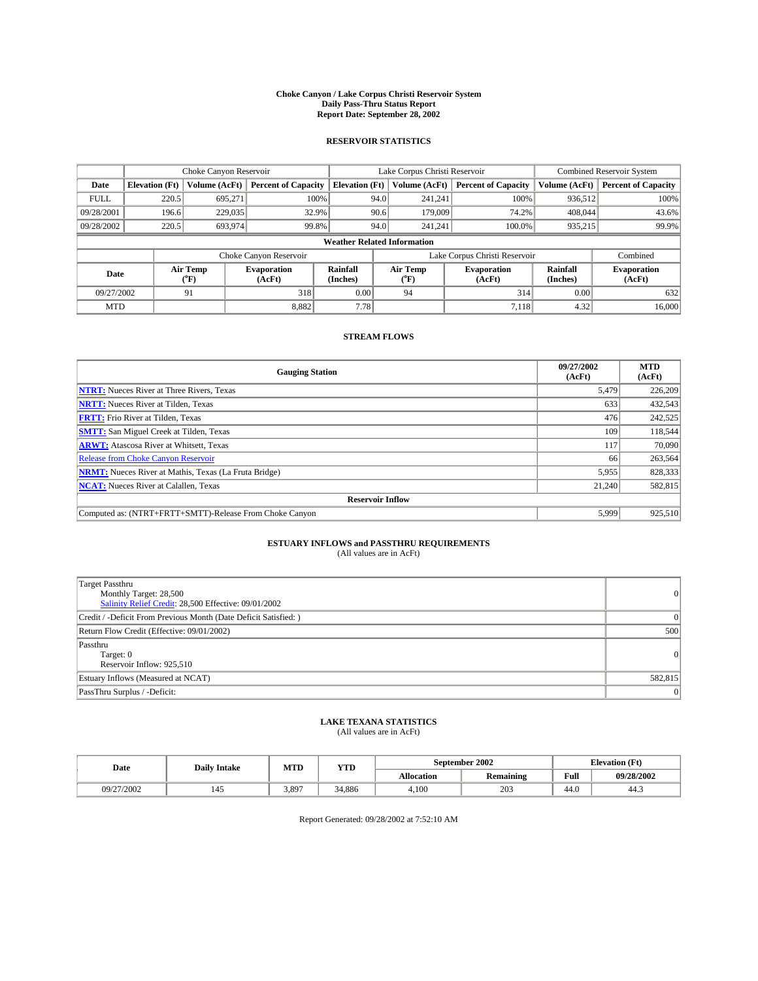#### **Choke Canyon / Lake Corpus Christi Reservoir System Daily Pass-Thru Status Report Report Date: September 28, 2002**

#### **RESERVOIR STATISTICS**

|             | Choke Canyon Reservoir             |                  | Lake Corpus Christi Reservoir |                       |      |                  | <b>Combined Reservoir System</b> |                      |                              |
|-------------|------------------------------------|------------------|-------------------------------|-----------------------|------|------------------|----------------------------------|----------------------|------------------------------|
| Date        | <b>Elevation</b> (Ft)              | Volume (AcFt)    | <b>Percent of Capacity</b>    | <b>Elevation (Ft)</b> |      | Volume (AcFt)    | <b>Percent of Capacity</b>       | Volume (AcFt)        | <b>Percent of Capacity</b>   |
| <b>FULL</b> | 220.5                              | 695,271          |                               | 100%                  | 94.0 | 241,241          | 100%                             | 936.512              | 100%                         |
| 09/28/2001  | 196.6                              | 229,035          | 32.9%                         |                       | 90.6 | 179,009          | 74.2%                            | 408,044              | 43.6%                        |
| 09/28/2002  | 220.5                              | 693,974          | 99.8%                         |                       | 94.0 | 241.241          | $100.0\%$                        | 935,215              | 99.9%                        |
|             | <b>Weather Related Information</b> |                  |                               |                       |      |                  |                                  |                      |                              |
|             |                                    |                  | Choke Canyon Reservoir        |                       |      |                  | Lake Corpus Christi Reservoir    |                      | Combined                     |
| Date        |                                    | Air Temp<br>(°F) | <b>Evaporation</b><br>(AcFt)  | Rainfall<br>(Inches)  |      | Air Temp<br>("F) | <b>Evaporation</b><br>(AcFt)     | Rainfall<br>(Inches) | <b>Evaporation</b><br>(AcFt) |
| 09/27/2002  |                                    | 91               | 318                           | 0.00                  |      | 94               | 314                              | 0.00                 | 632                          |
| <b>MTD</b>  |                                    |                  | 8,882                         | 7.78                  |      |                  | 7,118                            | 4.32                 | 16,000                       |

### **STREAM FLOWS**

| <b>Gauging Station</b>                                       | 09/27/2002<br>(AcFt) | <b>MTD</b><br>(AcFt) |
|--------------------------------------------------------------|----------------------|----------------------|
| <b>NTRT:</b> Nueces River at Three Rivers, Texas             | 5,479                | 226,209              |
| <b>NRTT:</b> Nueces River at Tilden, Texas                   | 633                  | 432,543              |
| <b>FRTT:</b> Frio River at Tilden, Texas                     | 476                  | 242,525              |
| <b>SMTT:</b> San Miguel Creek at Tilden, Texas               | 109                  | 118,544              |
| <b>ARWT:</b> Atascosa River at Whitsett, Texas               | 117                  | 70,090               |
| Release from Choke Canyon Reservoir                          | 66                   | 263,564              |
| <b>NRMT:</b> Nueces River at Mathis, Texas (La Fruta Bridge) | 5,955                | 828,333              |
| <b>NCAT:</b> Nueces River at Calallen, Texas                 | 21,240               | 582,815              |
| <b>Reservoir Inflow</b>                                      |                      |                      |
| Computed as: (NTRT+FRTT+SMTT)-Release From Choke Canyon      | 5,999                | 925,510              |

# **ESTUARY INFLOWS and PASSTHRU REQUIREMENTS**<br>(All values are in AcFt)

| Target Passthru<br>Monthly Target: 28,500<br>Salinity Relief Credit: 28,500 Effective: 09/01/2002 | $\overline{0}$ |
|---------------------------------------------------------------------------------------------------|----------------|
| Credit / -Deficit From Previous Month (Date Deficit Satisfied: )                                  | 0              |
| Return Flow Credit (Effective: 09/01/2002)                                                        | 500            |
| Passthru<br>Target: 0<br>Reservoir Inflow: 925,510                                                | $\overline{0}$ |
| Estuary Inflows (Measured at NCAT)                                                                | 582,815        |
| PassThru Surplus / -Deficit:                                                                      | $\overline{0}$ |

# **LAKE TEXANA STATISTICS** (All values are in AcFt)

| Date       | <b>Daily Intake</b> | MTD   | <b>YTD</b> |                   | September 2002          | <b>Elevation</b> (Ft) |            |
|------------|---------------------|-------|------------|-------------------|-------------------------|-----------------------|------------|
|            |                     |       |            | <b>Allocation</b> | . .<br><b>Remaining</b> | Full                  | 09/28/2002 |
| 09/27/2002 | 142                 | 3,897 | 34.886     | 4.100             | 203                     | $\sim$<br>44.U        | 44.5       |

Report Generated: 09/28/2002 at 7:52:10 AM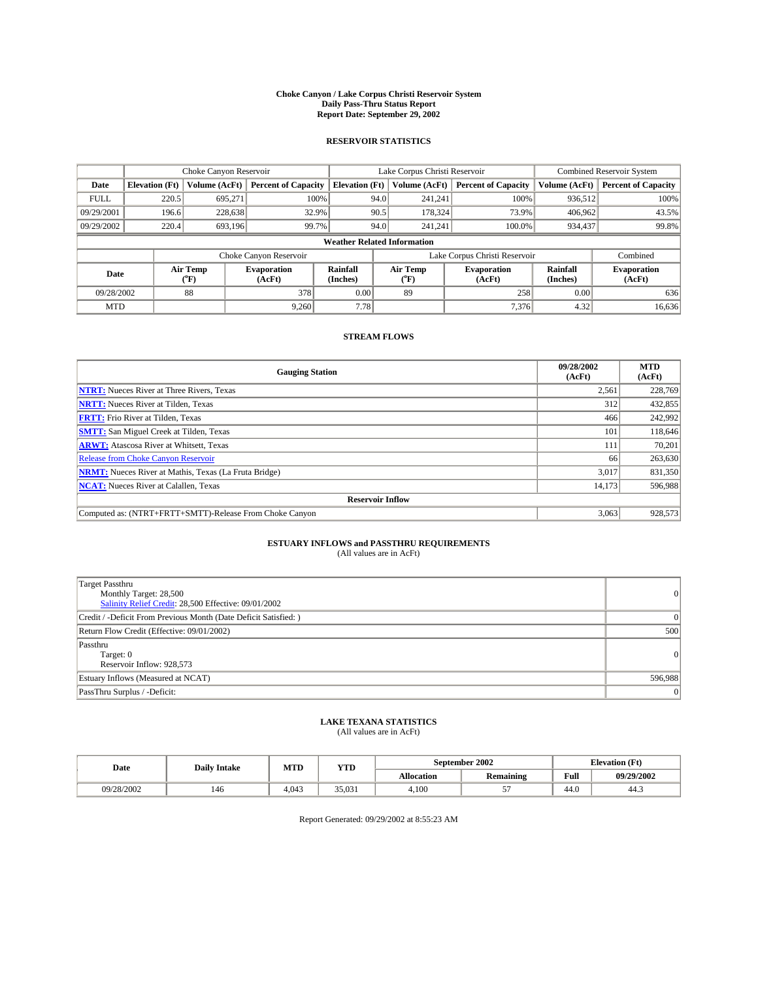#### **Choke Canyon / Lake Corpus Christi Reservoir System Daily Pass-Thru Status Report Report Date: September 29, 2002**

#### **RESERVOIR STATISTICS**

|             | Choke Canyon Reservoir             |                  | Lake Corpus Christi Reservoir |                       |      |                  | <b>Combined Reservoir System</b> |                      |                              |
|-------------|------------------------------------|------------------|-------------------------------|-----------------------|------|------------------|----------------------------------|----------------------|------------------------------|
| Date        | <b>Elevation</b> (Ft)              | Volume (AcFt)    | <b>Percent of Capacity</b>    | <b>Elevation (Ft)</b> |      | Volume (AcFt)    | <b>Percent of Capacity</b>       | Volume (AcFt)        | <b>Percent of Capacity</b>   |
| <b>FULL</b> | 220.5                              | 695,271          |                               | 100%                  | 94.0 | 241,241          | 100%                             | 936.512              | 100%                         |
| 09/29/2001  | 196.6                              | 228,638          | 32.9%                         |                       | 90.5 | 178,324          | 73.9%                            | 406.962              | 43.5%                        |
| 09/29/2002  | 220.4                              | 693.196          | 99.7%                         |                       | 94.0 | 241.241          | $100.0\%$                        | 934,437              | 99.8%                        |
|             | <b>Weather Related Information</b> |                  |                               |                       |      |                  |                                  |                      |                              |
|             |                                    |                  | Choke Canyon Reservoir        |                       |      |                  | Lake Corpus Christi Reservoir    |                      | Combined                     |
| Date        |                                    | Air Temp<br>(°F) | <b>Evaporation</b><br>(AcFt)  | Rainfall<br>(Inches)  |      | Air Temp<br>("F) | <b>Evaporation</b><br>(AcFt)     | Rainfall<br>(Inches) | <b>Evaporation</b><br>(AcFt) |
| 09/28/2002  |                                    | 88               | 378                           | 0.00                  |      | 89               | 258                              | 0.00                 | 636                          |
| <b>MTD</b>  |                                    |                  | 9,260                         | 7.78                  |      |                  | 7,376                            | 4.32                 | 16,636                       |

### **STREAM FLOWS**

| <b>Gauging Station</b>                                       | 09/28/2002<br>(AcFt) | <b>MTD</b><br>(AcFt) |
|--------------------------------------------------------------|----------------------|----------------------|
| <b>NTRT:</b> Nueces River at Three Rivers, Texas             | 2,561                | 228,769              |
| <b>NRTT:</b> Nueces River at Tilden, Texas                   | 312                  | 432,855              |
| <b>FRTT:</b> Frio River at Tilden, Texas                     | 466                  | 242,992              |
| <b>SMTT:</b> San Miguel Creek at Tilden, Texas               | 101                  | 118,646              |
| <b>ARWT:</b> Atascosa River at Whitsett, Texas               | 111                  | 70,201               |
| Release from Choke Canyon Reservoir                          | 66                   | 263,630              |
| <b>NRMT:</b> Nueces River at Mathis, Texas (La Fruta Bridge) | 3,017                | 831,350              |
| <b>NCAT:</b> Nueces River at Calallen, Texas                 | 14,173               | 596,988              |
| <b>Reservoir Inflow</b>                                      |                      |                      |
| Computed as: (NTRT+FRTT+SMTT)-Release From Choke Canyon      | 3,063                | 928,573              |

# **ESTUARY INFLOWS and PASSTHRU REQUIREMENTS**<br>(All values are in AcFt)

| Target Passthru<br>Monthly Target: 28,500<br>Salinity Relief Credit: 28,500 Effective: 09/01/2002 | $\overline{0}$ |
|---------------------------------------------------------------------------------------------------|----------------|
| Credit / -Deficit From Previous Month (Date Deficit Satisfied: )                                  | 0              |
| Return Flow Credit (Effective: 09/01/2002)                                                        | 500            |
| Passthru<br>Target: 0<br>Reservoir Inflow: 928,573                                                | $\overline{0}$ |
| Estuary Inflows (Measured at NCAT)                                                                | 596,988        |
| PassThru Surplus / -Deficit:                                                                      | $\overline{0}$ |

# **LAKE TEXANA STATISTICS** (All values are in AcFt)

| Date       | <b>Daily Intake</b> | MTD   | <b>YTD</b> |                   | September 2002   | <b>Elevation</b> (Ft) |            |
|------------|---------------------|-------|------------|-------------------|------------------|-----------------------|------------|
|            |                     |       |            | <b>Allocation</b> | <b>Remaining</b> | Full                  | 09/29/2002 |
| 09/28/2002 | 146                 | 4.043 | 35,031     | 4.100             | --               | 44.0                  | 44.3       |

Report Generated: 09/29/2002 at 8:55:23 AM